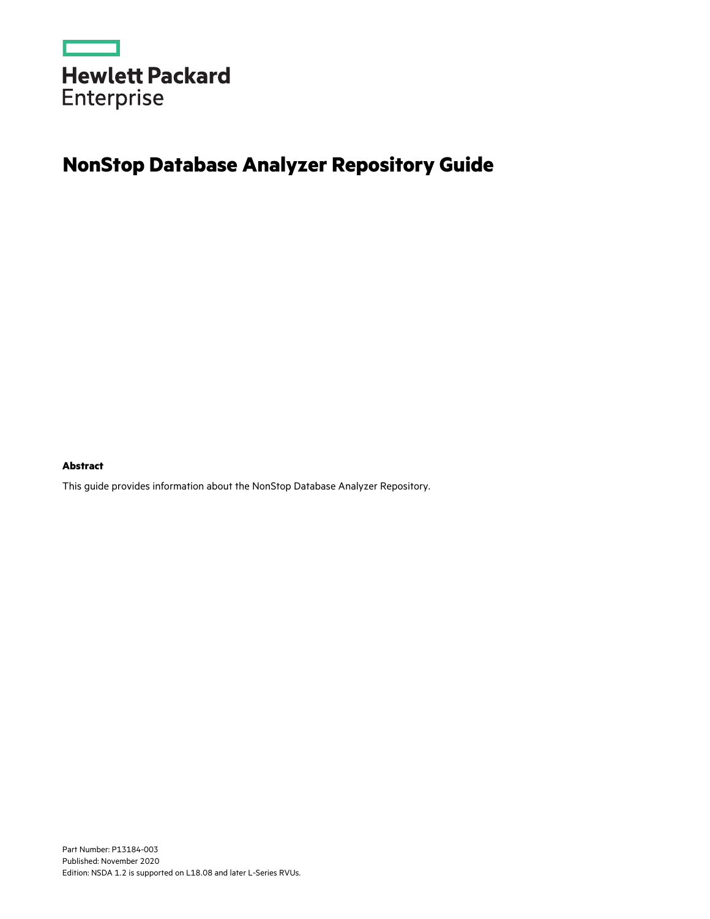

# **NonStop Database Analyzer Repository Guide**

#### **Abstract**

This guide provides information about the NonStop Database Analyzer Repository.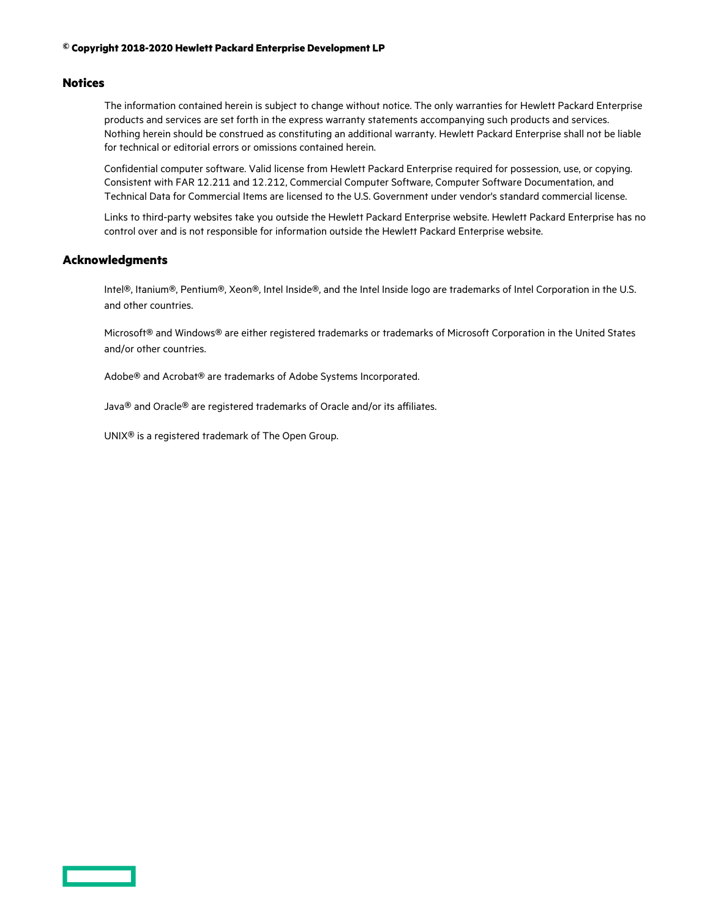#### **© Copyright 2018-2020 Hewlett Packard Enterprise Development LP**

#### **Notices**

The information contained herein is subject to change without notice. The only warranties for Hewlett Packard Enterprise products and services are set forth in the express warranty statements accompanying such products and services. Nothing herein should be construed as constituting an additional warranty. Hewlett Packard Enterprise shall not be liable for technical or editorial errors or omissions contained herein.

Confidential computer software. Valid license from Hewlett Packard Enterprise required for possession, use, or copying. Consistent with FAR 12.211 and 12.212, Commercial Computer Software, Computer Software Documentation, and Technical Data for Commercial Items are licensed to the U.S. Government under vendor's standard commercial license.

Links to third-party websites take you outside the Hewlett Packard Enterprise website. Hewlett Packard Enterprise has no control over and is not responsible for information outside the Hewlett Packard Enterprise website.

#### **Acknowledgments**

Intel®, Itanium®, Pentium®, Xeon®, Intel Inside®, and the Intel Inside logo are trademarks of Intel Corporation in the U.S. and other countries.

Microsoft® and Windows® are either registered trademarks or trademarks of Microsoft Corporation in the United States and/or other countries.

Adobe® and Acrobat® are trademarks of Adobe Systems Incorporated.

Java® and Oracle® are registered trademarks of Oracle and/or its affiliates.

UNIX® is a registered trademark of The Open Group.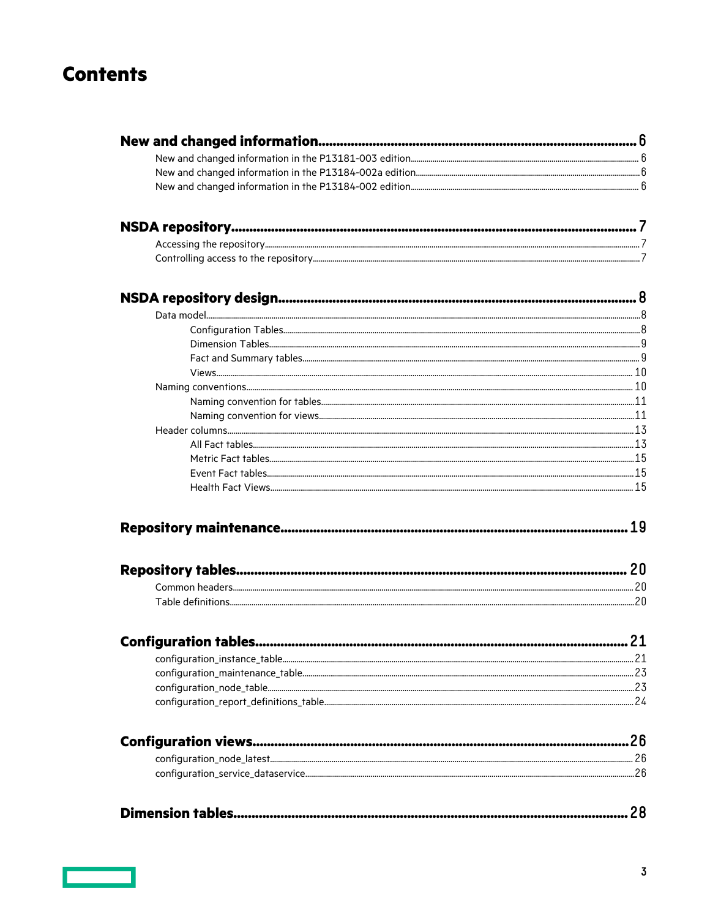## **Contents**

| 21 |  |
|----|--|
|    |  |
|    |  |
|    |  |
|    |  |
|    |  |
|    |  |
|    |  |
|    |  |
|    |  |
|    |  |
|    |  |
|    |  |
|    |  |
|    |  |
|    |  |
|    |  |
|    |  |
|    |  |
|    |  |
|    |  |
|    |  |
|    |  |
|    |  |
|    |  |
|    |  |
|    |  |
|    |  |
|    |  |
|    |  |
|    |  |
|    |  |
|    |  |
|    |  |

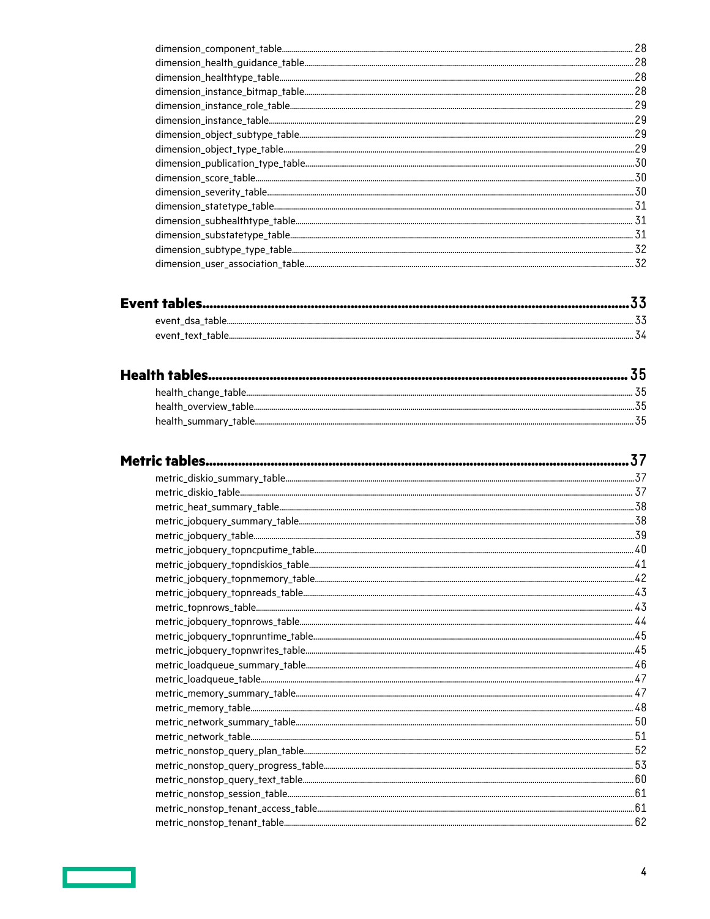|                                                        | 28   |
|--------------------------------------------------------|------|
|                                                        | .28  |
|                                                        | .28  |
| $dimension\_instance\_bitmap\_table. \label{equ:main}$ | .28  |
|                                                        | . 29 |
|                                                        | .29  |
|                                                        | .29  |
|                                                        | .29  |
|                                                        | .30  |
|                                                        |      |
|                                                        |      |
|                                                        |      |
|                                                        |      |
|                                                        |      |
|                                                        |      |
|                                                        | .32  |

|                                                                                                                                                                                                                                                                                     | .5h |
|-------------------------------------------------------------------------------------------------------------------------------------------------------------------------------------------------------------------------------------------------------------------------------------|-----|
| ${\bf health\_summary\_table.}\label{def:1} \centering \includegraphics[width=0.090000,0.090000,0.09000,0.09000,0.09000,0.09000,0.09000,0.0900,0.0900,0.0900,0.0900,0.0900,0.0900,0.0900,0.0900,0.0900,0.0900,0.0900,0.0900,0.0900,0.0900,0.0900,0.0900,0.0900,0.0900,0.0900,0.090$ |     |

| $metric\_nonstop\_session\_table \hspace{1cm}  \hspace{1cm}  \hspace{1cm}  \hspace{1cm}  \hspace{1cm}  \hspace{1cm}  \hspace{1cm}  \hspace{1cm}  \hspace{1cm}  \hspace{1cm}  \hspace{1cm}  \hspace{1cm}  \hspace{1cm}  \hspace{1cm}  \hspace{1cm}  \hspace{1cm}  \hspace{1cm}  \hspace{1cm}  \hspace{1cm}  \hspace{1cm}  \hspace{1cm}  \hspace{1cm}  \hspace{1cm}  \hspace{1cm}  \hspace{1cm}  \hspace{1cm}  \hspace$ |  |
|-----------------------------------------------------------------------------------------------------------------------------------------------------------------------------------------------------------------------------------------------------------------------------------------------------------------------------------------------------------------------------------------------------------------------|--|
| $metric\_nonstop\_tenant\_access\_table. \text{\textcolor{red}{min.}\textbf{0.000}} \text{0.0000}$                                                                                                                                                                                                                                                                                                                    |  |
|                                                                                                                                                                                                                                                                                                                                                                                                                       |  |

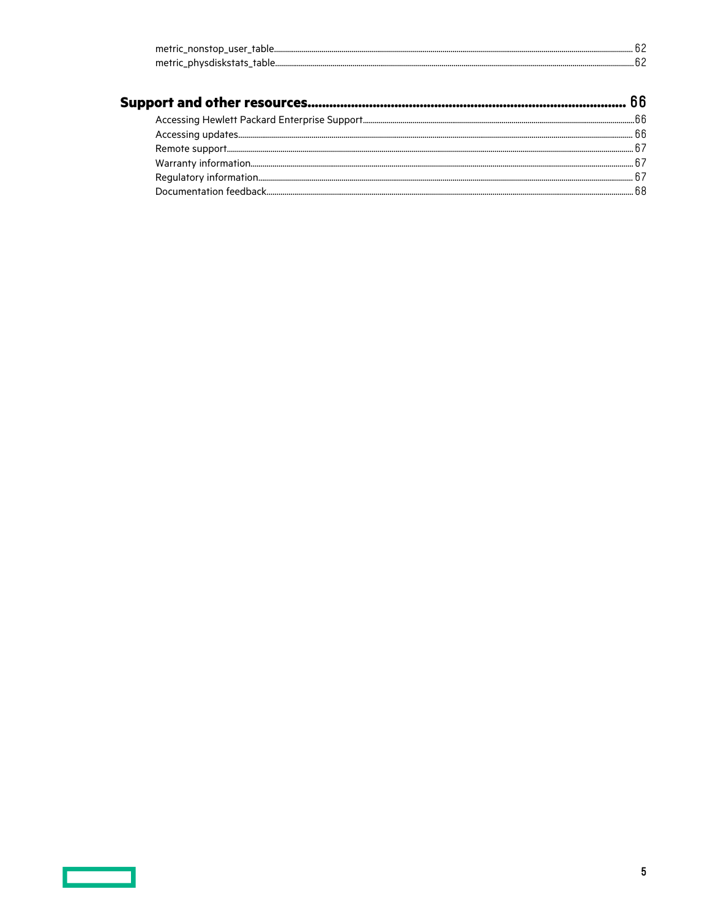| metric_nonstop_user_table   |  |
|-----------------------------|--|
| metric physdiskstats table. |  |

| $\label{thm:main} \textbf{War} \textbf{r} \textbf{a} \textbf{r} \textbf{y} \textbf{ in}\textbf{formation} \textit{} \textit{} \textit{} \textit{} \textit{} \textit{} \textit{} \textit{} \textit{} \textit{} \textit{} \textit{} \textit{} \textit{} \textit{} \textit{} \textit{} \textit{} \textit{} \textit{} \textit{} \textit{} \textit{} \textit{} \textit{} \textit{} \textit{} \textit{} \text$ |  |
|----------------------------------------------------------------------------------------------------------------------------------------------------------------------------------------------------------------------------------------------------------------------------------------------------------------------------------------------------------------------------------------------------------|--|
|                                                                                                                                                                                                                                                                                                                                                                                                          |  |
|                                                                                                                                                                                                                                                                                                                                                                                                          |  |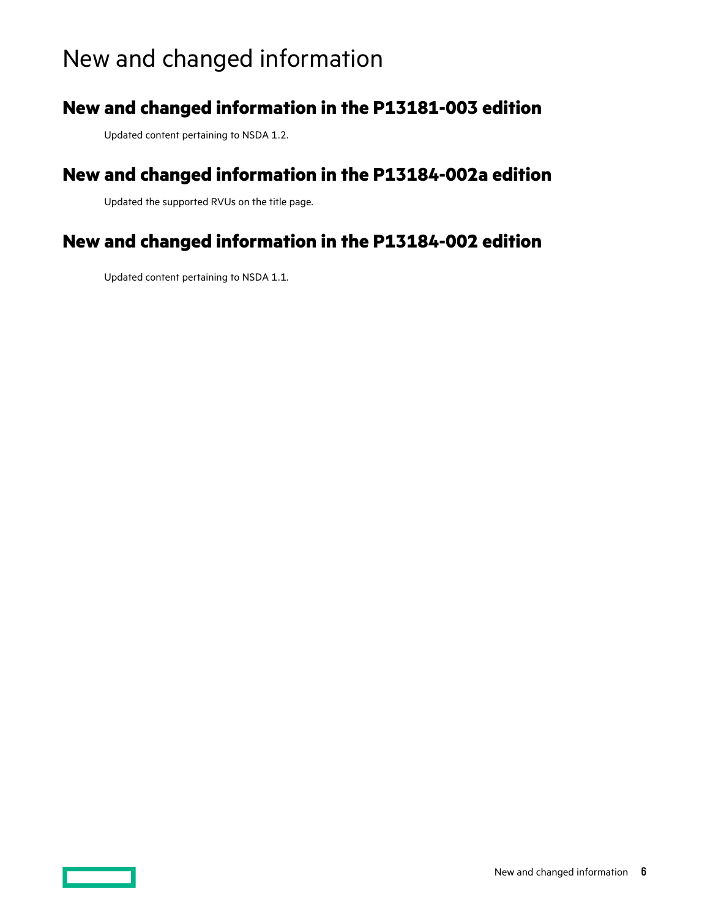# <span id="page-5-0"></span>New and changed information

### **New and changed information in the P13181-003 edition**

Updated content pertaining to NSDA 1.2.

### **New and changed information in the P13184-002a edition**

Updated the supported RVUs on the title page.

### **New and changed information in the P13184-002 edition**

Updated content pertaining to NSDA 1.1.

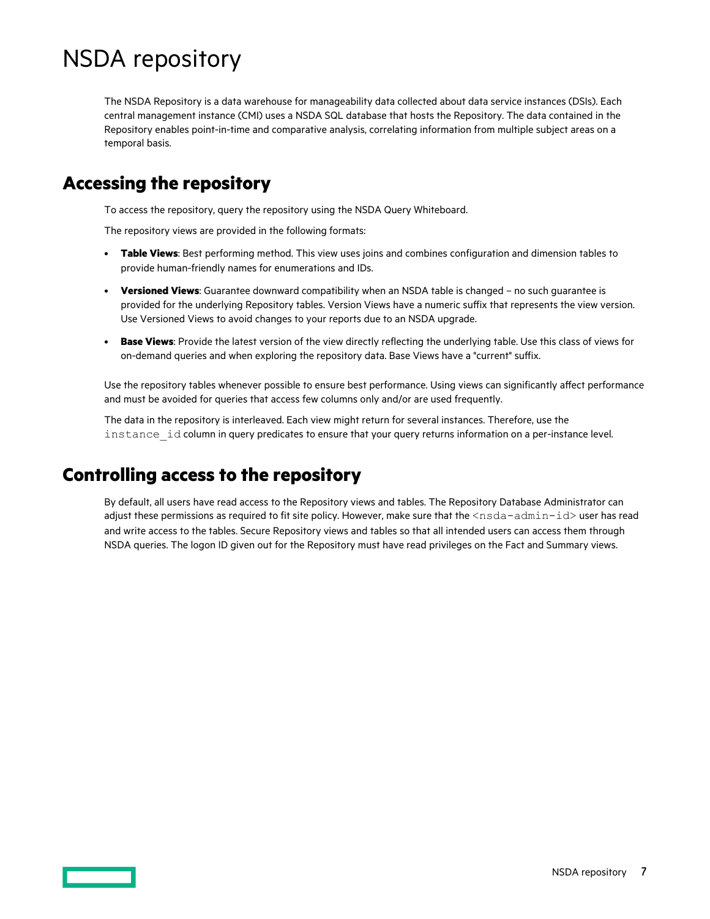# <span id="page-6-0"></span>NSDA repository

The NSDA Repository is a data warehouse for manageability data collected about data service instances (DSIs). Each central management instance (CMI) uses a NSDA SQL database that hosts the Repository. The data contained in the Repository enables point-in-time and comparative analysis, correlating information from multiple subject areas on a temporal basis.

### **Accessing the repository**

To access the repository, query the repository using the NSDA Query Whiteboard.

The repository views are provided in the following formats:

- **Table Views**: Best performing method. This view uses joins and combines configuration and dimension tables to provide human-friendly names for enumerations and IDs.
- **Versioned Views**: Guarantee downward compatibility when an NSDA table is changed no such guarantee is provided for the underlying Repository tables. Version Views have a numeric suffix that represents the view version. Use Versioned Views to avoid changes to your reports due to an NSDA upgrade.
- **Base Views**: Provide the latest version of the view directly reflecting the underlying table. Use this class of views for on-demand queries and when exploring the repository data. Base Views have a "current" suffix.

Use the repository tables whenever possible to ensure best performance. Using views can significantly affect performance and must be avoided for queries that access few columns only and/or are used frequently.

The data in the repository is interleaved. Each view might return for several instances. Therefore, use the instance id column in query predicates to ensure that your query returns information on a per-instance level.

### **Controlling access to the repository**

By default, all users have read access to the Repository views and tables. The Repository Database Administrator can adjust these permissions as required to fit site policy. However, make sure that the <nsda-admin-id> user has read and write access to the tables. Secure Repository views and tables so that all intended users can access them through NSDA queries. The logon ID given out for the Repository must have read privileges on the Fact and Summary views.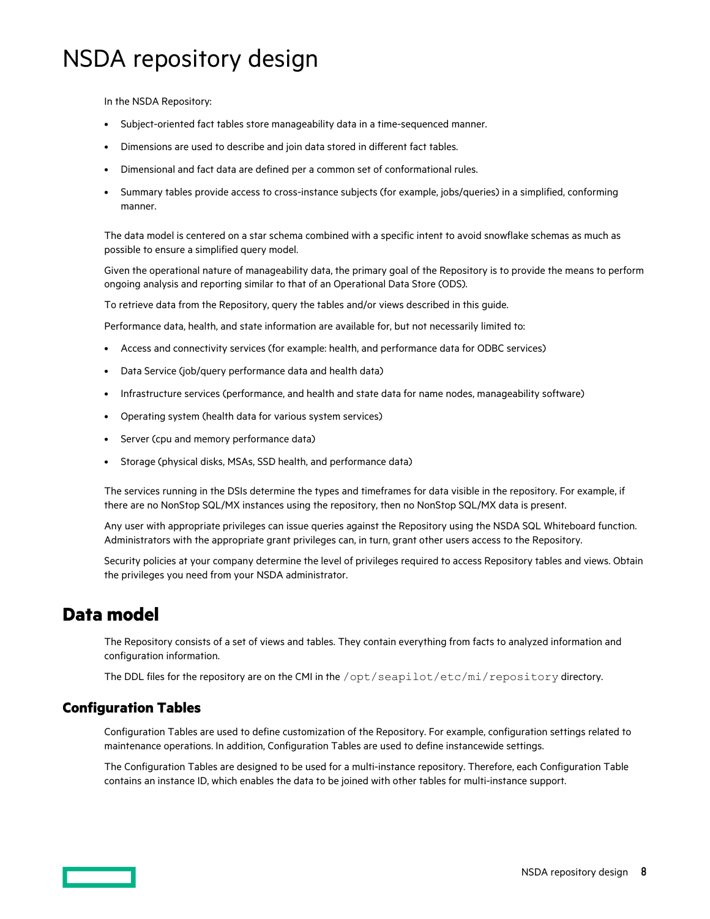# <span id="page-7-0"></span>NSDA repository design

In the NSDA Repository:

- Subject-oriented fact tables store manageability data in a time-sequenced manner.
- Dimensions are used to describe and join data stored in different fact tables.
- Dimensional and fact data are defined per a common set of conformational rules.
- Summary tables provide access to cross-instance subjects (for example, jobs/queries) in a simplified, conforming manner.

The data model is centered on a star schema combined with a specific intent to avoid snowflake schemas as much as possible to ensure a simplified query model.

Given the operational nature of manageability data, the primary goal of the Repository is to provide the means to perform ongoing analysis and reporting similar to that of an Operational Data Store (ODS).

To retrieve data from the Repository, query the tables and/or views described in this guide.

Performance data, health, and state information are available for, but not necessarily limited to:

- Access and connectivity services (for example: health, and performance data for ODBC services)
- Data Service (job/query performance data and health data)
- Infrastructure services (performance, and health and state data for name nodes, manageability software)
- Operating system (health data for various system services)
- Server (cpu and memory performance data)
- Storage (physical disks, MSAs, SSD health, and performance data)

The services running in the DSIs determine the types and timeframes for data visible in the repository. For example, if there are no NonStop SQL/MX instances using the repository, then no NonStop SQL/MX data is present.

Any user with appropriate privileges can issue queries against the Repository using the NSDA SQL Whiteboard function. Administrators with the appropriate grant privileges can, in turn, grant other users access to the Repository.

Security policies at your company determine the level of privileges required to access Repository tables and views. Obtain the privileges you need from your NSDA administrator.

### **Data model**

The Repository consists of a set of views and tables. They contain everything from facts to analyzed information and configuration information.

The DDL files for the repository are on the CMI in the /opt/seapilot/etc/mi/repository directory.

### **Configuration Tables**

Configuration Tables are used to define customization of the Repository. For example, configuration settings related to maintenance operations. In addition, Configuration Tables are used to define instancewide settings.

The Configuration Tables are designed to be used for a multi-instance repository. Therefore, each Configuration Table contains an instance ID, which enables the data to be joined with other tables for multi-instance support.

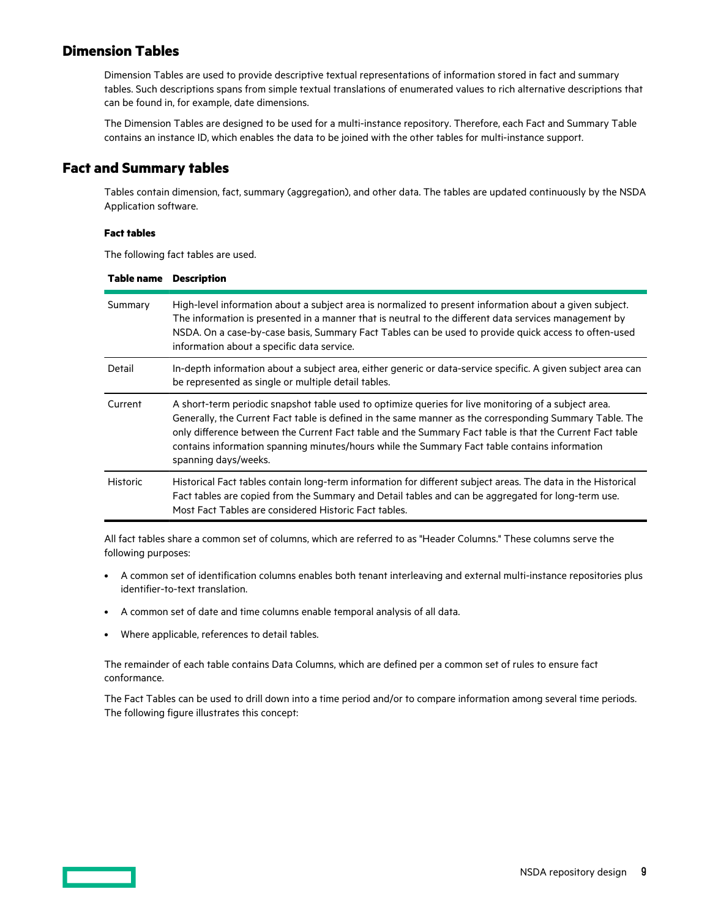### <span id="page-8-0"></span>**Dimension Tables**

Dimension Tables are used to provide descriptive textual representations of information stored in fact and summary tables. Such descriptions spans from simple textual translations of enumerated values to rich alternative descriptions that can be found in, for example, date dimensions.

The Dimension Tables are designed to be used for a multi-instance repository. Therefore, each Fact and Summary Table contains an instance ID, which enables the data to be joined with the other tables for multi-instance support.

### **Fact and Summary tables**

Tables contain dimension, fact, summary (aggregation), and other data. The tables are updated continuously by the NSDA Application software.

#### **Fact tables**

The following fact tables are used.

| Table name      | <b>Description</b>                                                                                                                                                                                                                                                                                                                                                                                                                                   |
|-----------------|------------------------------------------------------------------------------------------------------------------------------------------------------------------------------------------------------------------------------------------------------------------------------------------------------------------------------------------------------------------------------------------------------------------------------------------------------|
| Summary         | High-level information about a subject area is normalized to present information about a given subject.<br>The information is presented in a manner that is neutral to the different data services management by<br>NSDA. On a case-by-case basis, Summary Fact Tables can be used to provide quick access to often-used<br>information about a specific data service.                                                                               |
| Detail          | In-depth information about a subject area, either generic or data-service specific. A given subject area can<br>be represented as single or multiple detail tables.                                                                                                                                                                                                                                                                                  |
| Current         | A short-term periodic snapshot table used to optimize queries for live monitoring of a subject area.<br>Generally, the Current Fact table is defined in the same manner as the corresponding Summary Table. The<br>only difference between the Current Fact table and the Summary Fact table is that the Current Fact table<br>contains information spanning minutes/hours while the Summary Fact table contains information<br>spanning days/weeks. |
| <b>Historic</b> | Historical Fact tables contain long-term information for different subject areas. The data in the Historical<br>Fact tables are copied from the Summary and Detail tables and can be aggregated for long-term use.<br>Most Fact Tables are considered Historic Fact tables.                                                                                                                                                                          |

All fact tables share a common set of columns, which are referred to as "Header Columns." These columns serve the following purposes:

- A common set of identification columns enables both tenant interleaving and external multi-instance repositories plus identifier-to-text translation.
- A common set of date and time columns enable temporal analysis of all data.
- Where applicable, references to detail tables.

The remainder of each table contains Data Columns, which are defined per a common set of rules to ensure fact conformance.

The Fact Tables can be used to drill down into a time period and/or to compare information among several time periods. The following figure illustrates this concept: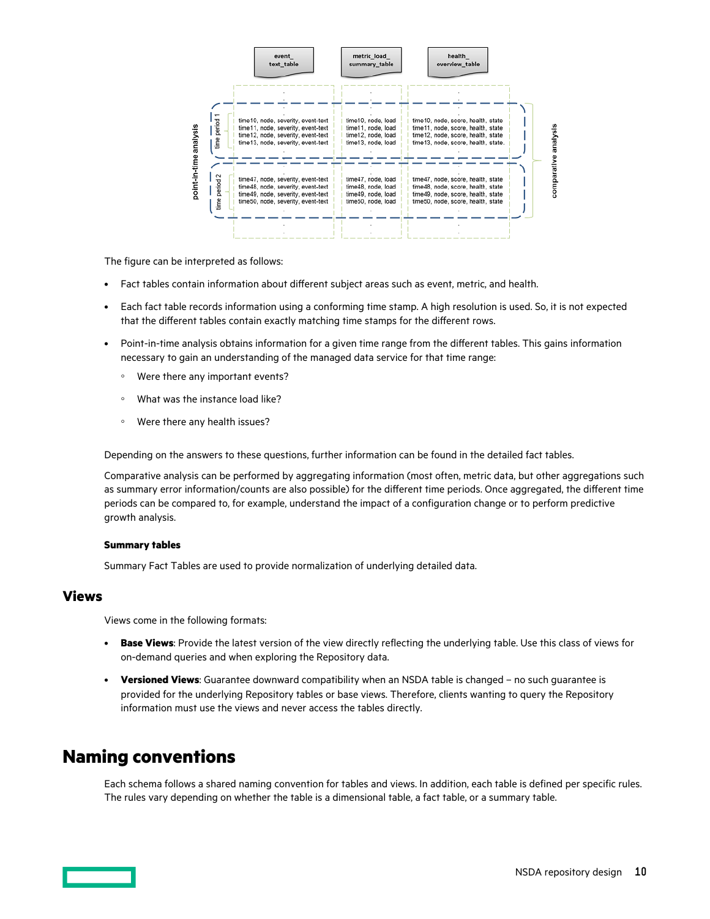<span id="page-9-0"></span>

The figure can be interpreted as follows:

- Fact tables contain information about different subject areas such as event, metric, and health.
- Each fact table records information using a conforming time stamp. A high resolution is used. So, it is not expected that the different tables contain exactly matching time stamps for the different rows.
- Point-in-time analysis obtains information for a given time range from the different tables. This gains information necessary to gain an understanding of the managed data service for that time range:
	- Were there any important events?
	- What was the instance load like?
	- Were there any health issues?

Depending on the answers to these questions, further information can be found in the detailed fact tables.

Comparative analysis can be performed by aggregating information (most often, metric data, but other aggregations such as summary error information/counts are also possible) for the different time periods. Once aggregated, the different time periods can be compared to, for example, understand the impact of a configuration change or to perform predictive growth analysis.

#### **Summary tables**

Summary Fact Tables are used to provide normalization of underlying detailed data.

### **Views**

Views come in the following formats:

- **Base Views**: Provide the latest version of the view directly reflecting the underlying table. Use this class of views for on-demand queries and when exploring the Repository data.
- **Versioned Views**: Guarantee downward compatibility when an NSDA table is changed no such guarantee is provided for the underlying Repository tables or base views. Therefore, clients wanting to query the Repository information must use the views and never access the tables directly.

### **Naming conventions**

Each schema follows a shared naming convention for tables and views. In addition, each table is defined per specific rules. The rules vary depending on whether the table is a dimensional table, a fact table, or a summary table.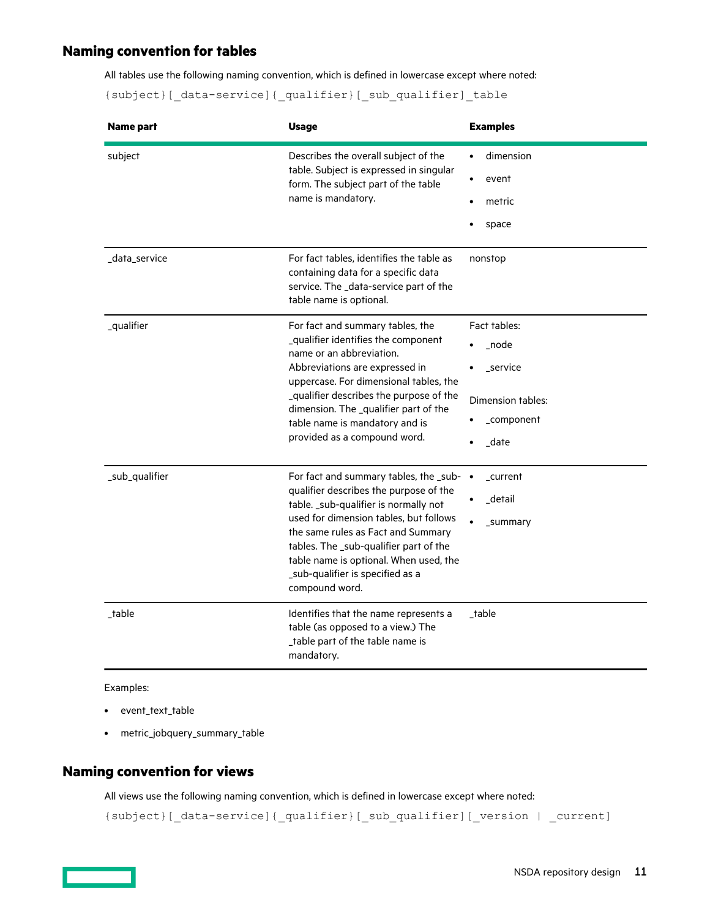### <span id="page-10-0"></span>**Naming convention for tables**

All tables use the following naming convention, which is defined in lowercase except where noted:

{subject}[\_data-service]{\_qualifier}[\_sub\_qualifier]\_table

| Name part      | <b>Usage</b>                                                                                                                                                                                                                                                                                                                                          | <b>Examples</b>                                                              |
|----------------|-------------------------------------------------------------------------------------------------------------------------------------------------------------------------------------------------------------------------------------------------------------------------------------------------------------------------------------------------------|------------------------------------------------------------------------------|
| subject        | Describes the overall subject of the<br>table. Subject is expressed in singular<br>form. The subject part of the table<br>name is mandatory.                                                                                                                                                                                                          | dimension<br>$\bullet$<br>event<br>metric<br>space                           |
| _data_service  | For fact tables, identifies the table as<br>containing data for a specific data<br>service. The _data-service part of the<br>table name is optional.                                                                                                                                                                                                  | nonstop                                                                      |
| _qualifier     | For fact and summary tables, the<br>_qualifier identifies the component<br>name or an abbreviation.<br>Abbreviations are expressed in<br>uppercase. For dimensional tables, the<br>_qualifier describes the purpose of the<br>dimension. The _qualifier part of the<br>table name is mandatory and is<br>provided as a compound word.                 | Fact tables:<br>node<br>_service<br>Dimension tables:<br>_component<br>_date |
| _sub_qualifier | For fact and summary tables, the _sub- •<br>qualifier describes the purpose of the<br>table. _sub-qualifier is normally not<br>used for dimension tables, but follows<br>the same rules as Fact and Summary<br>tables. The _sub-qualifier part of the<br>table name is optional. When used, the<br>_sub-qualifier is specified as a<br>compound word. | _current<br>detail<br>_summary                                               |
| _table         | Identifies that the name represents a<br>table (as opposed to a view.) The<br>_table part of the table name is<br>mandatory.                                                                                                                                                                                                                          | _table                                                                       |

Examples:

- event\_text\_table
- metric\_jobquery\_summary\_table

### **Naming convention for views**

All views use the following naming convention, which is defined in lowercase except where noted:

{subject}[\_data-service]{\_qualifier}[\_sub\_qualifier][\_version | \_current]

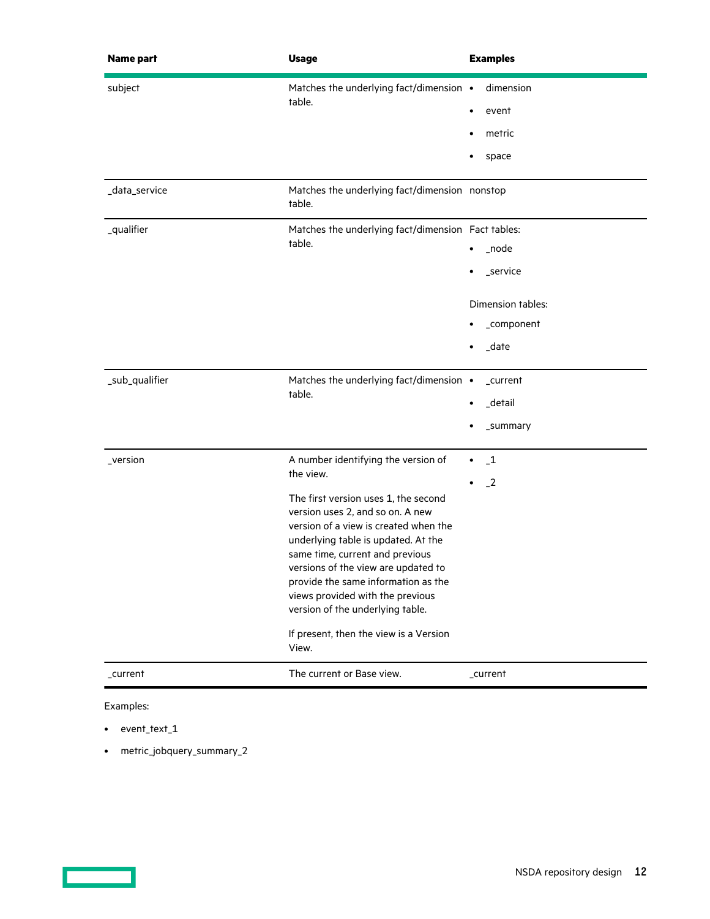| <b>Name part</b> | <b>Usage</b>                                                                                                                                                                                                                                                                                                                                                                                                                                             | <b>Examples</b>                                                                         |
|------------------|----------------------------------------------------------------------------------------------------------------------------------------------------------------------------------------------------------------------------------------------------------------------------------------------------------------------------------------------------------------------------------------------------------------------------------------------------------|-----------------------------------------------------------------------------------------|
| subject          | Matches the underlying fact/dimension •<br>table.                                                                                                                                                                                                                                                                                                                                                                                                        | dimension<br>event<br>٠<br>metric<br>space                                              |
| _data_service    | Matches the underlying fact/dimension nonstop<br>table.                                                                                                                                                                                                                                                                                                                                                                                                  |                                                                                         |
| _qualifier       | Matches the underlying fact/dimension Fact tables:<br>table.                                                                                                                                                                                                                                                                                                                                                                                             | _node<br>$\bullet$<br>_service<br>Dimension tables:<br>_component<br>_date<br>$\bullet$ |
| _sub_qualifier   | Matches the underlying fact/dimension •<br>table.                                                                                                                                                                                                                                                                                                                                                                                                        | _current<br>_detail<br>$\bullet$<br>_summary                                            |
| _version         | A number identifying the version of<br>the view.<br>The first version uses 1, the second<br>version uses 2, and so on. A new<br>version of a view is created when the<br>underlying table is updated. At the<br>same time, current and previous<br>versions of the view are updated to<br>provide the same information as the<br>views provided with the previous<br>version of the underlying table.<br>If present, then the view is a Version<br>View. | $\mathbf{-1}$<br>$\bullet$<br>$-2$<br>٠                                                 |
| _current         | The current or Base view.                                                                                                                                                                                                                                                                                                                                                                                                                                | _current                                                                                |

Examples:

- event\_text\_1
- metric\_jobquery\_summary\_2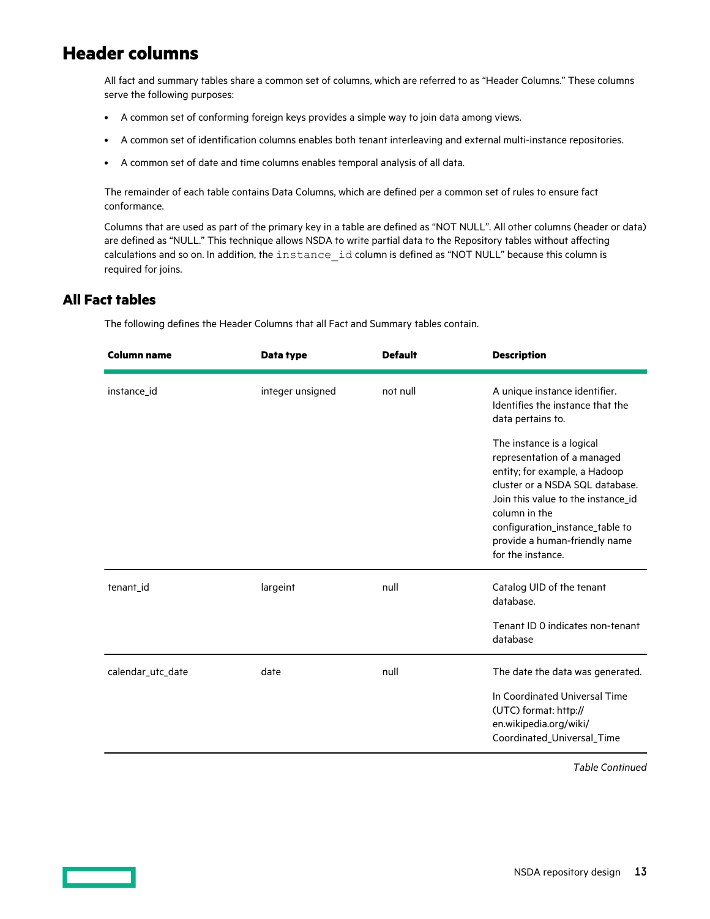### <span id="page-12-0"></span>**Header columns**

All fact and summary tables share a common set of columns, which are referred to as "Header Columns." These columns serve the following purposes:

- A common set of conforming foreign keys provides a simple way to join data among views.
- A common set of identification columns enables both tenant interleaving and external multi-instance repositories.
- A common set of date and time columns enables temporal analysis of all data.

The remainder of each table contains Data Columns, which are defined per a common set of rules to ensure fact conformance.

Columns that are used as part of the primary key in a table are defined as "NOT NULL". All other columns (header or data) are defined as "NULL." This technique allows NSDA to write partial data to the Repository tables without affecting calculations and so on. In addition, the instance id column is defined as "NOT NULL" because this column is required for joins.

### **All Fact tables**

The following defines the Header Columns that all Fact and Summary tables contain.

| <b>Column name</b> | Data type        | <b>Default</b> | <b>Description</b>                                                                                                                                                                                                                                                           |
|--------------------|------------------|----------------|------------------------------------------------------------------------------------------------------------------------------------------------------------------------------------------------------------------------------------------------------------------------------|
| instance_id        | integer unsigned | not null       | A unique instance identifier.<br>Identifies the instance that the<br>data pertains to.                                                                                                                                                                                       |
|                    |                  |                | The instance is a logical<br>representation of a managed<br>entity; for example, a Hadoop<br>cluster or a NSDA SQL database.<br>Join this value to the instance_id<br>column in the<br>configuration_instance_table to<br>provide a human-friendly name<br>for the instance. |
| tenant_id          | largeint         | null           | Catalog UID of the tenant<br>database.                                                                                                                                                                                                                                       |
|                    |                  |                | Tenant ID 0 indicates non-tenant<br>database                                                                                                                                                                                                                                 |
| calendar utc date  | date             | null           | The date the data was generated.                                                                                                                                                                                                                                             |
|                    |                  |                | In Coordinated Universal Time<br>(UTC) format: http://<br>en.wikipedia.org/wiki/<br>Coordinated_Universal_Time                                                                                                                                                               |

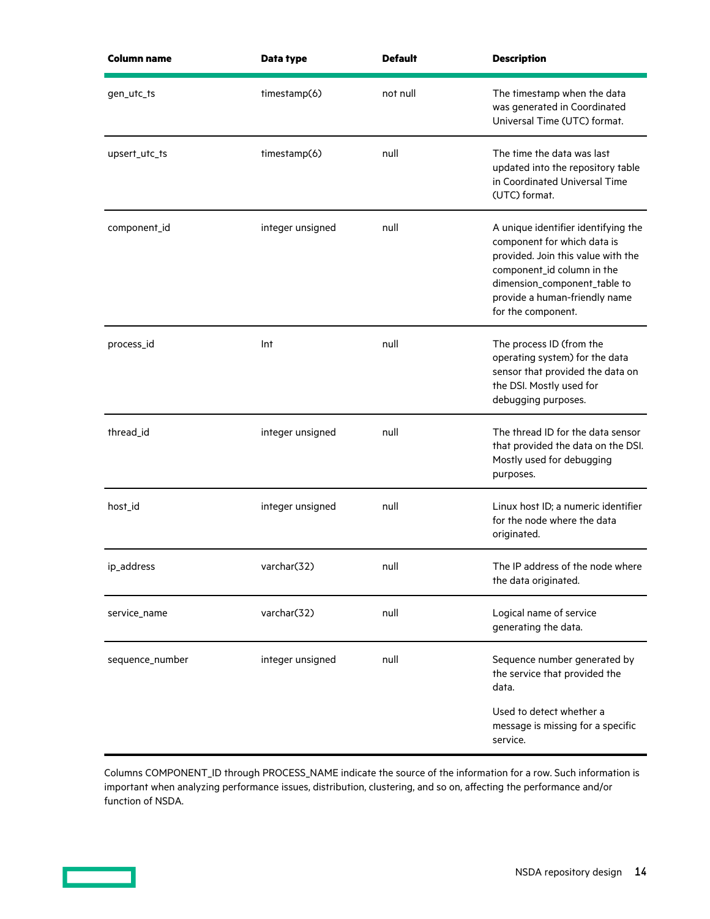| <b>Column name</b> | Data type        | <b>Default</b> | <b>Description</b>                                                                                                                                                                                                            |
|--------------------|------------------|----------------|-------------------------------------------------------------------------------------------------------------------------------------------------------------------------------------------------------------------------------|
| gen_utc_ts         | timestamp(6)     | not null       | The timestamp when the data<br>was generated in Coordinated<br>Universal Time (UTC) format.                                                                                                                                   |
| upsert_utc_ts      | timestamp(6)     | null           | The time the data was last<br>updated into the repository table<br>in Coordinated Universal Time<br>(UTC) format.                                                                                                             |
| component_id       | integer unsigned | null           | A unique identifier identifying the<br>component for which data is<br>provided. Join this value with the<br>component_id column in the<br>dimension_component_table to<br>provide a human-friendly name<br>for the component. |
| process_id         | Int              | null           | The process ID (from the<br>operating system) for the data<br>sensor that provided the data on<br>the DSI. Mostly used for<br>debugging purposes.                                                                             |
| thread_id          | integer unsigned | null           | The thread ID for the data sensor<br>that provided the data on the DSI.<br>Mostly used for debugging<br>purposes.                                                                                                             |
| host_id            | integer unsigned | null           | Linux host ID; a numeric identifier<br>for the node where the data<br>originated.                                                                                                                                             |
| ip_address         | varchar(32)      | null           | The IP address of the node where<br>the data originated.                                                                                                                                                                      |
| service_name       | varchar(32)      | null           | Logical name of service<br>generating the data.                                                                                                                                                                               |
| sequence_number    | integer unsigned | null           | Sequence number generated by<br>the service that provided the<br>data.                                                                                                                                                        |
|                    |                  |                | Used to detect whether a<br>message is missing for a specific<br>service.                                                                                                                                                     |

Columns COMPONENT\_ID through PROCESS\_NAME indicate the source of the information for a row. Such information is important when analyzing performance issues, distribution, clustering, and so on, affecting the performance and/or function of NSDA.

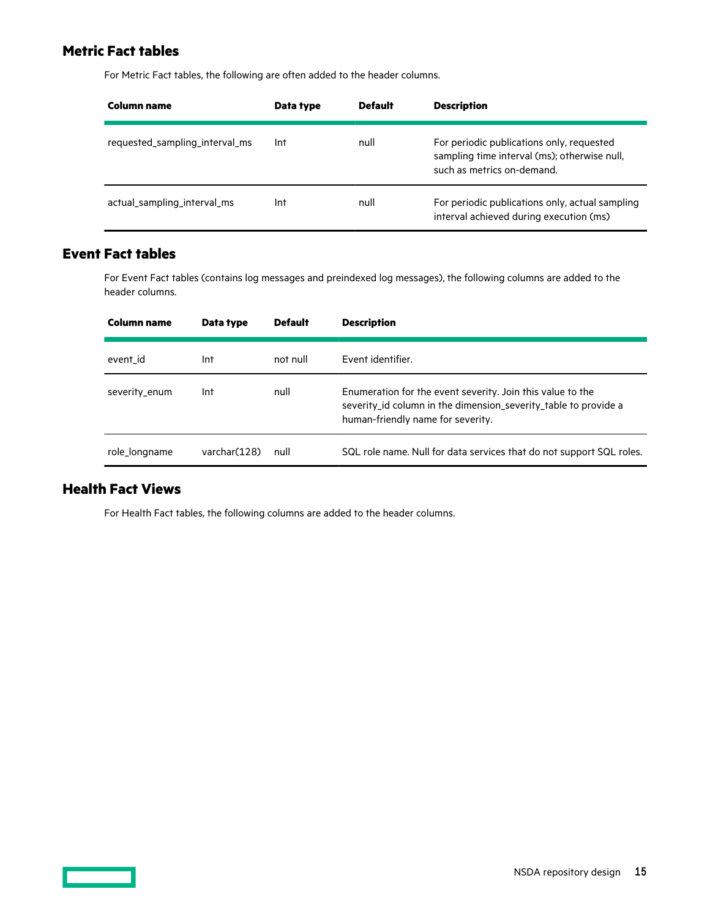### <span id="page-14-0"></span>**Metric Fact tables**

For Metric Fact tables, the following are often added to the header columns.

| Column name                    | Data type | <b>Default</b> | <b>Description</b>                                                                                                      |
|--------------------------------|-----------|----------------|-------------------------------------------------------------------------------------------------------------------------|
| requested_sampling_interval_ms | Int       | null           | For periodic publications only, requested<br>sampling time interval (ms); otherwise null,<br>such as metrics on-demand. |
| actual sampling interval ms    | Int       | null           | For periodic publications only, actual sampling<br>interval achieved during execution (ms)                              |

### **Event Fact tables**

For Event Fact tables (contains log messages and preindexed log messages), the following columns are added to the header columns.

| Column name   | Data type     | <b>Default</b> | <b>Description</b>                                                                                                                                                 |
|---------------|---------------|----------------|--------------------------------------------------------------------------------------------------------------------------------------------------------------------|
| event id      | Int           | not null       | Event identifier.                                                                                                                                                  |
| severity enum | Int           | null           | Enumeration for the event severity. Join this value to the<br>severity_id column in the dimension_severity_table to provide a<br>human-friendly name for severity. |
| role longname | varchar (128) | null           | SQL role name. Null for data services that do not support SQL roles.                                                                                               |

### **Health Fact Views**

For Health Fact tables, the following columns are added to the header columns.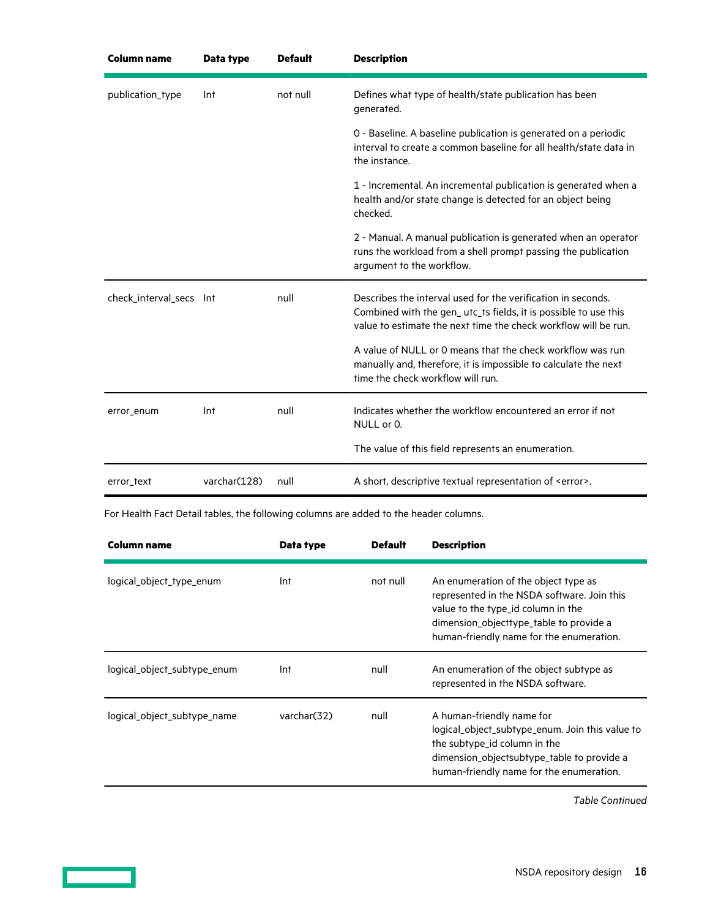| <b>Column name</b>      | Data type    | <b>Default</b> | <b>Description</b>                                                                                                                                                                                 |
|-------------------------|--------------|----------------|----------------------------------------------------------------------------------------------------------------------------------------------------------------------------------------------------|
| publication_type        | Int          | not null       | Defines what type of health/state publication has been<br>generated.                                                                                                                               |
|                         |              |                | 0 - Baseline. A baseline publication is generated on a periodic<br>interval to create a common baseline for all health/state data in<br>the instance.                                              |
|                         |              |                | 1 - Incremental. An incremental publication is generated when a<br>health and/or state change is detected for an object being<br>checked.                                                          |
|                         |              |                | 2 - Manual. A manual publication is generated when an operator<br>runs the workload from a shell prompt passing the publication<br>argument to the workflow.                                       |
| check_interval_secs Int |              | null           | Describes the interval used for the verification in seconds.<br>Combined with the gen_utc_ts fields, it is possible to use this<br>value to estimate the next time the check workflow will be run. |
|                         |              |                | A value of NULL or 0 means that the check workflow was run<br>manually and, therefore, it is impossible to calculate the next<br>time the check workflow will run.                                 |
| error_enum              | Int          | null           | Indicates whether the workflow encountered an error if not<br>NULL or 0.                                                                                                                           |
|                         |              |                | The value of this field represents an enumeration.                                                                                                                                                 |
| error_text              | varchar(128) | null           | A short, descriptive textual representation of <error>.</error>                                                                                                                                    |

For Health Fact Detail tables, the following columns are added to the header columns.

| <b>Column name</b>          | Data type    | <b>Default</b> | <b>Description</b>                                                                                                                                                                                               |
|-----------------------------|--------------|----------------|------------------------------------------------------------------------------------------------------------------------------------------------------------------------------------------------------------------|
| logical_object_type_enum    | Int          | not null       | An enumeration of the object type as<br>represented in the NSDA software. Join this<br>value to the type_id column in the<br>dimension_objecttype_table to provide a<br>human-friendly name for the enumeration. |
| logical_object_subtype_enum | Int          | null           | An enumeration of the object subtype as<br>represented in the NSDA software.                                                                                                                                     |
| logical_object_subtype_name | varchar (32) | null           | A human-friendly name for<br>logical_object_subtype_enum. Join this value to<br>the subtype_id column in the<br>dimension_objectsubtype_table to provide a<br>human-friendly name for the enumeration.           |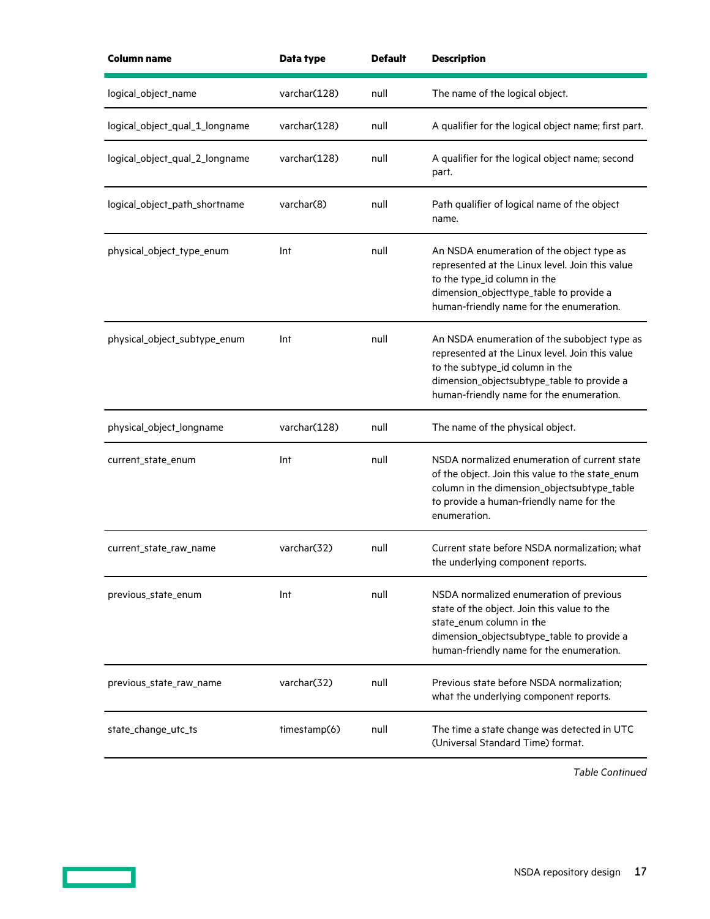| Column name                    | Data type     | <b>Default</b> | <b>Description</b>                                                                                                                                                                                                           |
|--------------------------------|---------------|----------------|------------------------------------------------------------------------------------------------------------------------------------------------------------------------------------------------------------------------------|
| logical_object_name            | varchar(128)  | null           | The name of the logical object.                                                                                                                                                                                              |
| logical_object_qual_1_longname | varchar (128) | null           | A qualifier for the logical object name; first part.                                                                                                                                                                         |
| logical_object_qual_2_longname | varchar (128) | null           | A qualifier for the logical object name; second<br>part.                                                                                                                                                                     |
| logical_object_path_shortname  | varchar(8)    | null           | Path qualifier of logical name of the object<br>name.                                                                                                                                                                        |
| physical_object_type_enum      | Int           | null           | An NSDA enumeration of the object type as<br>represented at the Linux level. Join this value<br>to the type_id column in the<br>dimension_objecttype_table to provide a<br>human-friendly name for the enumeration.          |
| physical_object_subtype_enum   | Int           | null           | An NSDA enumeration of the subobject type as<br>represented at the Linux level. Join this value<br>to the subtype_id column in the<br>dimension_objectsubtype_table to provide a<br>human-friendly name for the enumeration. |
| physical_object_longname       | varchar(128)  | null           | The name of the physical object.                                                                                                                                                                                             |
| current_state_enum             | Int           | null           | NSDA normalized enumeration of current state<br>of the object. Join this value to the state_enum<br>column in the dimension_objectsubtype_table<br>to provide a human-friendly name for the<br>enumeration.                  |
| current_state_raw_name         | varchar(32)   | null           | Current state before NSDA normalization; what<br>the underlying component reports.                                                                                                                                           |
| previous_state_enum            | Int           | null           | NSDA normalized enumeration of previous<br>state of the object. Join this value to the<br>state_enum column in the<br>dimension_objectsubtype_table to provide a<br>human-friendly name for the enumeration.                 |
| previous_state_raw_name        | varchar(32)   | null           | Previous state before NSDA normalization;<br>what the underlying component reports.                                                                                                                                          |
| state_change_utc_ts            | timestamp(6)  | null           | The time a state change was detected in UTC<br>(Universal Standard Time) format.                                                                                                                                             |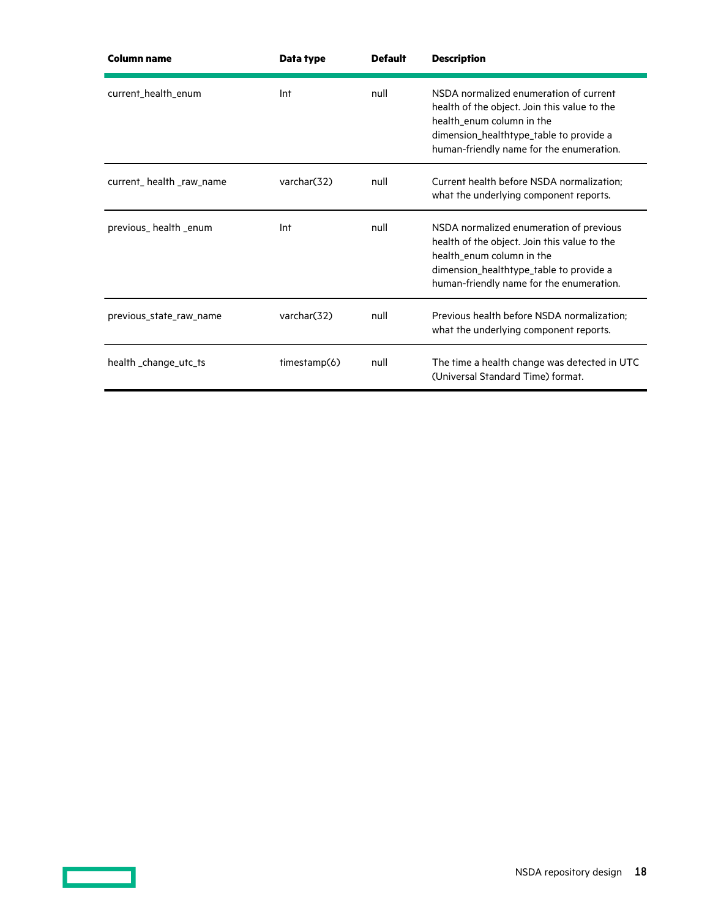| Column name             | Data type    | <b>Default</b> | <b>Description</b>                                                                                                                                                                                          |
|-------------------------|--------------|----------------|-------------------------------------------------------------------------------------------------------------------------------------------------------------------------------------------------------------|
| current_health_enum     | Int          | null           | NSDA normalized enumeration of current<br>health of the object. Join this value to the<br>health enum column in the<br>dimension_healthtype_table to provide a<br>human-friendly name for the enumeration.  |
| current_health_raw_name | varchar (32) | null           | Current health before NSDA normalization;<br>what the underlying component reports.                                                                                                                         |
| previous_health_enum    | Int          | null           | NSDA normalized enumeration of previous<br>health of the object. Join this value to the<br>health_enum column in the<br>dimension_healthtype_table to provide a<br>human-friendly name for the enumeration. |
| previous_state_raw_name | varchar(32)  | null           | Previous health before NSDA normalization;<br>what the underlying component reports.                                                                                                                        |
| health_change_utc_ts    | timestamp(6) | null           | The time a health change was detected in UTC<br>(Universal Standard Time) format.                                                                                                                           |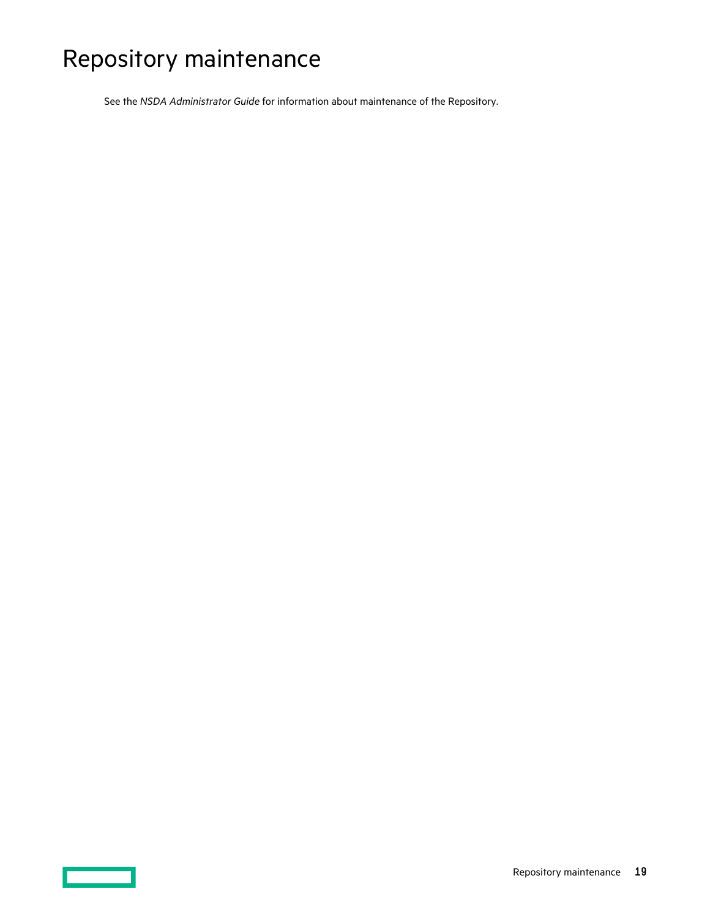# <span id="page-18-0"></span>Repository maintenance

See the *NSDA Administrator Guide* for information about maintenance of the Repository.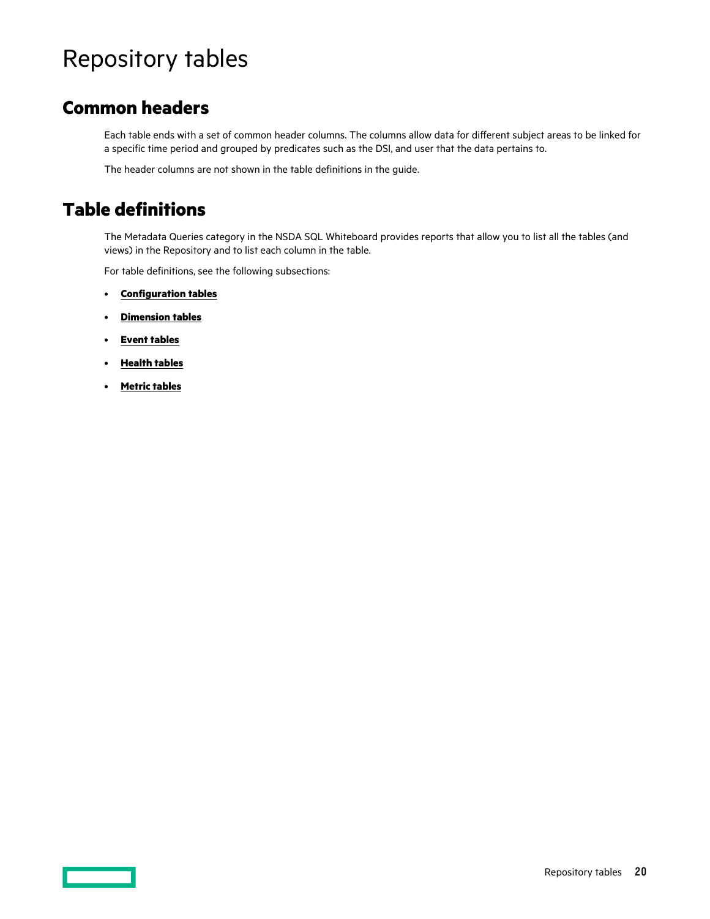# <span id="page-19-0"></span>Repository tables

### **Common headers**

Each table ends with a set of common header columns. The columns allow data for different subject areas to be linked for a specific time period and grouped by predicates such as the DSI, and user that the data pertains to.

The header columns are not shown in the table definitions in the guide.

### **Table definitions**

The Metadata Queries category in the NSDA SQL Whiteboard provides reports that allow you to list all the tables (and views) in the Repository and to list each column in the table.

For table definitions, see the following subsections:

- **[Configuration tables](#page-20-0)**
- **[Dimension tables](#page-27-0)**
- **[Event tables](#page-32-0)**
- **[Health tables](#page-34-0)**
- **[Metric tables](#page-36-0)**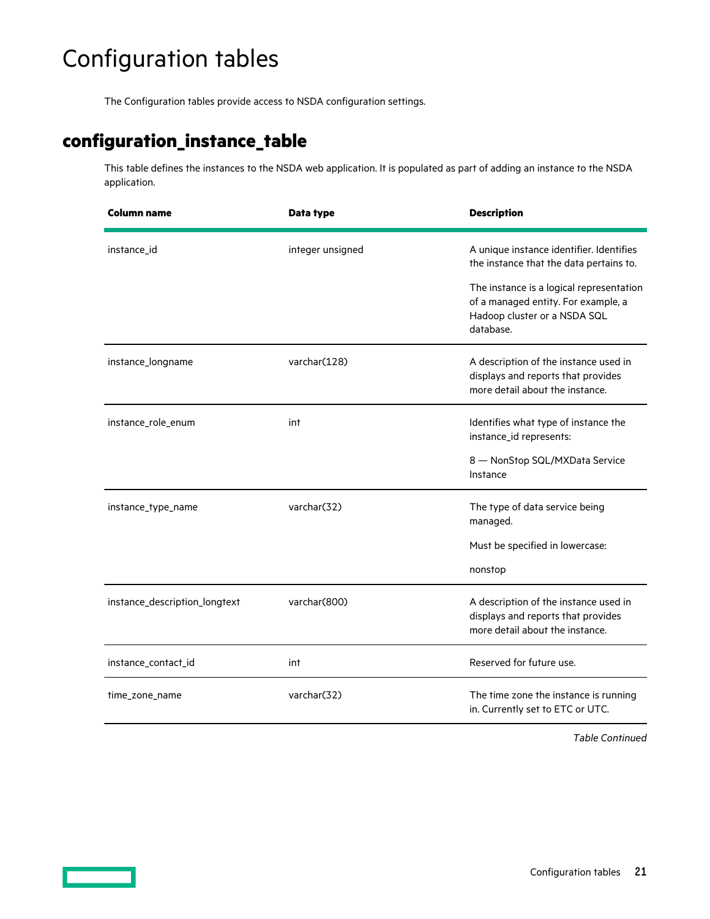# <span id="page-20-0"></span>Configuration tables

The Configuration tables provide access to NSDA configuration settings.

## **configuration\_instance\_table**

This table defines the instances to the NSDA web application. It is populated as part of adding an instance to the NSDA application.

| Column name                   | Data type        | <b>Description</b>                                                                                                           |
|-------------------------------|------------------|------------------------------------------------------------------------------------------------------------------------------|
| instance_id                   | integer unsigned | A unique instance identifier. Identifies<br>the instance that the data pertains to.                                          |
|                               |                  | The instance is a logical representation<br>of a managed entity. For example, a<br>Hadoop cluster or a NSDA SQL<br>database. |
| instance_longname             | varchar(128)     | A description of the instance used in<br>displays and reports that provides<br>more detail about the instance.               |
| instance_role_enum            | int              | Identifies what type of instance the<br>instance_id represents:                                                              |
|                               |                  | 8 - NonStop SQL/MXData Service<br>Instance                                                                                   |
| instance_type_name            | varchar(32)      | The type of data service being<br>managed.                                                                                   |
|                               |                  | Must be specified in lowercase:                                                                                              |
|                               |                  | nonstop                                                                                                                      |
| instance_description_longtext | varchar(800)     | A description of the instance used in<br>displays and reports that provides<br>more detail about the instance.               |
| instance_contact_id           | int              | Reserved for future use.                                                                                                     |
| time_zone_name                | varchar(32)      | The time zone the instance is running<br>in. Currently set to ETC or UTC.                                                    |

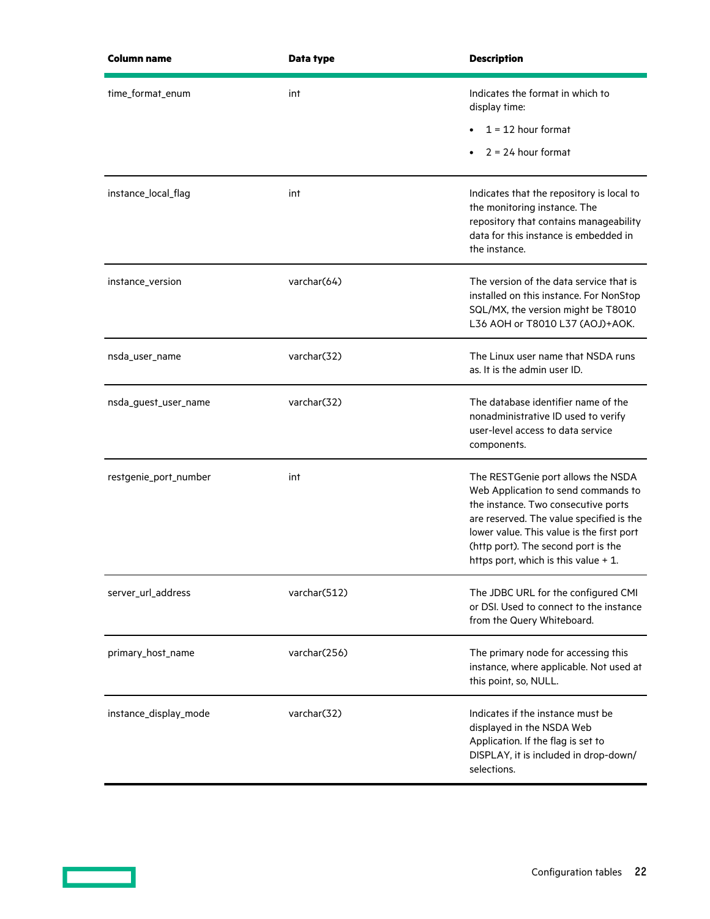| <b>Column name</b>    | Data type    | <b>Description</b>                                                                                                                                                                                                                                                                       |
|-----------------------|--------------|------------------------------------------------------------------------------------------------------------------------------------------------------------------------------------------------------------------------------------------------------------------------------------------|
| time_format_enum      | int          | Indicates the format in which to<br>display time:                                                                                                                                                                                                                                        |
|                       |              | $1 = 12$ hour format                                                                                                                                                                                                                                                                     |
|                       |              | $2 = 24$ hour format                                                                                                                                                                                                                                                                     |
| instance_local_flag   | int          | Indicates that the repository is local to<br>the monitoring instance. The<br>repository that contains manageability<br>data for this instance is embedded in<br>the instance.                                                                                                            |
| instance_version      | varchar(64)  | The version of the data service that is<br>installed on this instance. For NonStop<br>SQL/MX, the version might be T8010<br>L36 AOH or T8010 L37 (AOJ)+AOK.                                                                                                                              |
| nsda_user_name        | varchar(32)  | The Linux user name that NSDA runs<br>as. It is the admin user ID.                                                                                                                                                                                                                       |
| nsda_guest_user_name  | varchar(32)  | The database identifier name of the<br>nonadministrative ID used to verify<br>user-level access to data service<br>components.                                                                                                                                                           |
| restgenie_port_number | int          | The RESTGenie port allows the NSDA<br>Web Application to send commands to<br>the instance. Two consecutive ports<br>are reserved. The value specified is the<br>lower value. This value is the first port<br>(http port). The second port is the<br>https port, which is this value + 1. |
| server_url_address    | varchar(512) | The JDBC URL for the configured CMI<br>or DSI. Used to connect to the instance<br>from the Query Whiteboard.                                                                                                                                                                             |
| primary_host_name     | varchar(256) | The primary node for accessing this<br>instance, where applicable. Not used at<br>this point, so, NULL.                                                                                                                                                                                  |
| instance_display_mode | varchar(32)  | Indicates if the instance must be<br>displayed in the NSDA Web<br>Application. If the flag is set to<br>DISPLAY, it is included in drop-down/<br>selections.                                                                                                                             |

<u>a sa sai</u>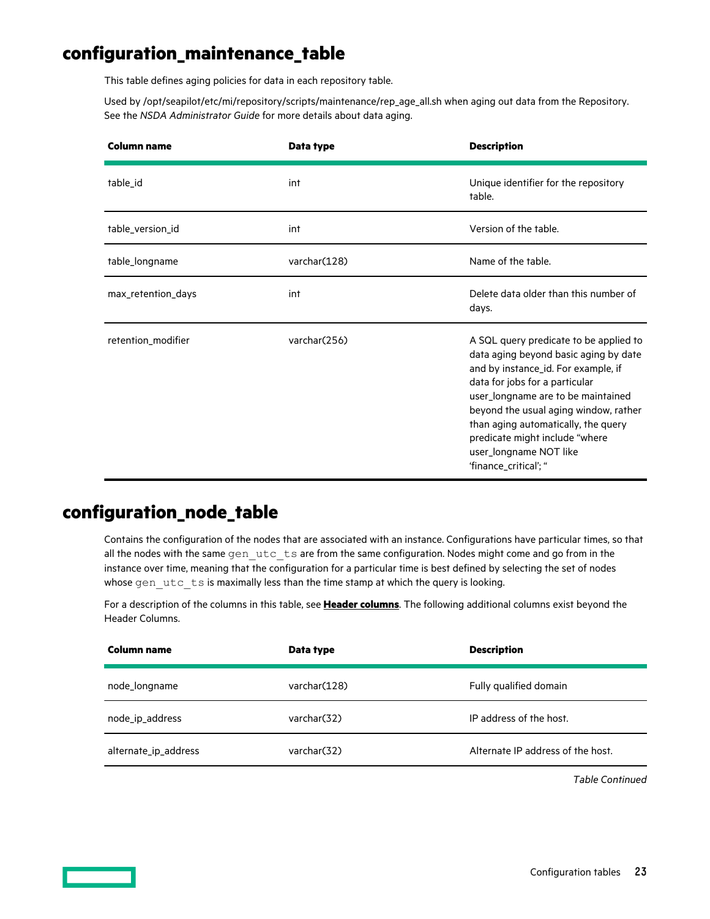### <span id="page-22-0"></span>**configuration\_maintenance\_table**

This table defines aging policies for data in each repository table.

Used by /opt/seapilot/etc/mi/repository/scripts/maintenance/rep\_age\_all.sh when aging out data from the Repository. See the *NSDA Administrator Guide* for more details about data aging.

| Column name        | Data type    | <b>Description</b>                                                                                                                                                                                                                                                                                                                                                  |
|--------------------|--------------|---------------------------------------------------------------------------------------------------------------------------------------------------------------------------------------------------------------------------------------------------------------------------------------------------------------------------------------------------------------------|
| table_id           | int          | Unique identifier for the repository<br>table.                                                                                                                                                                                                                                                                                                                      |
| table_version_id   | int          | Version of the table.                                                                                                                                                                                                                                                                                                                                               |
| table_longname     | varchar(128) | Name of the table.                                                                                                                                                                                                                                                                                                                                                  |
| max_retention_days | int          | Delete data older than this number of<br>days.                                                                                                                                                                                                                                                                                                                      |
| retention_modifier | varchar(256) | A SQL query predicate to be applied to<br>data aging beyond basic aging by date<br>and by instance_id. For example, if<br>data for jobs for a particular<br>user_longname are to be maintained<br>beyond the usual aging window, rather<br>than aging automatically, the query<br>predicate might include "where<br>user_longname NOT like<br>'finance_critical'; " |

### **configuration\_node\_table**

Contains the configuration of the nodes that are associated with an instance. Configurations have particular times, so that all the nodes with the same gen\_utc\_ts are from the same configuration. Nodes might come and go from in the instance over time, meaning that the configuration for a particular time is best defined by selecting the set of nodes whose gen utc ts is maximally less than the time stamp at which the query is looking.

For a description of the columns in this table, see **[Header columns](#page-12-0)**. The following additional columns exist beyond the Header Columns.

| Column name          | Data type     | <b>Description</b>                |
|----------------------|---------------|-----------------------------------|
| node_longname        | varchar (128) | Fully qualified domain            |
| node_ip_address      | varchar(32)   | IP address of the host.           |
| alternate_ip_address | varchar(32)   | Alternate IP address of the host. |

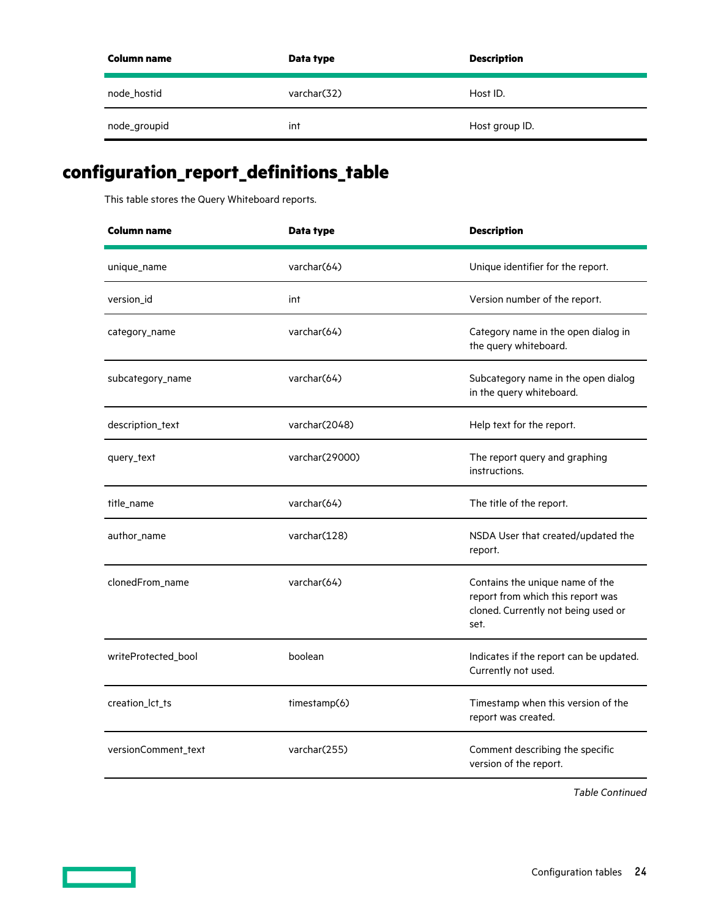<span id="page-23-0"></span>

| Column name  | Data type   | <b>Description</b> |
|--------------|-------------|--------------------|
| node_hostid  | varchar(32) | Host ID.           |
| node_groupid | int         | Host group ID.     |

# **configuration\_report\_definitions\_table**

This table stores the Query Whiteboard reports.

| <b>Column name</b>  | Data type      | <b>Description</b>                                                                                                  |
|---------------------|----------------|---------------------------------------------------------------------------------------------------------------------|
| unique_name         | varchar(64)    | Unique identifier for the report.                                                                                   |
| version_id          | int            | Version number of the report.                                                                                       |
| category_name       | varchar(64)    | Category name in the open dialog in<br>the query whiteboard.                                                        |
| subcategory_name    | varchar(64)    | Subcategory name in the open dialog<br>in the query whiteboard.                                                     |
| description_text    | varchar(2048)  | Help text for the report.                                                                                           |
| query_text          | varchar(29000) | The report query and graphing<br>instructions.                                                                      |
| title_name          | varchar(64)    | The title of the report.                                                                                            |
| author_name         | varchar(128)   | NSDA User that created/updated the<br>report.                                                                       |
| clonedFrom_name     | varchar(64)    | Contains the unique name of the<br>report from which this report was<br>cloned. Currently not being used or<br>set. |
| writeProtected_bool | boolean        | Indicates if the report can be updated.<br>Currently not used.                                                      |
| creation_lct_ts     | timestamp(6)   | Timestamp when this version of the<br>report was created.                                                           |
| versionComment_text | varchar(255)   | Comment describing the specific<br>version of the report.                                                           |

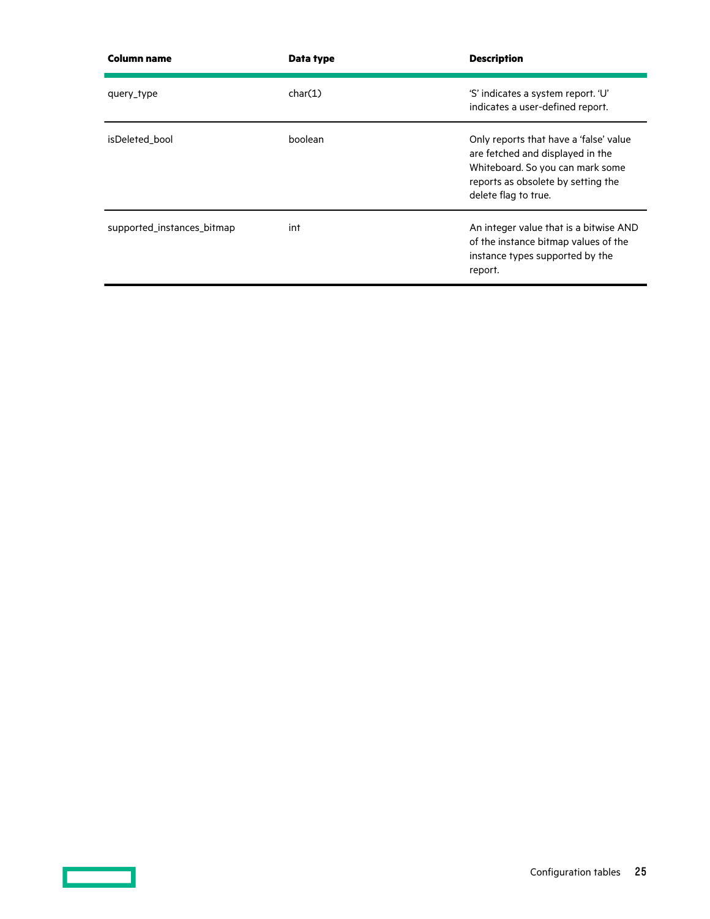| <b>Column name</b>         | Data type | <b>Description</b>                                                                                                                                                           |
|----------------------------|-----------|------------------------------------------------------------------------------------------------------------------------------------------------------------------------------|
| query_type                 | char(1)   | 'S' indicates a system report. 'U'<br>indicates a user-defined report.                                                                                                       |
| isDeleted bool             | boolean   | Only reports that have a 'false' value<br>are fetched and displayed in the<br>Whiteboard. So you can mark some<br>reports as obsolete by setting the<br>delete flag to true. |
| supported_instances_bitmap | int       | An integer value that is a bitwise AND<br>of the instance bitmap values of the<br>instance types supported by the<br>report.                                                 |

 $\overline{\phantom{a}}$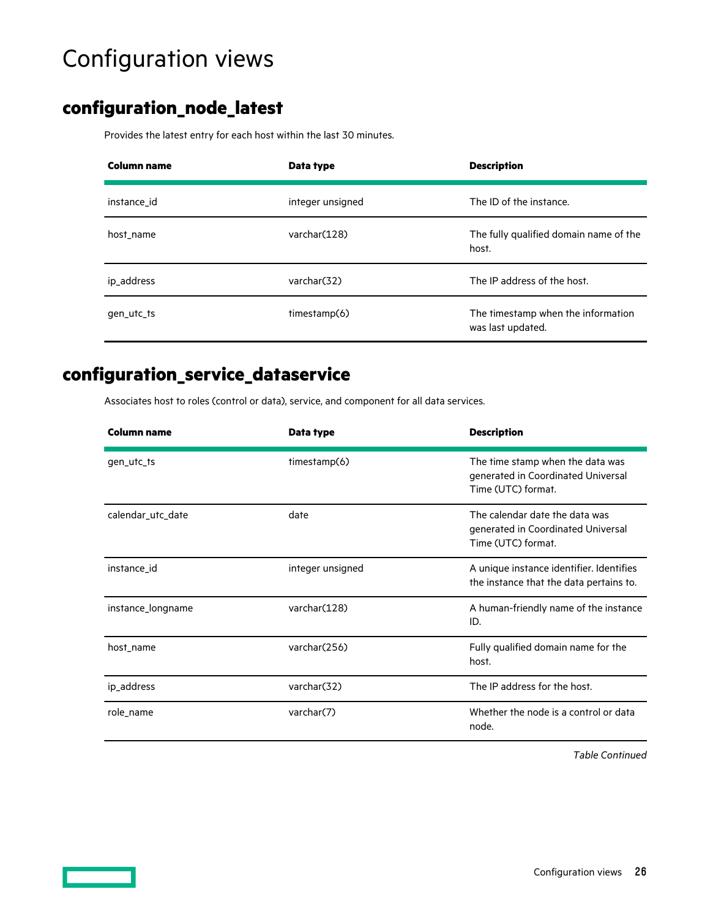# <span id="page-25-0"></span>Configuration views

## **configuration\_node\_latest**

Provides the latest entry for each host within the last 30 minutes.

| Column name | Data type        | <b>Description</b>                                      |
|-------------|------------------|---------------------------------------------------------|
| instance_id | integer unsigned | The ID of the instance.                                 |
| host name   | varchar(128)     | The fully qualified domain name of the<br>host.         |
| ip_address  | varchar(32)      | The IP address of the host.                             |
| gen_utc_ts  | timestamp(6)     | The timestamp when the information<br>was last updated. |

### **configuration\_service\_dataservice**

Associates host to roles (control or data), service, and component for all data services.

| <b>Column name</b> | Data type        | <b>Description</b>                                                                           |
|--------------------|------------------|----------------------------------------------------------------------------------------------|
| gen_utc_ts         | timestamp(6)     | The time stamp when the data was<br>generated in Coordinated Universal<br>Time (UTC) format. |
| calendar_utc_date  | date             | The calendar date the data was<br>generated in Coordinated Universal<br>Time (UTC) format.   |
| instance_id        | integer unsigned | A unique instance identifier. Identifies<br>the instance that the data pertains to.          |
| instance_longname  | varchar(128)     | A human-friendly name of the instance<br>ID.                                                 |
| host_name          | varchar(256)     | Fully qualified domain name for the<br>host.                                                 |
| ip_address         | varchar(32)      | The IP address for the host.                                                                 |
| role_name          | varchar(7)       | Whether the node is a control or data<br>node.                                               |

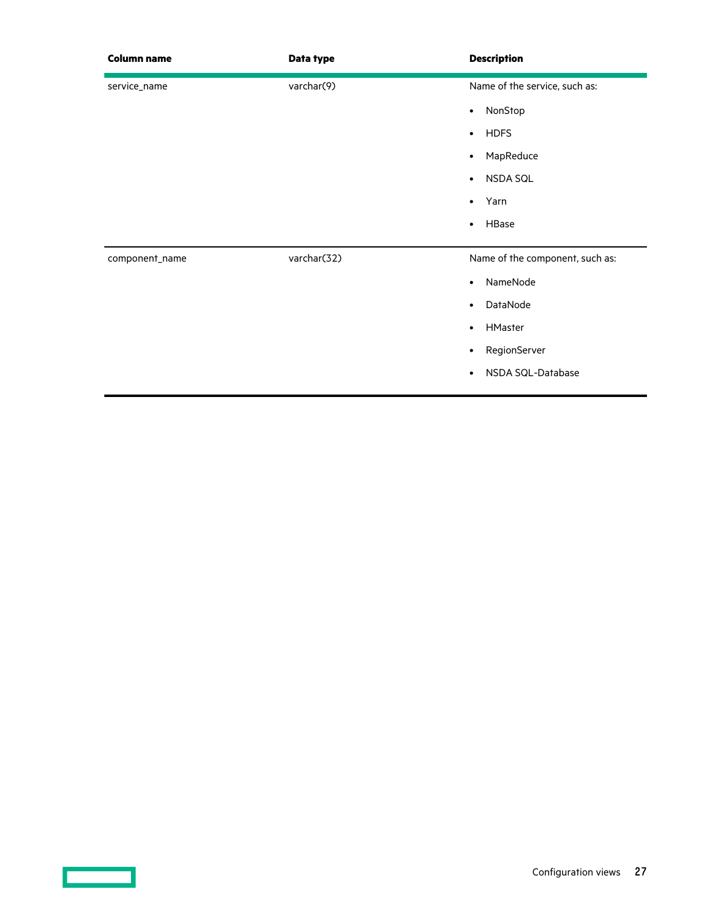| <b>Column name</b> | Data type   | <b>Description</b>              |
|--------------------|-------------|---------------------------------|
| service_name       | varchar(9)  | Name of the service, such as:   |
|                    |             | NonStop<br>$\bullet$            |
|                    |             | <b>HDFS</b><br>$\bullet$        |
|                    |             | MapReduce<br>$\bullet$          |
|                    |             | NSDA SQL<br>$\bullet$           |
|                    |             | Yarn<br>$\bullet$               |
|                    |             | HBase<br>$\bullet$              |
| component_name     | varchar(32) | Name of the component, such as: |
|                    |             | NameNode<br>$\bullet$           |
|                    |             | DataNode<br>$\bullet$           |
|                    |             | HMaster<br>$\bullet$            |
|                    |             | RegionServer<br>$\bullet$       |
|                    |             | NSDA SQL-Database<br>$\bullet$  |
|                    |             |                                 |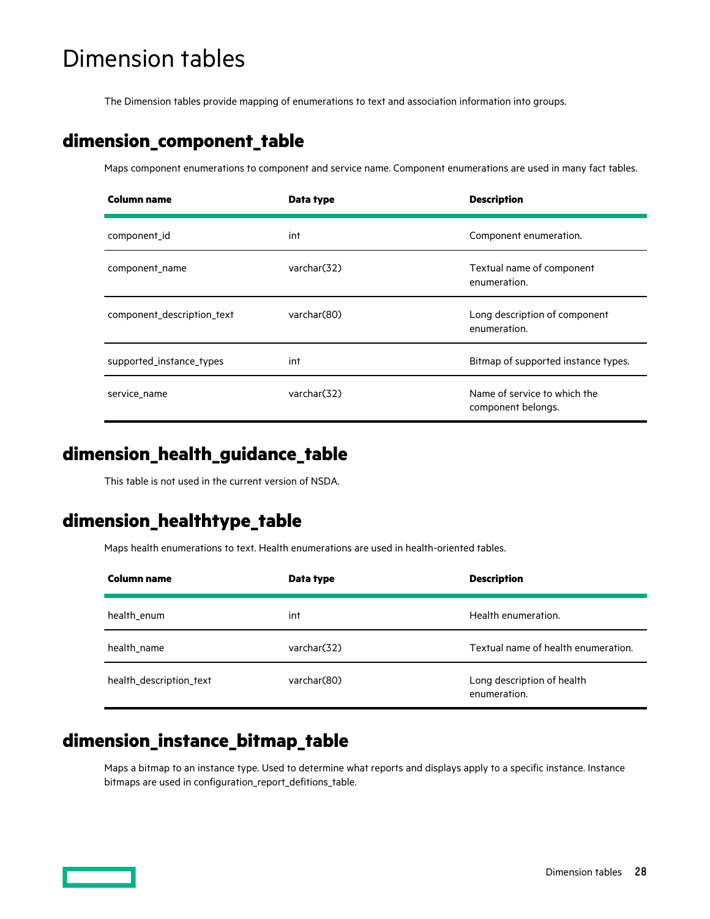# <span id="page-27-0"></span>Dimension tables

The Dimension tables provide mapping of enumerations to text and association information into groups.

### **dimension\_component\_table**

Maps component enumerations to component and service name. Component enumerations are used in many fact tables.

| <b>Column name</b>         | Data type   | <b>Description</b>                                 |
|----------------------------|-------------|----------------------------------------------------|
| component id               | int         | Component enumeration.                             |
| component_name             | varchar(32) | Textual name of component<br>enumeration.          |
| component_description_text | varchar(80) | Long description of component<br>enumeration.      |
| supported_instance_types   | int         | Bitmap of supported instance types.                |
| service name               | varchar(32) | Name of service to which the<br>component belongs. |

### **dimension\_health\_guidance\_table**

This table is not used in the current version of NSDA.

### **dimension\_healthtype\_table**

Maps health enumerations to text. Health enumerations are used in health-oriented tables.

| Column name             | Data type    | <b>Description</b>                         |
|-------------------------|--------------|--------------------------------------------|
| health_enum             | int          | Health enumeration.                        |
| health name             | varchar (32) | Textual name of health enumeration.        |
| health_description_text | varchar (80) | Long description of health<br>enumeration. |

### **dimension\_instance\_bitmap\_table**

Maps a bitmap to an instance type. Used to determine what reports and displays apply to a specific instance. Instance bitmaps are used in configuration\_report\_defitions\_table.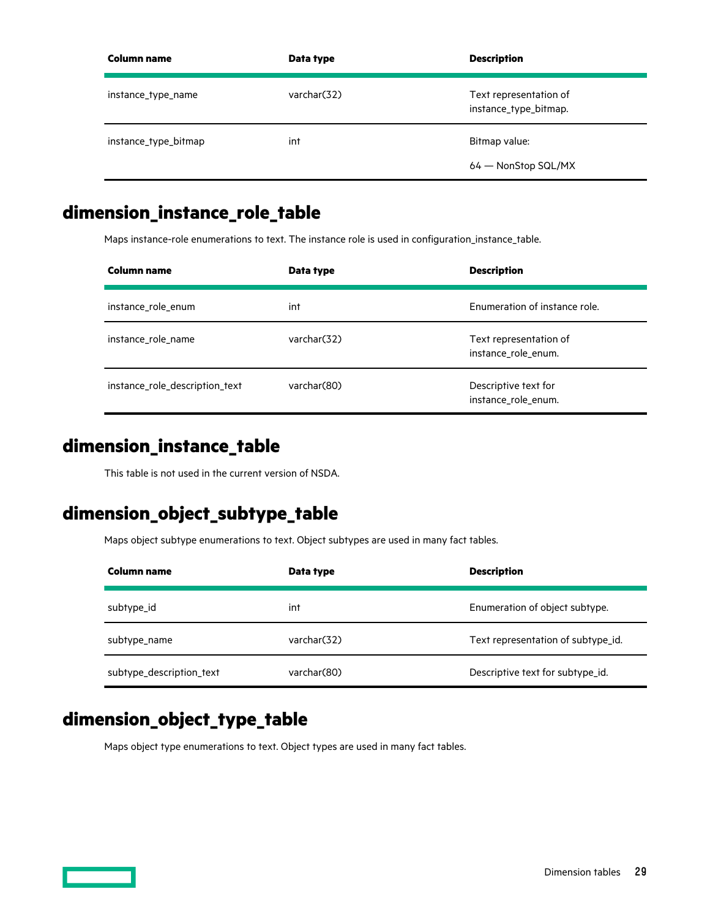<span id="page-28-0"></span>

| <b>Column name</b>   | Data type   | <b>Description</b>                              |
|----------------------|-------------|-------------------------------------------------|
| instance_type_name   | varchar(32) | Text representation of<br>instance_type_bitmap. |
| instance_type_bitmap | int         | Bitmap value:                                   |
|                      |             | 64 – NonStop SQL/MX                             |

## **dimension\_instance\_role\_table**

Maps instance-role enumerations to text. The instance role is used in configuration\_instance\_table.

| Column name                    | Data type   | <b>Description</b>                            |
|--------------------------------|-------------|-----------------------------------------------|
| instance_role_enum             | int         | Enumeration of instance role.                 |
| instance role name             | varchar(32) | Text representation of<br>instance_role_enum. |
| instance_role_description_text | varchar(80) | Descriptive text for<br>instance_role_enum.   |

### **dimension\_instance\_table**

This table is not used in the current version of NSDA.

## **dimension\_object\_subtype\_table**

Maps object subtype enumerations to text. Object subtypes are used in many fact tables.

| Column name              | Data type   | <b>Description</b>                 |
|--------------------------|-------------|------------------------------------|
| subtype_id               | int         | Enumeration of object subtype.     |
| subtype_name             | varchar(32) | Text representation of subtype id. |
| subtype_description_text | varchar(80) | Descriptive text for subtype_id.   |

### **dimension\_object\_type\_table**

Maps object type enumerations to text. Object types are used in many fact tables.

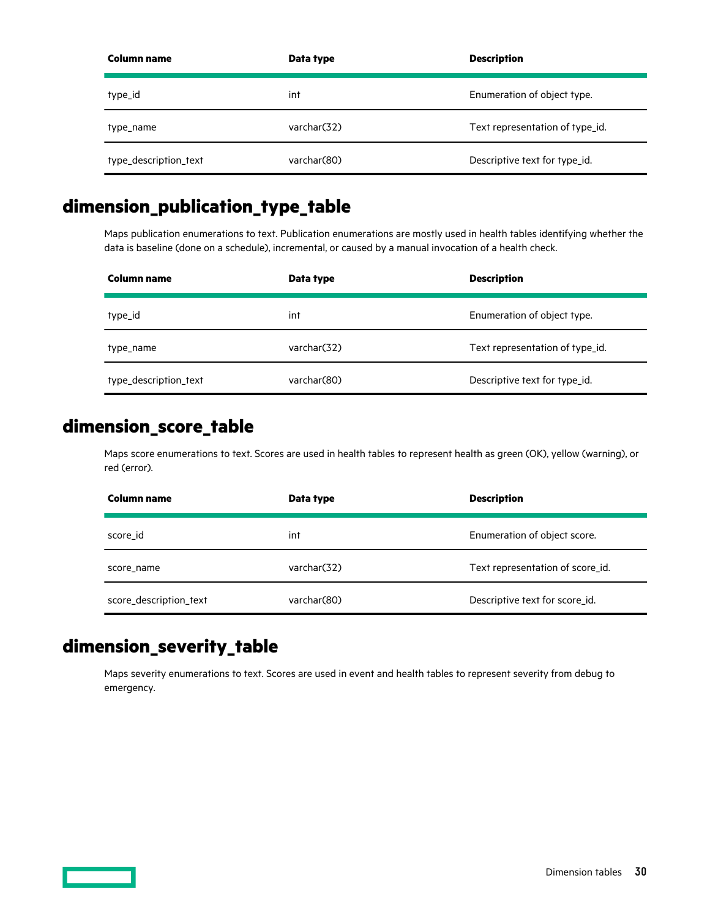<span id="page-29-0"></span>

| Column name           | Data type   | <b>Description</b>              |
|-----------------------|-------------|---------------------------------|
| type_id               | int         | Enumeration of object type.     |
| type_name             | varchar(32) | Text representation of type_id. |
| type_description_text | varchar(80) | Descriptive text for type_id.   |

## **dimension\_publication\_type\_table**

Maps publication enumerations to text. Publication enumerations are mostly used in health tables identifying whether the data is baseline (done on a schedule), incremental, or caused by a manual invocation of a health check.

| Column name           | Data type   | <b>Description</b>              |
|-----------------------|-------------|---------------------------------|
| type_id               | int         | Enumeration of object type.     |
| type_name             | varchar(32) | Text representation of type id. |
| type_description_text | varchar(80) | Descriptive text for type_id.   |

### **dimension\_score\_table**

Maps score enumerations to text. Scores are used in health tables to represent health as green (OK), yellow (warning), or red (error).

| Column name            | Data type   | <b>Description</b>               |
|------------------------|-------------|----------------------------------|
| score_id               | int         | Enumeration of object score.     |
| score name             | varchar(32) | Text representation of score_id. |
| score_description_text | varchar(80) | Descriptive text for score_id.   |

## **dimension\_severity\_table**

Maps severity enumerations to text. Scores are used in event and health tables to represent severity from debug to emergency.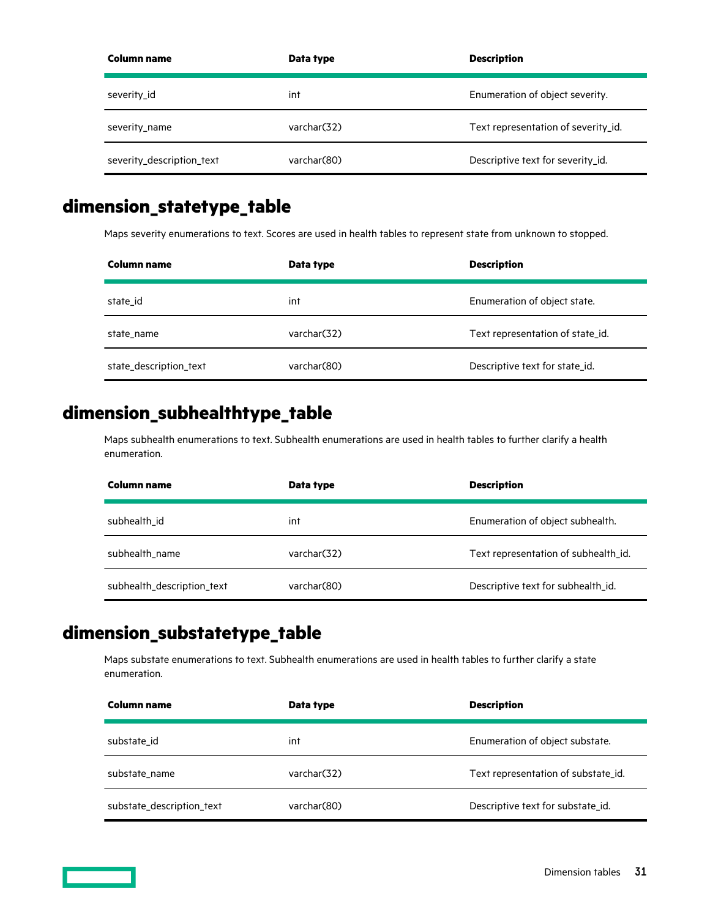<span id="page-30-0"></span>

| Column name               | Data type   | <b>Description</b>                  |
|---------------------------|-------------|-------------------------------------|
| severity_id               | int         | Enumeration of object severity.     |
| severity_name             | varchar(32) | Text representation of severity id. |
| severity_description_text | varchar(80) | Descriptive text for severity_id.   |

### **dimension\_statetype\_table**

Maps severity enumerations to text. Scores are used in health tables to represent state from unknown to stopped.

| Column name            | Data type   | <b>Description</b>               |
|------------------------|-------------|----------------------------------|
| state id               | int         | Enumeration of object state.     |
| state name             | varchar(32) | Text representation of state id. |
| state_description_text | varchar(80) | Descriptive text for state_id.   |

### **dimension\_subhealthtype\_table**

Maps subhealth enumerations to text. Subhealth enumerations are used in health tables to further clarify a health enumeration.

| Column name                | Data type    | <b>Description</b>                   |
|----------------------------|--------------|--------------------------------------|
| subhealth id               | int          | Enumeration of object subhealth.     |
| subhealth name             | varchar(32)  | Text representation of subhealth id. |
| subhealth_description_text | varchar (80) | Descriptive text for subhealth_id.   |

## **dimension\_substatetype\_table**

Maps substate enumerations to text. Subhealth enumerations are used in health tables to further clarify a state enumeration.

| Column name               | Data type    | <b>Description</b>                  |
|---------------------------|--------------|-------------------------------------|
| substate id               | int          | Enumeration of object substate.     |
| substate name             | varchar (32) | Text representation of substate id. |
| substate_description_text | varchar(80)  | Descriptive text for substate_id.   |

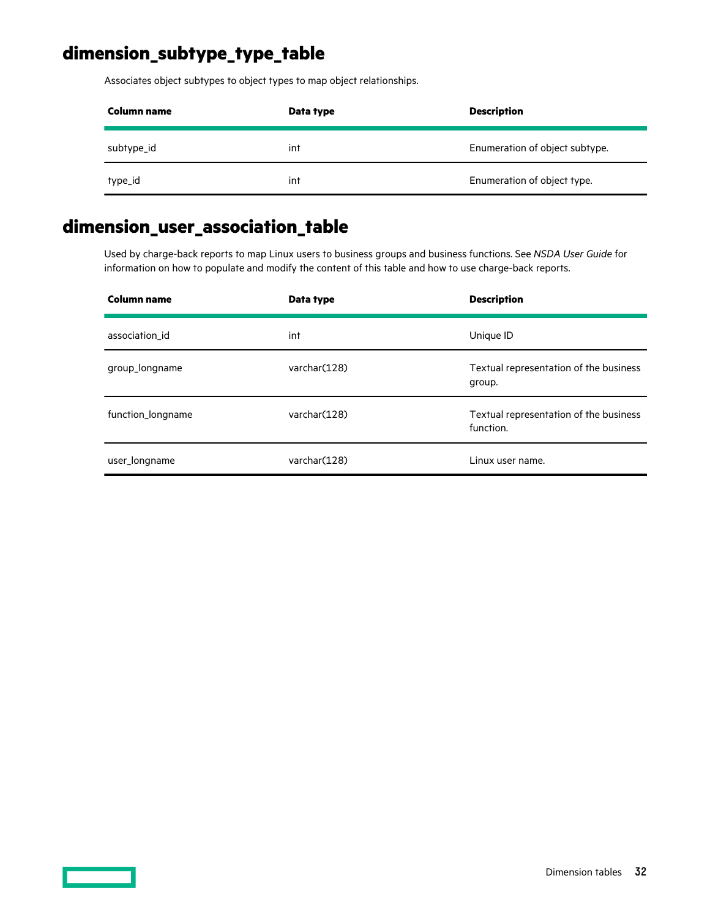## <span id="page-31-0"></span>**dimension\_subtype\_type\_table**

Associates object subtypes to object types to map object relationships.

| Column name | Data type | <b>Description</b>             |
|-------------|-----------|--------------------------------|
| subtype_id  | int       | Enumeration of object subtype. |
| type_id     | int       | Enumeration of object type.    |

## **dimension\_user\_association\_table**

Used by charge-back reports to map Linux users to business groups and business functions. See *NSDA User Guide* for information on how to populate and modify the content of this table and how to use charge-back reports.

| Column name       | Data type    | <b>Description</b>                                  |
|-------------------|--------------|-----------------------------------------------------|
| association id    | int          | Unique ID                                           |
| group_longname    | varchar(128) | Textual representation of the business<br>group.    |
| function_longname | varchar(128) | Textual representation of the business<br>function. |
| user_longname     | varchar(128) | Linux user name.                                    |

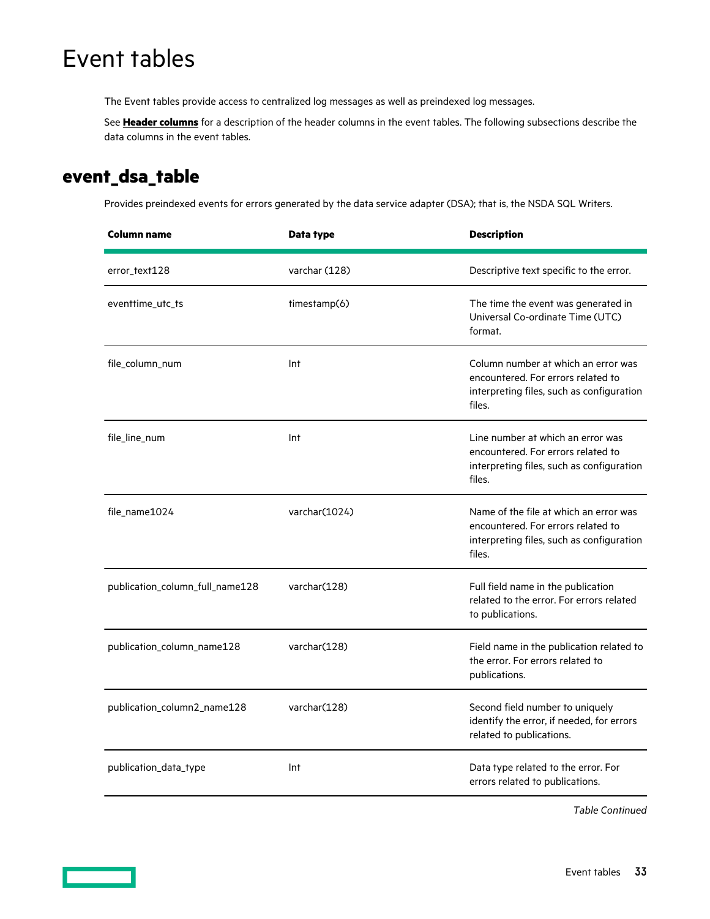# <span id="page-32-0"></span>Event tables

The Event tables provide access to centralized log messages as well as preindexed log messages.

See **[Header columns](#page-12-0)** for a description of the header columns in the event tables. The following subsections describe the data columns in the event tables.

### **event\_dsa\_table**

Provides preindexed events for errors generated by the data service adapter (DSA); that is, the NSDA SQL Writers.

| <b>Column name</b>              | Data type     | <b>Description</b>                                                                                                                  |
|---------------------------------|---------------|-------------------------------------------------------------------------------------------------------------------------------------|
| error_text128                   | varchar (128) | Descriptive text specific to the error.                                                                                             |
| eventtime_utc_ts                | timestamp(6)  | The time the event was generated in<br>Universal Co-ordinate Time (UTC)<br>format.                                                  |
| file_column_num                 | Int           | Column number at which an error was<br>encountered. For errors related to<br>interpreting files, such as configuration<br>files.    |
| file_line_num                   | Int           | Line number at which an error was<br>encountered. For errors related to<br>interpreting files, such as configuration<br>files.      |
| file_name1024                   | varchar(1024) | Name of the file at which an error was<br>encountered. For errors related to<br>interpreting files, such as configuration<br>files. |
| publication_column_full_name128 | varchar(128)  | Full field name in the publication<br>related to the error. For errors related<br>to publications.                                  |
| publication_column_name128      | varchar(128)  | Field name in the publication related to<br>the error. For errors related to<br>publications.                                       |
| publication_column2_name128     | varchar(128)  | Second field number to uniquely<br>identify the error, if needed, for errors<br>related to publications.                            |
| publication_data_type           | Int           | Data type related to the error. For<br>errors related to publications.                                                              |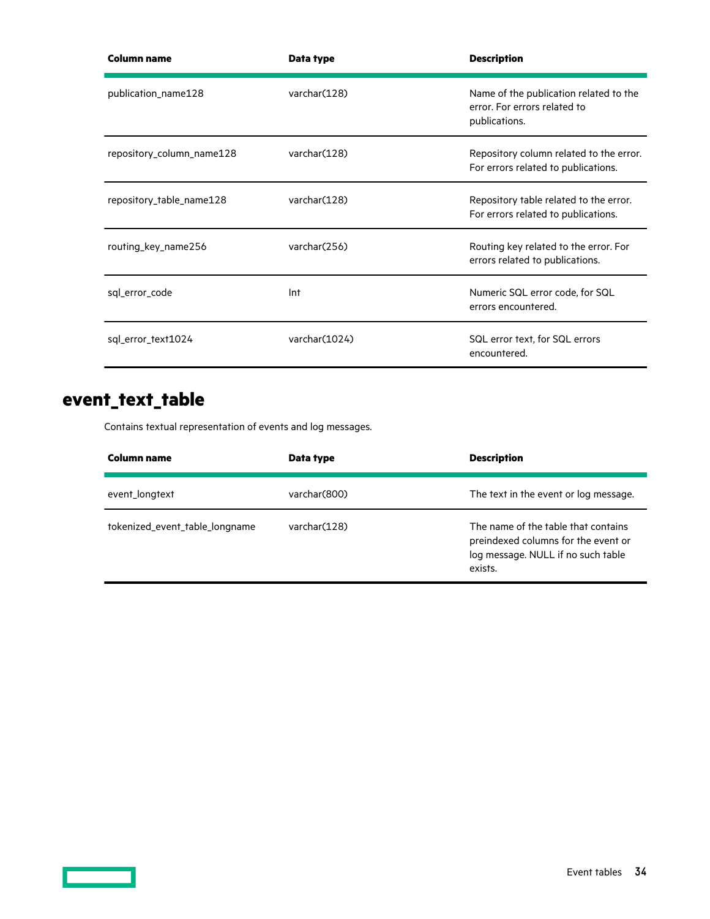<span id="page-33-0"></span>

| Column name               | Data type     | <b>Description</b>                                                                      |
|---------------------------|---------------|-----------------------------------------------------------------------------------------|
| publication_name128       | varchar(128)  | Name of the publication related to the<br>error. For errors related to<br>publications. |
| repository_column_name128 | varchar(128)  | Repository column related to the error.<br>For errors related to publications.          |
| repository_table_name128  | varchar(128)  | Repository table related to the error.<br>For errors related to publications.           |
| routing_key_name256       | varchar(256)  | Routing key related to the error. For<br>errors related to publications.                |
| sql_error_code            | Int           | Numeric SQL error code, for SQL<br>errors encountered.                                  |
| sql_error_text1024        | varchar(1024) | SQL error text, for SQL errors<br>encountered.                                          |

## **event\_text\_table**

Contains textual representation of events and log messages.

| Column name                    | Data type     | <b>Description</b>                                                                                                          |
|--------------------------------|---------------|-----------------------------------------------------------------------------------------------------------------------------|
| event_longtext                 | varchar (800) | The text in the event or log message.                                                                                       |
| tokenized_event_table_longname | varchar (128) | The name of the table that contains<br>preindexed columns for the event or<br>log message. NULL if no such table<br>exists. |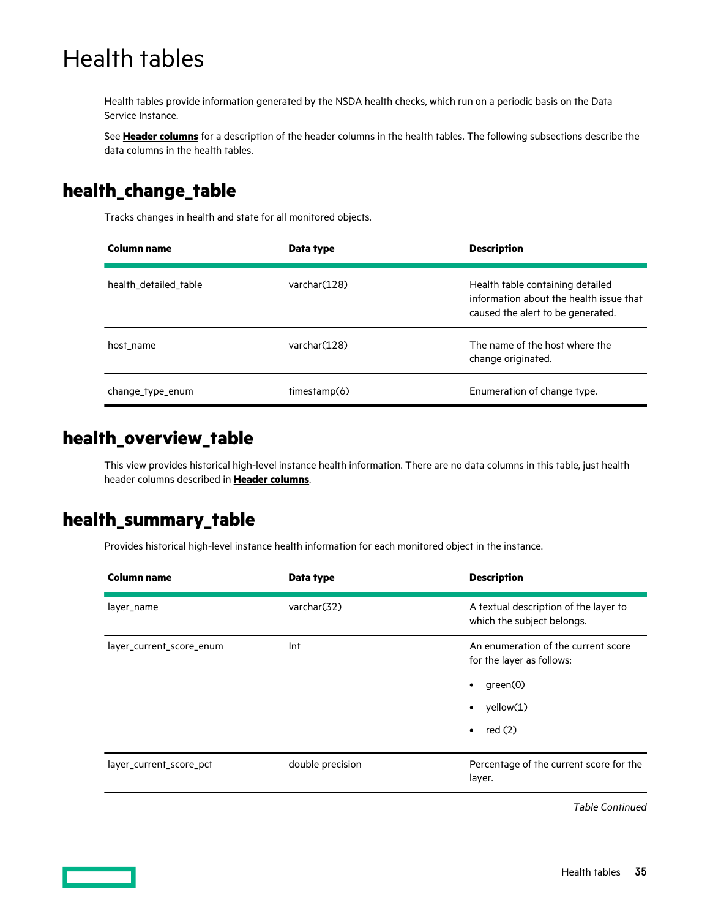# <span id="page-34-0"></span>Health tables

Health tables provide information generated by the NSDA health checks, which run on a periodic basis on the Data Service Instance.

See **[Header columns](#page-12-0)** for a description of the header columns in the health tables. The following subsections describe the data columns in the health tables.

## **health\_change\_table**

Tracks changes in health and state for all monitored objects.

| Column name           | Data type     | <b>Description</b>                                                                                               |
|-----------------------|---------------|------------------------------------------------------------------------------------------------------------------|
| health detailed table | varchar (128) | Health table containing detailed<br>information about the health issue that<br>caused the alert to be generated. |
| host name             | varchar(128)  | The name of the host where the<br>change originated.                                                             |
| change_type_enum      | timestamp(6)  | Enumeration of change type.                                                                                      |

### **health\_overview\_table**

This view provides historical high-level instance health information. There are no data columns in this table, just health header columns described in **[Header columns](#page-12-0)**.

### **health\_summary\_table**

Provides historical high-level instance health information for each monitored object in the instance.

| <b>Column name</b>       | Data type        | <b>Description</b>                                                                                                                 |
|--------------------------|------------------|------------------------------------------------------------------------------------------------------------------------------------|
| layer_name               | varchar(32)      | A textual description of the layer to<br>which the subject belongs.                                                                |
| layer_current_score_enum | Int              | An enumeration of the current score<br>for the layer as follows:<br>green(0)<br>٠<br>yellow(1)<br>$\bullet$<br>red(2)<br>$\bullet$ |
| layer_current_score_pct  | double precision | Percentage of the current score for the<br>layer.                                                                                  |

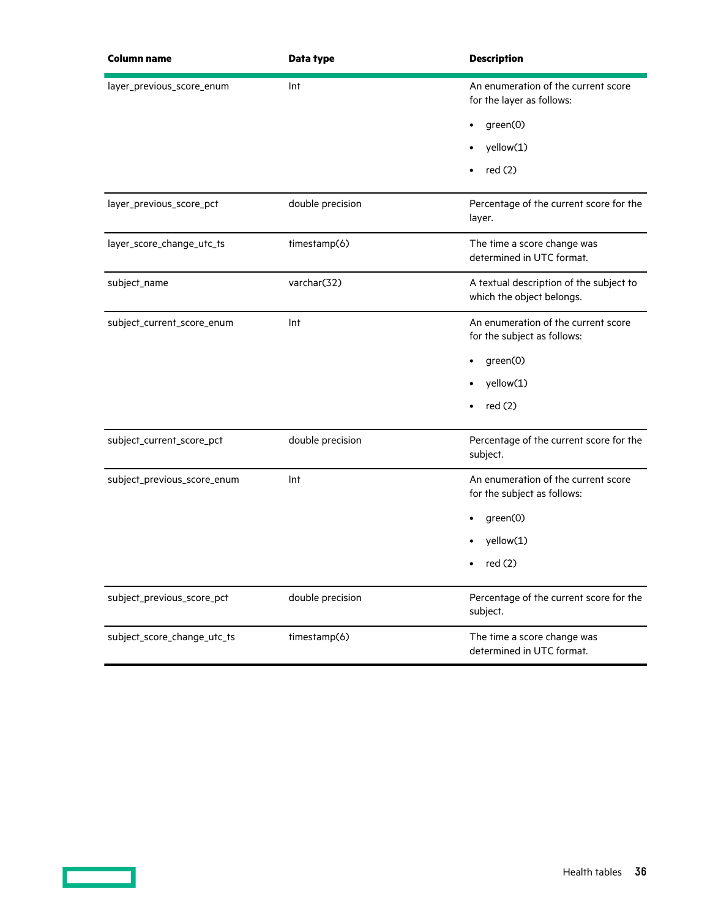| <b>Column name</b>          | Data type        | <b>Description</b>                                                   |
|-----------------------------|------------------|----------------------------------------------------------------------|
| layer_previous_score_enum   | Int              | An enumeration of the current score<br>for the layer as follows:     |
|                             |                  | green(0)                                                             |
|                             |                  | yellow(1)                                                            |
|                             |                  | red(2)                                                               |
| layer_previous_score_pct    | double precision | Percentage of the current score for the<br>layer.                    |
| layer_score_change_utc_ts   | timestamp(6)     | The time a score change was<br>determined in UTC format.             |
| subject_name                | varchar(32)      | A textual description of the subject to<br>which the object belongs. |
| subject_current_score_enum  | Int              | An enumeration of the current score<br>for the subject as follows:   |
|                             |                  | green(0)                                                             |
|                             |                  | yellow(1)                                                            |
|                             |                  | red(2)                                                               |
| subject_current_score_pct   | double precision | Percentage of the current score for the<br>subject.                  |
| subject_previous_score_enum | Int              | An enumeration of the current score<br>for the subject as follows:   |
|                             |                  | green(0)                                                             |
|                             |                  | yellow(1)                                                            |
|                             |                  | red(2)                                                               |
| subject_previous_score_pct  | double precision | Percentage of the current score for the<br>subject.                  |
| subject_score_change_utc_ts | timestamp(6)     | The time a score change was<br>determined in UTC format.             |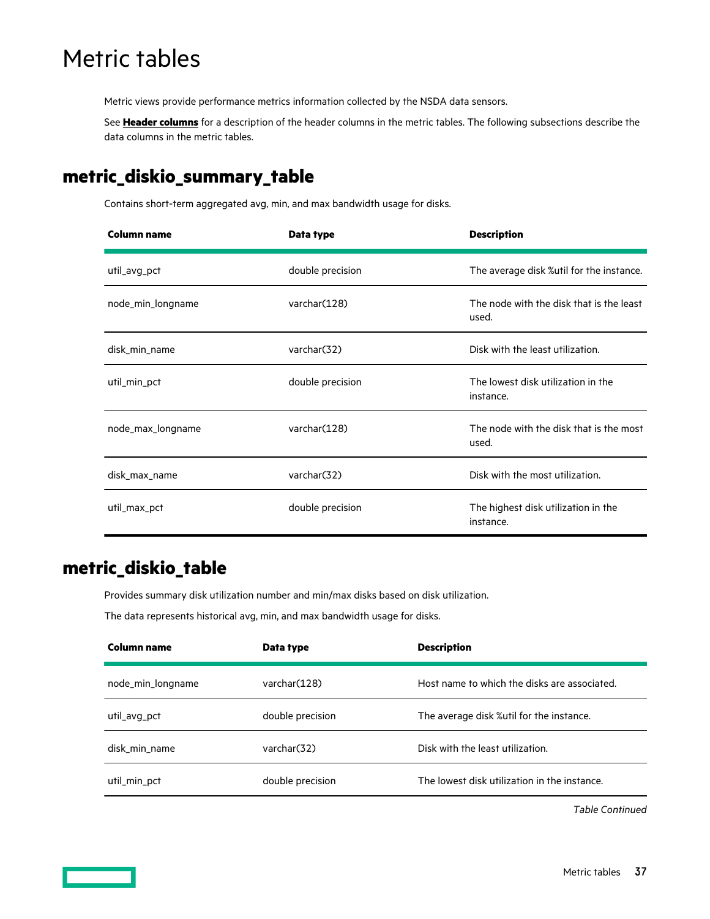# <span id="page-36-0"></span>Metric tables

Metric views provide performance metrics information collected by the NSDA data sensors.

See **[Header columns](#page-12-0)** for a description of the header columns in the metric tables. The following subsections describe the data columns in the metric tables.

### **metric\_diskio\_summary\_table**

Contains short-term aggregated avg, min, and max bandwidth usage for disks.

| <b>Column name</b> | Data type               | <b>Description</b>                                |
|--------------------|-------------------------|---------------------------------------------------|
| util_avg_pct       | double precision        | The average disk %util for the instance.          |
| node_min_longname  | varchar(128)            | The node with the disk that is the least<br>used. |
| disk_min_name      | varchar(32)             | Disk with the least utilization.                  |
| util_min_pct       | double precision        | The lowest disk utilization in the<br>instance.   |
| node_max_longname  | varchar(128)            | The node with the disk that is the most<br>used.  |
| disk_max_name      | varchar <sub>(32)</sub> | Disk with the most utilization.                   |
| util_max_pct       | double precision        | The highest disk utilization in the<br>instance.  |

### **metric\_diskio\_table**

Provides summary disk utilization number and min/max disks based on disk utilization.

The data represents historical avg, min, and max bandwidth usage for disks.

| Column name       | Data type        | <b>Description</b>                           |
|-------------------|------------------|----------------------------------------------|
| node_min_longname | varchar(128)     | Host name to which the disks are associated. |
| util_avg_pct      | double precision | The average disk %util for the instance.     |
| disk min name     | varchar(32)      | Disk with the least utilization.             |
| util_min_pct      | double precision | The lowest disk utilization in the instance. |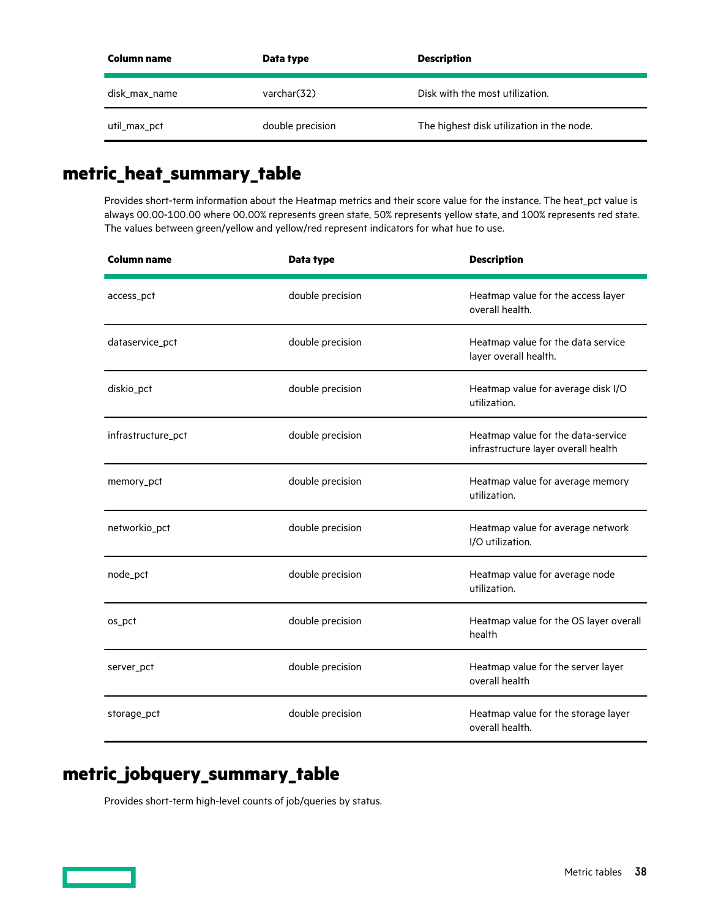<span id="page-37-0"></span>

| Column name   | Data type        | <b>Description</b>                        |
|---------------|------------------|-------------------------------------------|
| disk_max_name | varchar (32)     | Disk with the most utilization.           |
| util_max_pct  | double precision | The highest disk utilization in the node. |

### **metric\_heat\_summary\_table**

Provides short-term information about the Heatmap metrics and their score value for the instance. The heat\_pct value is always 00.00-100.00 where 00.00% represents green state, 50% represents yellow state, and 100% represents red state. The values between green/yellow and yellow/red represent indicators for what hue to use.

| <b>Column name</b> | Data type        | <b>Description</b>                                                        |
|--------------------|------------------|---------------------------------------------------------------------------|
| access_pct         | double precision | Heatmap value for the access layer<br>overall health.                     |
| dataservice_pct    | double precision | Heatmap value for the data service<br>layer overall health.               |
| diskio_pct         | double precision | Heatmap value for average disk I/O<br>utilization.                        |
| infrastructure_pct | double precision | Heatmap value for the data-service<br>infrastructure layer overall health |
| memory_pct         | double precision | Heatmap value for average memory<br>utilization.                          |
| networkio_pct      | double precision | Heatmap value for average network<br>I/O utilization.                     |
| node_pct           | double precision | Heatmap value for average node<br>utilization.                            |
| os_pct             | double precision | Heatmap value for the OS layer overall<br>health                          |
| server_pct         | double precision | Heatmap value for the server layer<br>overall health                      |
| storage_pct        | double precision | Heatmap value for the storage layer<br>overall health.                    |

## **metric\_jobquery\_summary\_table**

Provides short-term high-level counts of job/queries by status.

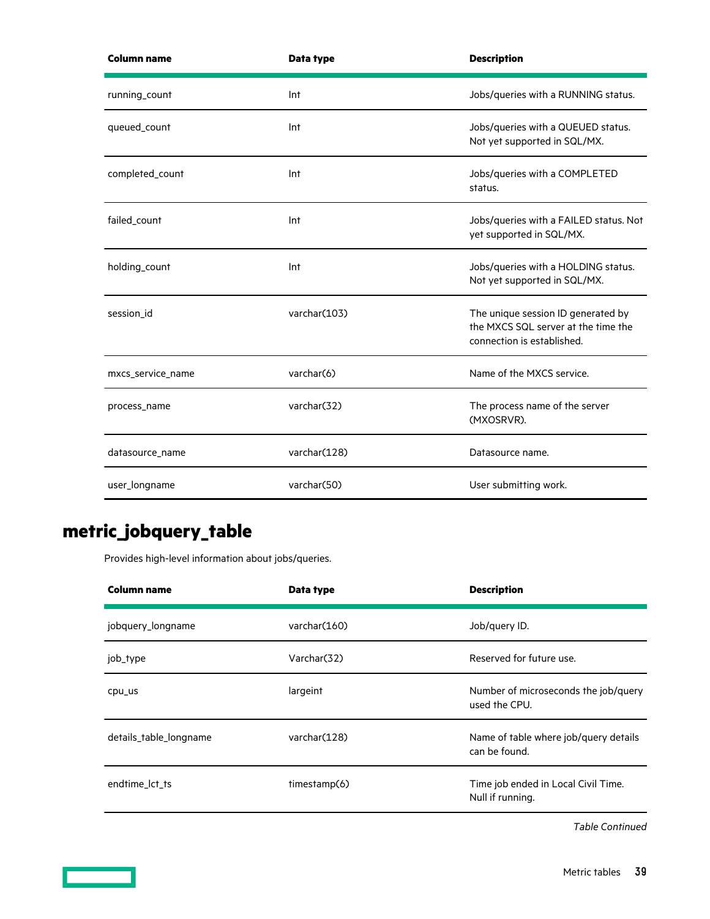<span id="page-38-0"></span>

| <b>Column name</b> | Data type    | <b>Description</b>                                                                                      |
|--------------------|--------------|---------------------------------------------------------------------------------------------------------|
| running_count      | Int          | Jobs/queries with a RUNNING status.                                                                     |
| queued_count       | Int          | Jobs/queries with a QUEUED status.<br>Not yet supported in SQL/MX.                                      |
| completed_count    | Int          | Jobs/queries with a COMPLETED<br>status.                                                                |
| failed_count       | Int          | Jobs/queries with a FAILED status. Not<br>yet supported in SQL/MX.                                      |
| holding_count      | Int          | Jobs/queries with a HOLDING status.<br>Not yet supported in SQL/MX.                                     |
| session_id         | varchar(103) | The unique session ID generated by<br>the MXCS SQL server at the time the<br>connection is established. |
| mxcs_service_name  | varchar(6)   | Name of the MXCS service.                                                                               |
| process_name       | varchar(32)  | The process name of the server<br>(MXOSRVR).                                                            |
| datasource_name    | varchar(128) | Datasource name.                                                                                        |
| user_longname      | varchar(50)  | User submitting work.                                                                                   |

# **metric\_jobquery\_table**

Provides high-level information about jobs/queries.

| Column name            | Data type     | <b>Description</b>                                      |
|------------------------|---------------|---------------------------------------------------------|
| jobquery_longname      | varchar(160)  | Job/query ID.                                           |
| job_type               | Varchar(32)   | Reserved for future use.                                |
| cpu_us                 | largeint      | Number of microseconds the job/query<br>used the CPU.   |
| details_table_longname | varchar(128)  | Name of table where job/query details<br>can be found.  |
| endtime lct ts         | time stamp(6) | Time job ended in Local Civil Time.<br>Null if running. |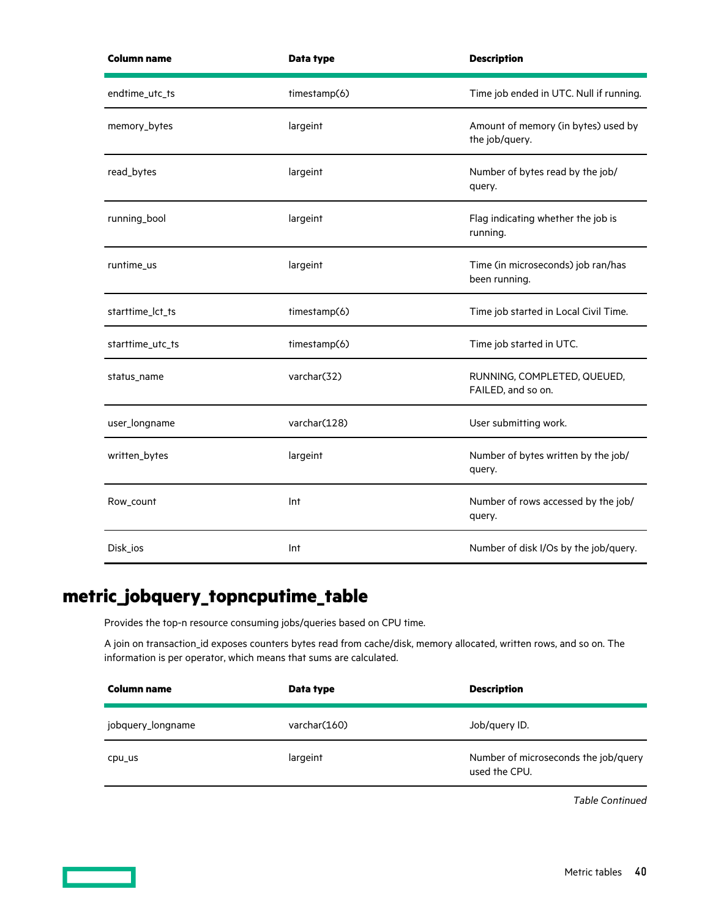<span id="page-39-0"></span>

| <b>Column name</b> | Data type    | <b>Description</b>                                    |
|--------------------|--------------|-------------------------------------------------------|
| endtime_utc_ts     | timestamp(6) | Time job ended in UTC. Null if running.               |
| memory_bytes       | largeint     | Amount of memory (in bytes) used by<br>the job/query. |
| read_bytes         | largeint     | Number of bytes read by the job/<br>query.            |
| running_bool       | largeint     | Flag indicating whether the job is<br>running.        |
| runtime_us         | largeint     | Time (in microseconds) job ran/has<br>been running.   |
| starttime_lct_ts   | timestamp(6) | Time job started in Local Civil Time.                 |
| starttime_utc_ts   | timestamp(6) | Time job started in UTC.                              |
| status_name        | varchar(32)  | RUNNING, COMPLETED, QUEUED,<br>FAILED, and so on.     |
| user_longname      | varchar(128) | User submitting work.                                 |
| written_bytes      | largeint     | Number of bytes written by the job/<br>query.         |
| Row_count          | Int          | Number of rows accessed by the job/<br>query.         |
| Disk_ios           | Int          | Number of disk I/Os by the job/query.                 |

## **metric\_jobquery\_topncputime\_table**

Provides the top-n resource consuming jobs/queries based on CPU time.

A join on transaction\_id exposes counters bytes read from cache/disk, memory allocated, written rows, and so on. The information is per operator, which means that sums are calculated.

| <b>Column name</b> | Data type    | <b>Description</b>                                    |
|--------------------|--------------|-------------------------------------------------------|
| jobquery_longname  | varchar(160) | Job/query ID.                                         |
| cpu_us             | largeint     | Number of microseconds the job/query<br>used the CPU. |

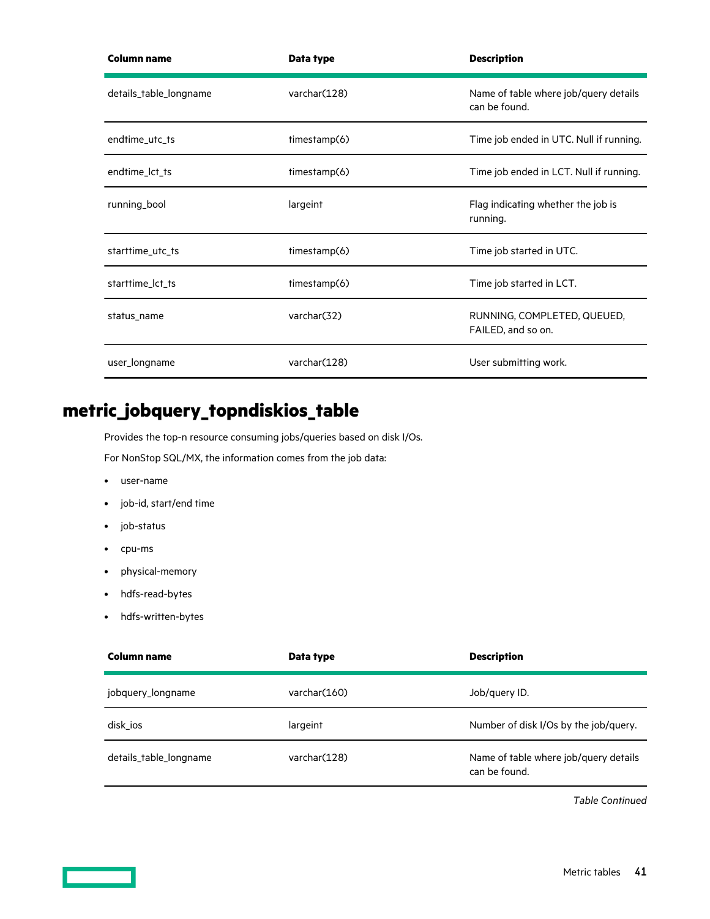<span id="page-40-0"></span>

| <b>Column name</b>     | Data type    | <b>Description</b>                                     |
|------------------------|--------------|--------------------------------------------------------|
| details_table_longname | varchar(128) | Name of table where job/query details<br>can be found. |
| endtime_utc_ts         | timestamp(6) | Time job ended in UTC. Null if running.                |
| endtime_lct_ts         | timestamp(6) | Time job ended in LCT. Null if running.                |
| running_bool           | largeint     | Flag indicating whether the job is<br>running.         |
| starttime_utc_ts       | timestamp(6) | Time job started in UTC.                               |
| starttime_lct_ts       | timestamp(6) | Time job started in LCT.                               |
| status_name            | varchar(32)  | RUNNING, COMPLETED, QUEUED,<br>FAILED, and so on.      |
| user_longname          | varchar(128) | User submitting work.                                  |

## **metric\_jobquery\_topndiskios\_table**

Provides the top-n resource consuming jobs/queries based on disk I/Os.

For NonStop SQL/MX, the information comes from the job data:

- user-name
- job-id, start/end time
- job-status
- cpu-ms
- physical-memory
- hdfs-read-bytes
- hdfs-written-bytes

| Column name            | Data type     | <b>Description</b>                                     |
|------------------------|---------------|--------------------------------------------------------|
| jobquery_longname      | varchar (160) | Job/query ID.                                          |
| disk ios               | largeint      | Number of disk I/Os by the job/query.                  |
| details_table_longname | varchar(128)  | Name of table where job/query details<br>can be found. |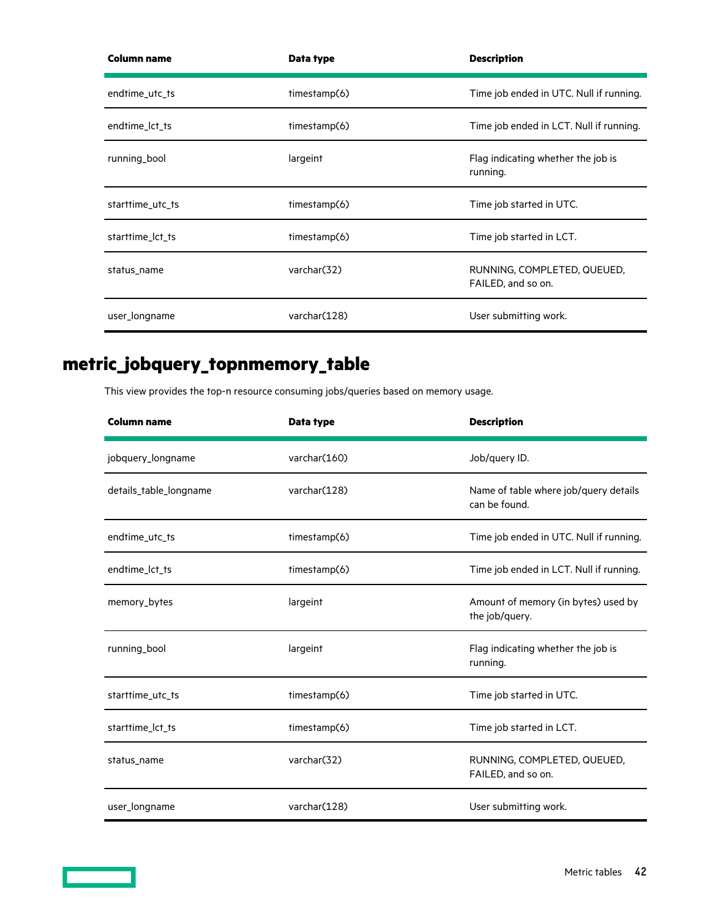<span id="page-41-0"></span>

| <b>Column name</b> | Data type    | <b>Description</b>                                |
|--------------------|--------------|---------------------------------------------------|
| endtime_utc_ts     | timestamp(6) | Time job ended in UTC. Null if running.           |
| endtime_lct_ts     | timestamp(6) | Time job ended in LCT. Null if running.           |
| running_bool       | largeint     | Flag indicating whether the job is<br>running.    |
| starttime_utc_ts   | timestamp(6) | Time job started in UTC.                          |
| starttime_lct_ts   | timestamp(6) | Time job started in LCT.                          |
| status_name        | varchar(32)  | RUNNING, COMPLETED, QUEUED,<br>FAILED, and so on. |
| user_longname      | varchar(128) | User submitting work.                             |

# **metric\_jobquery\_topnmemory\_table**

This view provides the top-n resource consuming jobs/queries based on memory usage.

| <b>Column name</b>     | Data type    | <b>Description</b>                                     |
|------------------------|--------------|--------------------------------------------------------|
| jobquery_longname      | varchar(160) | Job/query ID.                                          |
| details_table_longname | varchar(128) | Name of table where job/query details<br>can be found. |
| endtime_utc_ts         | timestamp(6) | Time job ended in UTC. Null if running.                |
| endtime_lct_ts         | timestamp(6) | Time job ended in LCT. Null if running.                |
| memory_bytes           | largeint     | Amount of memory (in bytes) used by<br>the job/query.  |
| running_bool           | largeint     | Flag indicating whether the job is<br>running.         |
| starttime_utc_ts       | timestamp(6) | Time job started in UTC.                               |
| starttime_lct_ts       | timestamp(6) | Time job started in LCT.                               |
| status_name            | varchar(32)  | RUNNING, COMPLETED, QUEUED,<br>FAILED, and so on.      |
| user_longname          | varchar(128) | User submitting work.                                  |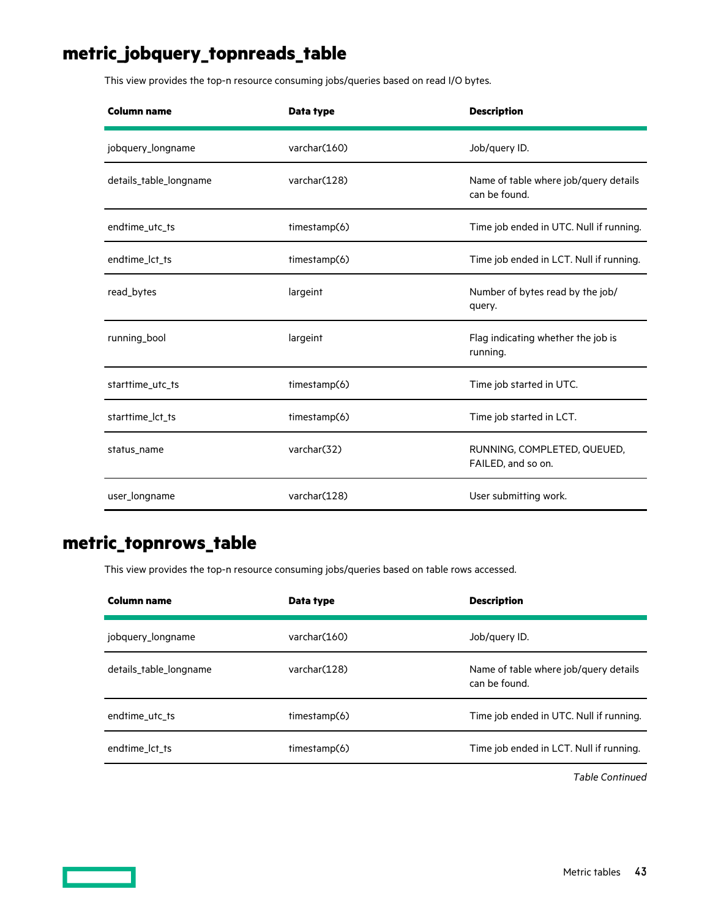## <span id="page-42-0"></span>**metric\_jobquery\_topnreads\_table**

This view provides the top-n resource consuming jobs/queries based on read I/O bytes.

| <b>Column name</b>     | Data type    | <b>Description</b>                                     |
|------------------------|--------------|--------------------------------------------------------|
| jobquery_longname      | varchar(160) | Job/query ID.                                          |
| details_table_longname | varchar(128) | Name of table where job/query details<br>can be found. |
| endtime_utc_ts         | timestamp(6) | Time job ended in UTC. Null if running.                |
| endtime_lct_ts         | timestamp(6) | Time job ended in LCT. Null if running.                |
| read_bytes             | largeint     | Number of bytes read by the job/<br>query.             |
| running_bool           | largeint     | Flag indicating whether the job is<br>running.         |
| starttime_utc_ts       | timestamp(6) | Time job started in UTC.                               |
| starttime_lct_ts       | timestamp(6) | Time job started in LCT.                               |
| status_name            | varchar(32)  | RUNNING, COMPLETED, QUEUED,<br>FAILED, and so on.      |
| user_longname          | varchar(128) | User submitting work.                                  |

### **metric\_topnrows\_table**

This view provides the top-n resource consuming jobs/queries based on table rows accessed.

| Column name            | Data type     | <b>Description</b>                                     |
|------------------------|---------------|--------------------------------------------------------|
| jobquery_longname      | varchar (160) | Job/query ID.                                          |
| details_table_longname | varchar(128)  | Name of table where job/query details<br>can be found. |
| endtime utc ts         | timestamp(6)  | Time job ended in UTC. Null if running.                |
| endtime lct ts         | timestamp(6)  | Time job ended in LCT. Null if running.                |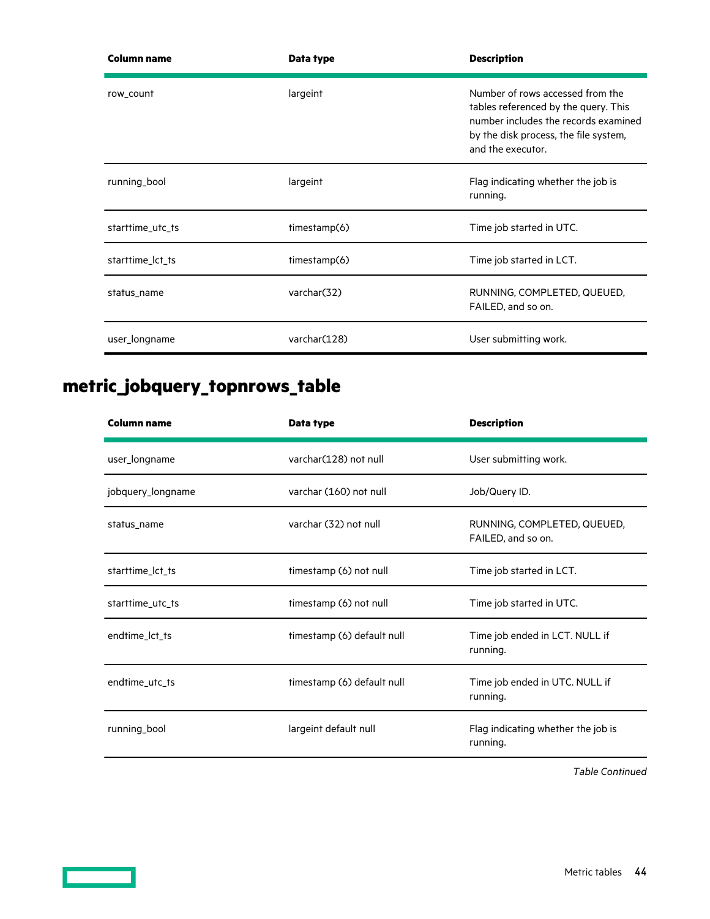<span id="page-43-0"></span>

| <b>Column name</b> | Data type    | <b>Description</b>                                                                                                                                                             |
|--------------------|--------------|--------------------------------------------------------------------------------------------------------------------------------------------------------------------------------|
| row_count          | largeint     | Number of rows accessed from the<br>tables referenced by the query. This<br>number includes the records examined<br>by the disk process, the file system,<br>and the executor. |
| running_bool       | largeint     | Flag indicating whether the job is<br>running.                                                                                                                                 |
| starttime_utc_ts   | timestamp(6) | Time job started in UTC.                                                                                                                                                       |
| starttime_lct_ts   | timestamp(6) | Time job started in LCT.                                                                                                                                                       |
| status_name        | varchar(32)  | RUNNING, COMPLETED, QUEUED,<br>FAILED, and so on.                                                                                                                              |
| user_longname      | varchar(128) | User submitting work.                                                                                                                                                          |

# **metric\_jobquery\_topnrows\_table**

| <b>Column name</b> | Data type                  | <b>Description</b>                                |
|--------------------|----------------------------|---------------------------------------------------|
| user_longname      | varchar(128) not null      | User submitting work.                             |
| jobquery_longname  | varchar (160) not null     | Job/Query ID.                                     |
| status_name        | varchar (32) not null      | RUNNING, COMPLETED, QUEUED,<br>FAILED, and so on. |
| starttime_lct_ts   | timestamp (6) not null     | Time job started in LCT.                          |
| starttime_utc_ts   | timestamp (6) not null     | Time job started in UTC.                          |
| endtime_lct_ts     | timestamp (6) default null | Time job ended in LCT. NULL if<br>running.        |
| endtime_utc_ts     | timestamp (6) default null | Time job ended in UTC. NULL if<br>running.        |
| running_bool       | largeint default null      | Flag indicating whether the job is<br>running.    |

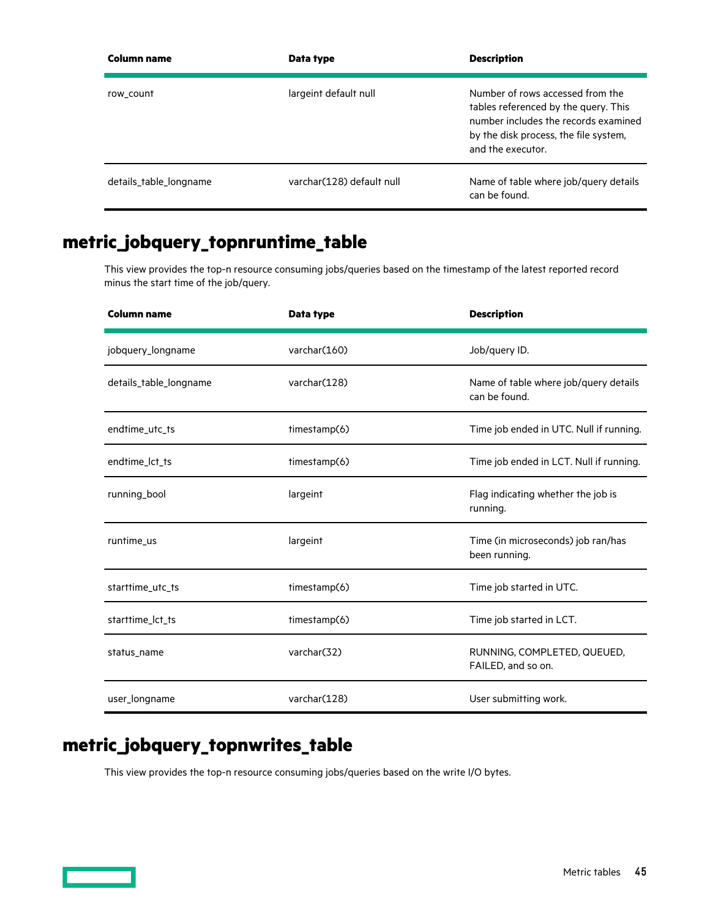<span id="page-44-0"></span>

| Column name            | Data type                 | <b>Description</b>                                                                                                                                                             |
|------------------------|---------------------------|--------------------------------------------------------------------------------------------------------------------------------------------------------------------------------|
| row count              | largeint default null     | Number of rows accessed from the<br>tables referenced by the query. This<br>number includes the records examined<br>by the disk process, the file system,<br>and the executor. |
| details table longname | varchar(128) default null | Name of table where job/query details<br>can be found.                                                                                                                         |

## **metric\_jobquery\_topnruntime\_table**

This view provides the top-n resource consuming jobs/queries based on the timestamp of the latest reported record minus the start time of the job/query.

| <b>Column name</b>     | Data type    | <b>Description</b>                                     |
|------------------------|--------------|--------------------------------------------------------|
| jobquery_longname      | varchar(160) | Job/query ID.                                          |
| details_table_longname | varchar(128) | Name of table where job/query details<br>can be found. |
| endtime_utc_ts         | timestamp(6) | Time job ended in UTC. Null if running.                |
| endtime_lct_ts         | timestamp(6) | Time job ended in LCT. Null if running.                |
| running_bool           | largeint     | Flag indicating whether the job is<br>running.         |
| runtime_us             | largeint     | Time (in microseconds) job ran/has<br>been running.    |
| starttime_utc_ts       | timestamp(6) | Time job started in UTC.                               |
| starttime_lct_ts       | timestamp(6) | Time job started in LCT.                               |
| status_name            | varchar(32)  | RUNNING, COMPLETED, QUEUED,<br>FAILED, and so on.      |
| user_longname          | varchar(128) | User submitting work.                                  |

## **metric\_jobquery\_topnwrites\_table**

This view provides the top-n resource consuming jobs/queries based on the write I/O bytes.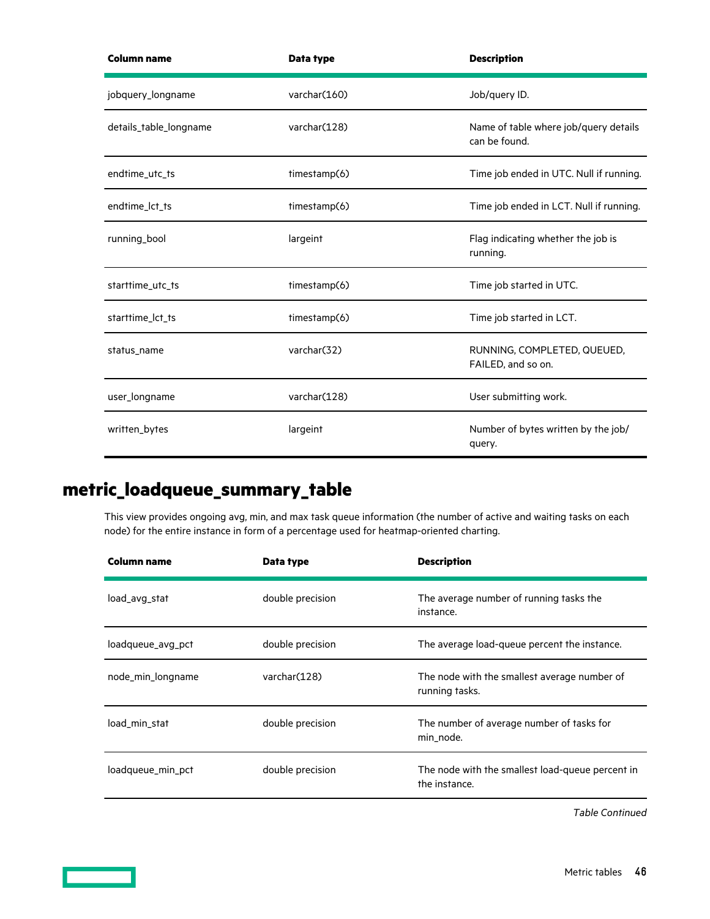<span id="page-45-0"></span>

| <b>Column name</b>     | Data type    | <b>Description</b>                                     |
|------------------------|--------------|--------------------------------------------------------|
| jobquery_longname      | varchar(160) | Job/query ID.                                          |
| details_table_longname | varchar(128) | Name of table where job/query details<br>can be found. |
| endtime_utc_ts         | timestamp(6) | Time job ended in UTC. Null if running.                |
| endtime_lct_ts         | timestamp(6) | Time job ended in LCT. Null if running.                |
| running_bool           | largeint     | Flag indicating whether the job is<br>running.         |
| starttime_utc_ts       | timestamp(6) | Time job started in UTC.                               |
| starttime_lct_ts       | timestamp(6) | Time job started in LCT.                               |
| status_name            | varchar(32)  | RUNNING, COMPLETED, QUEUED,<br>FAILED, and so on.      |
| user_longname          | varchar(128) | User submitting work.                                  |
| written_bytes          | largeint     | Number of bytes written by the job/<br>query.          |

## **metric\_loadqueue\_summary\_table**

This view provides ongoing avg, min, and max task queue information (the number of active and waiting tasks on each node) for the entire instance in form of a percentage used for heatmap-oriented charting.

| Column name       | Data type        | <b>Description</b>                                                |
|-------------------|------------------|-------------------------------------------------------------------|
| load_avg_stat     | double precision | The average number of running tasks the<br>instance.              |
| loadqueue_avg_pct | double precision | The average load-queue percent the instance.                      |
| node_min_longname | varchar (128)    | The node with the smallest average number of<br>running tasks.    |
| load min stat     | double precision | The number of average number of tasks for<br>min node.            |
| loadqueue_min_pct | double precision | The node with the smallest load-queue percent in<br>the instance. |

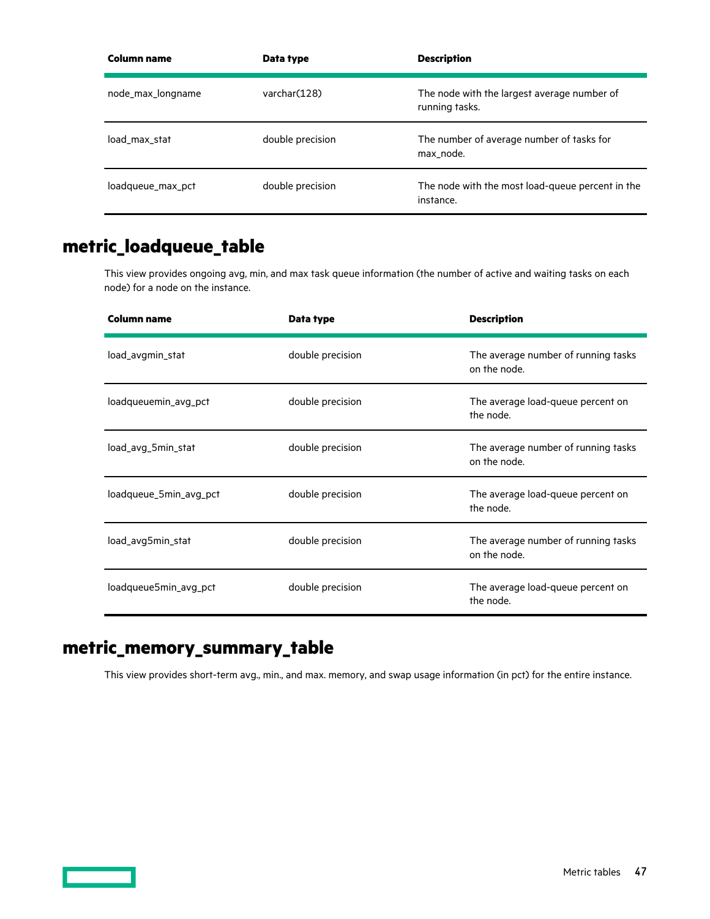<span id="page-46-0"></span>

| Column name       | Data type        | <b>Description</b>                                            |
|-------------------|------------------|---------------------------------------------------------------|
| node_max_longname | varchar (128)    | The node with the largest average number of<br>running tasks. |
| load max stat     | double precision | The number of average number of tasks for<br>max_node.        |
| loadqueue_max_pct | double precision | The node with the most load-queue percent in the<br>instance. |

## **metric\_loadqueue\_table**

This view provides ongoing avg, min, and max task queue information (the number of active and waiting tasks on each node) for a node on the instance.

| Column name            | Data type        | <b>Description</b>                                  |
|------------------------|------------------|-----------------------------------------------------|
| load_avgmin_stat       | double precision | The average number of running tasks<br>on the node. |
| loadqueuemin_avg_pct   | double precision | The average load-queue percent on<br>the node.      |
| load_avg_5min_stat     | double precision | The average number of running tasks<br>on the node. |
| loadqueue_5min_avg_pct | double precision | The average load-queue percent on<br>the node.      |
| load_avg5min_stat      | double precision | The average number of running tasks<br>on the node. |
| loadqueue5min_avg_pct  | double precision | The average load-queue percent on<br>the node.      |

## **metric\_memory\_summary\_table**

This view provides short-term avg., min., and max. memory, and swap usage information (in pct) for the entire instance.

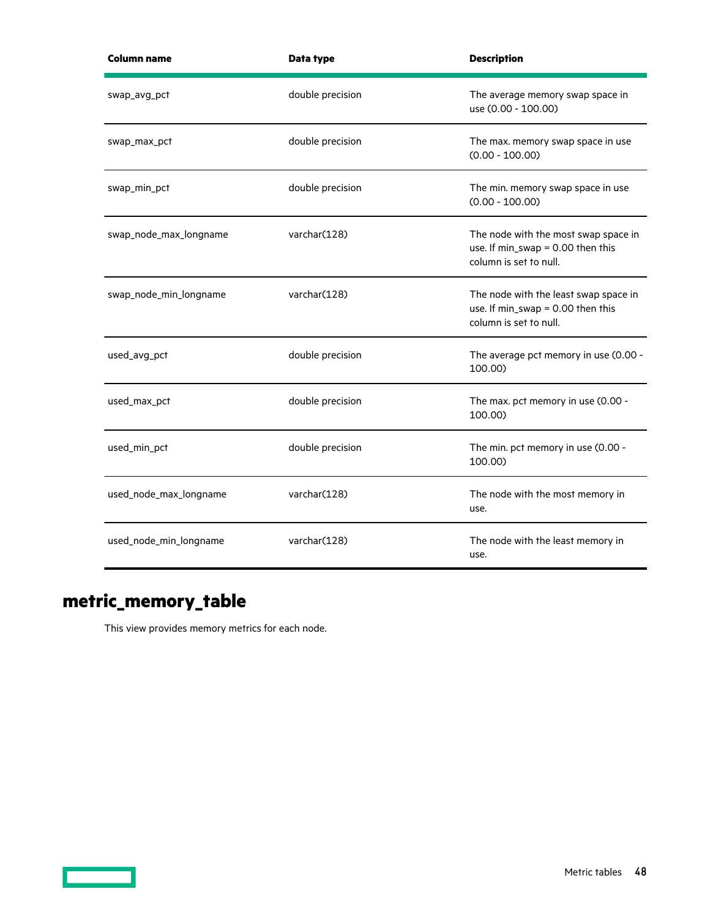<span id="page-47-0"></span>

| <b>Column name</b>     | Data type        | <b>Description</b>                                                                                      |
|------------------------|------------------|---------------------------------------------------------------------------------------------------------|
| swap_avg_pct           | double precision | The average memory swap space in<br>use (0.00 - 100.00)                                                 |
| swap_max_pct           | double precision | The max. memory swap space in use<br>$(0.00 - 100.00)$                                                  |
| swap_min_pct           | double precision | The min. memory swap space in use<br>$(0.00 - 100.00)$                                                  |
| swap_node_max_longname | varchar(128)     | The node with the most swap space in<br>use. If min_swap = 0.00 then this<br>column is set to null.     |
| swap_node_min_longname | varchar(128)     | The node with the least swap space in<br>use. If $min\_swap = 0.00$ then this<br>column is set to null. |
| used_avg_pct           | double precision | The average pct memory in use (0.00 -<br>100.00)                                                        |
| used_max_pct           | double precision | The max. pct memory in use (0.00 -<br>100.00)                                                           |
| used_min_pct           | double precision | The min. pct memory in use (0.00 -<br>100.00)                                                           |
| used_node_max_longname | varchar(128)     | The node with the most memory in<br>use.                                                                |
| used_node_min_longname | varchar(128)     | The node with the least memory in<br>use.                                                               |

# **metric\_memory\_table**

<u> Tanzania (</u>

This view provides memory metrics for each node.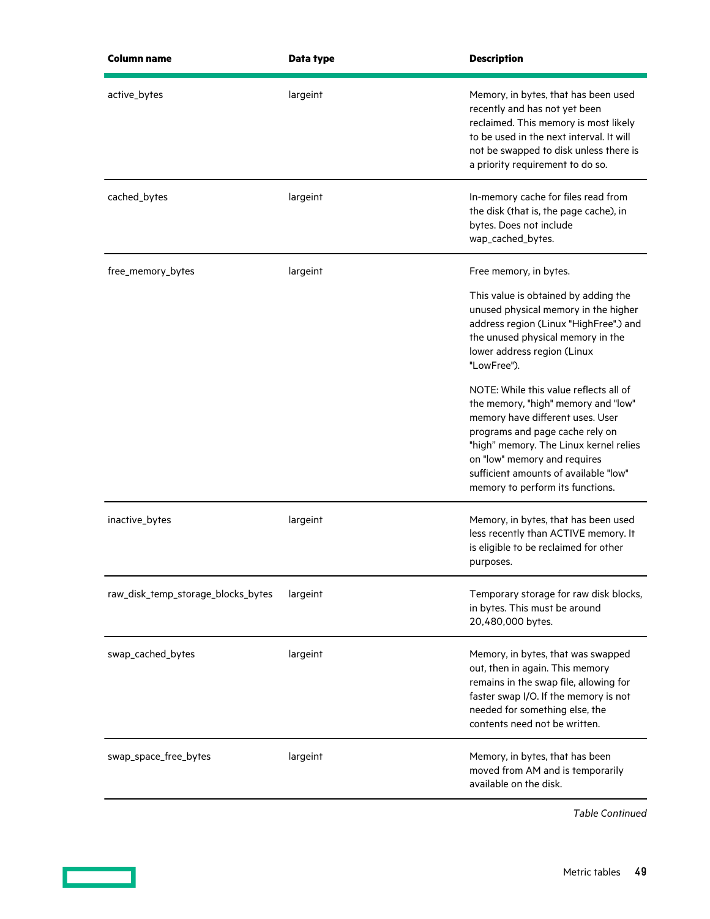| Data type | <b>Description</b>                                                                                                                                                                                                                                                                                          |
|-----------|-------------------------------------------------------------------------------------------------------------------------------------------------------------------------------------------------------------------------------------------------------------------------------------------------------------|
| largeint  | Memory, in bytes, that has been used<br>recently and has not yet been<br>reclaimed. This memory is most likely<br>to be used in the next interval. It will<br>not be swapped to disk unless there is<br>a priority requirement to do so.                                                                    |
| largeint  | In-memory cache for files read from<br>the disk (that is, the page cache), in<br>bytes. Does not include<br>wap_cached_bytes.                                                                                                                                                                               |
| largeint  | Free memory, in bytes.                                                                                                                                                                                                                                                                                      |
|           | This value is obtained by adding the<br>unused physical memory in the higher<br>address region (Linux "HighFree".) and<br>the unused physical memory in the<br>lower address region (Linux<br>"LowFree").                                                                                                   |
|           | NOTE: While this value reflects all of<br>the memory, "high" memory and "low"<br>memory have different uses. User<br>programs and page cache rely on<br>"high" memory. The Linux kernel relies<br>on "low" memory and requires<br>sufficient amounts of available "low"<br>memory to perform its functions. |
| largeint  | Memory, in bytes, that has been used<br>less recently than ACTIVE memory. It<br>is eligible to be reclaimed for other<br>purposes.                                                                                                                                                                          |
| largeint  | Temporary storage for raw disk blocks,<br>in bytes. This must be around<br>20,480,000 bytes.                                                                                                                                                                                                                |
| largeint  | Memory, in bytes, that was swapped<br>out, then in again. This memory<br>remains in the swap file, allowing for<br>faster swap I/O. If the memory is not<br>needed for something else, the<br>contents need not be written.                                                                                 |
| largeint  | Memory, in bytes, that has been<br>moved from AM and is temporarily<br>available on the disk.                                                                                                                                                                                                               |
|           |                                                                                                                                                                                                                                                                                                             |

<u> The Communication of the Communication of the Communication of the Communication of the Communication of the Co</u>

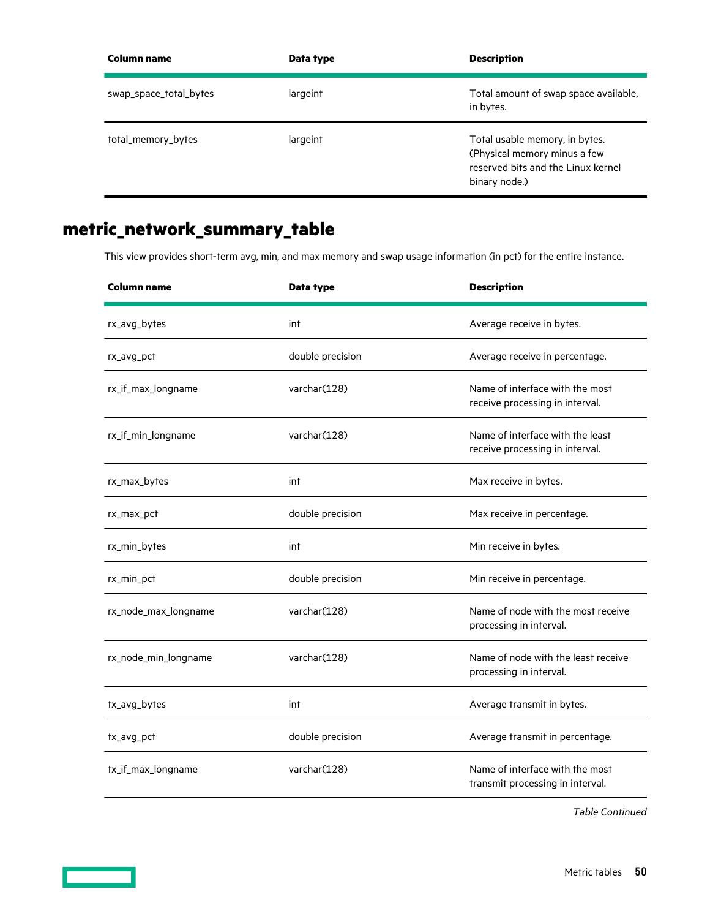<span id="page-49-0"></span>

| Column name            | Data type | <b>Description</b>                                                                                                    |
|------------------------|-----------|-----------------------------------------------------------------------------------------------------------------------|
| swap_space_total_bytes | largeint  | Total amount of swap space available,<br>in bytes.                                                                    |
| total_memory_bytes     | largeint  | Total usable memory, in bytes.<br>(Physical memory minus a few<br>reserved bits and the Linux kernel<br>binary node.) |

# **metric\_network\_summary\_table**

This view provides short-term avg, min, and max memory and swap usage information (in pct) for the entire instance.

| <b>Column name</b>   | Data type        | <b>Description</b>                                                  |
|----------------------|------------------|---------------------------------------------------------------------|
| rx_avg_bytes         | int              | Average receive in bytes.                                           |
| rx_avg_pct           | double precision | Average receive in percentage.                                      |
| rx_if_max_longname   | varchar(128)     | Name of interface with the most<br>receive processing in interval.  |
| rx_if_min_longname   | varchar(128)     | Name of interface with the least<br>receive processing in interval. |
| rx_max_bytes         | int              | Max receive in bytes.                                               |
| rx_max_pct           | double precision | Max receive in percentage.                                          |
| rx_min_bytes         | int              | Min receive in bytes.                                               |
| rx_min_pct           | double precision | Min receive in percentage.                                          |
| rx_node_max_longname | varchar(128)     | Name of node with the most receive<br>processing in interval.       |
| rx_node_min_longname | varchar(128)     | Name of node with the least receive<br>processing in interval.      |
| tx_avg_bytes         | int              | Average transmit in bytes.                                          |
| tx_avg_pct           | double precision | Average transmit in percentage.                                     |
| tx_if_max_longname   | varchar(128)     | Name of interface with the most<br>transmit processing in interval. |

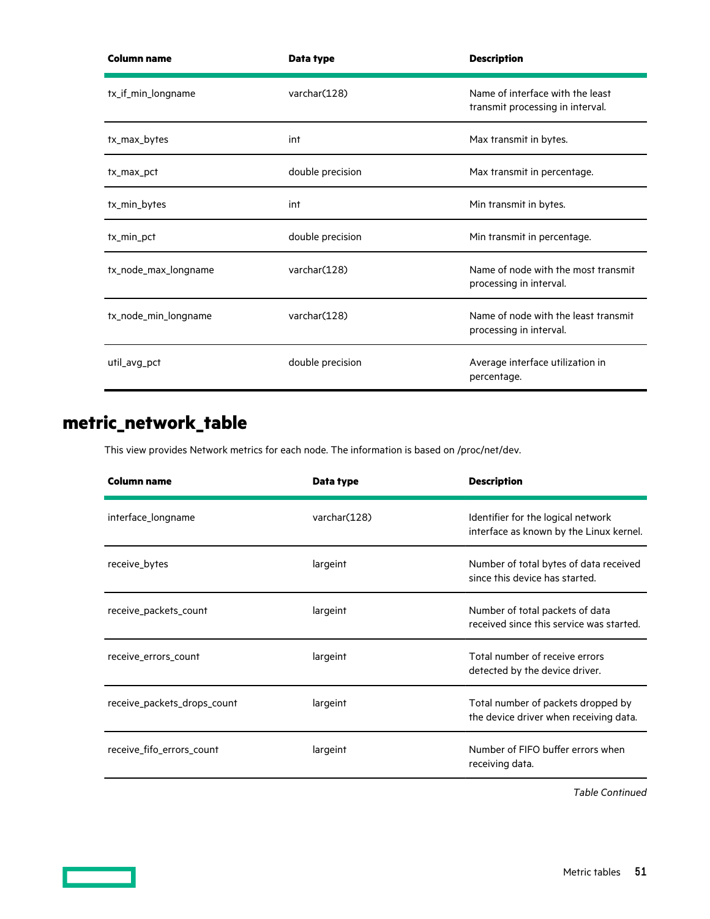<span id="page-50-0"></span>

| <b>Column name</b>   | Data type        | <b>Description</b>                                                   |
|----------------------|------------------|----------------------------------------------------------------------|
| tx_if_min_longname   | varchar(128)     | Name of interface with the least<br>transmit processing in interval. |
| tx_max_bytes         | int              | Max transmit in bytes.                                               |
| tx_max_pct           | double precision | Max transmit in percentage.                                          |
| tx_min_bytes         | int              | Min transmit in bytes.                                               |
| tx_min_pct           | double precision | Min transmit in percentage.                                          |
| tx_node_max_longname | varchar(128)     | Name of node with the most transmit<br>processing in interval.       |
| tx_node_min_longname | varchar(128)     | Name of node with the least transmit<br>processing in interval.      |
| util_avg_pct         | double precision | Average interface utilization in<br>percentage.                      |

## **metric\_network\_table**

This view provides Network metrics for each node. The information is based on /proc/net/dev.

| Column name                 | Data type    | <b>Description</b>                                                            |
|-----------------------------|--------------|-------------------------------------------------------------------------------|
| interface_longname          | varchar(128) | Identifier for the logical network<br>interface as known by the Linux kernel. |
| receive_bytes               | largeint     | Number of total bytes of data received<br>since this device has started.      |
| receive_packets_count       | largeint     | Number of total packets of data<br>received since this service was started.   |
| receive_errors_count        | largeint     | Total number of receive errors<br>detected by the device driver.              |
| receive_packets_drops_count | largeint     | Total number of packets dropped by<br>the device driver when receiving data.  |
| receive_fifo_errors_count   | largeint     | Number of FIFO buffer errors when<br>receiving data.                          |

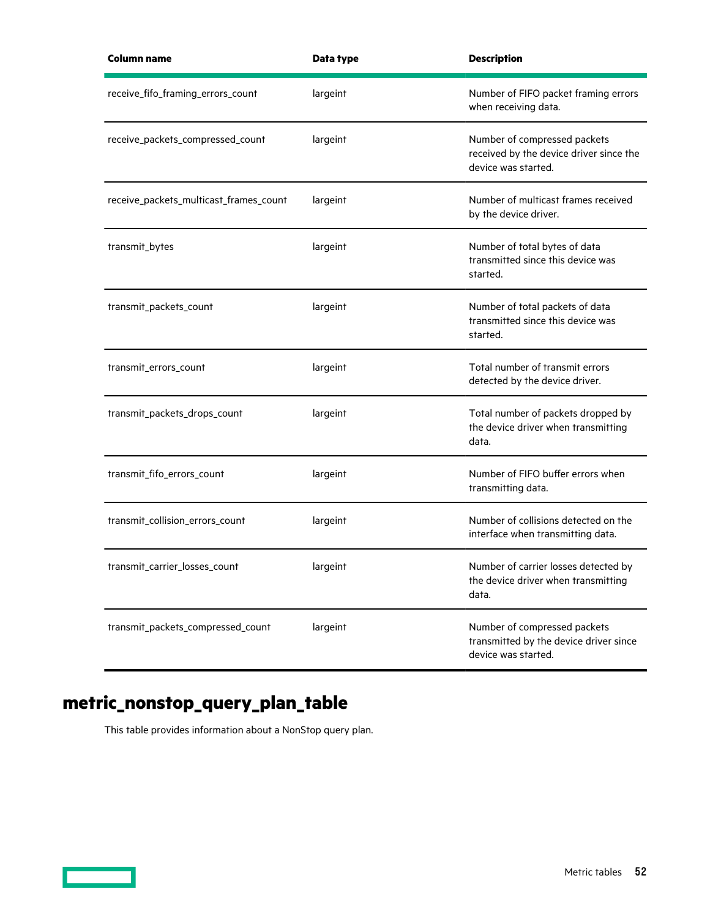<span id="page-51-0"></span>

| <b>Column name</b>                     | Data type | <b>Description</b>                                                                             |
|----------------------------------------|-----------|------------------------------------------------------------------------------------------------|
| receive_fifo_framing_errors_count      | largeint  | Number of FIFO packet framing errors<br>when receiving data.                                   |
| receive_packets_compressed_count       | largeint  | Number of compressed packets<br>received by the device driver since the<br>device was started. |
| receive_packets_multicast_frames_count | largeint  | Number of multicast frames received<br>by the device driver.                                   |
| transmit_bytes                         | largeint  | Number of total bytes of data<br>transmitted since this device was<br>started.                 |
| transmit_packets_count                 | largeint  | Number of total packets of data<br>transmitted since this device was<br>started.               |
| transmit_errors_count                  | largeint  | Total number of transmit errors<br>detected by the device driver.                              |
| transmit_packets_drops_count           | largeint  | Total number of packets dropped by<br>the device driver when transmitting<br>data.             |
| transmit_fifo_errors_count             | largeint  | Number of FIFO buffer errors when<br>transmitting data.                                        |
| transmit_collision_errors_count        | largeint  | Number of collisions detected on the<br>interface when transmitting data.                      |
| transmit_carrier_losses_count          | largeint  | Number of carrier losses detected by<br>the device driver when transmitting<br>data.           |
| transmit_packets_compressed_count      | largeint  | Number of compressed packets<br>transmitted by the device driver since<br>device was started.  |

# **metric\_nonstop\_query\_plan\_table**

This table provides information about a NonStop query plan.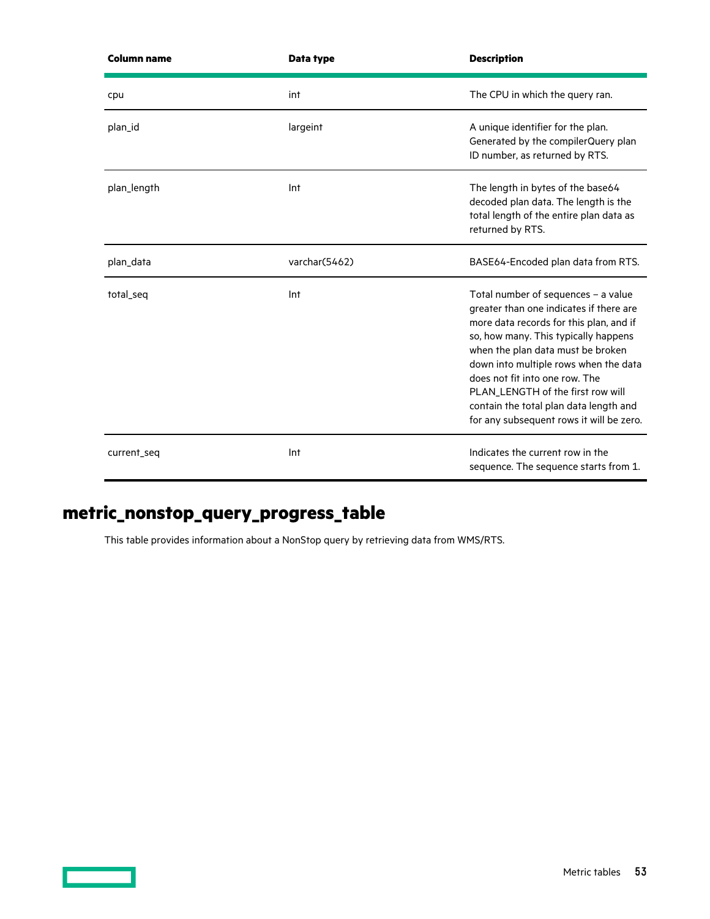<span id="page-52-0"></span>

| <b>Column name</b> | Data type     | <b>Description</b>                                                                                                                                                                                                                                                                                                                                                                                           |
|--------------------|---------------|--------------------------------------------------------------------------------------------------------------------------------------------------------------------------------------------------------------------------------------------------------------------------------------------------------------------------------------------------------------------------------------------------------------|
| cpu                | int           | The CPU in which the query ran.                                                                                                                                                                                                                                                                                                                                                                              |
| plan_id            | largeint      | A unique identifier for the plan.<br>Generated by the compilerQuery plan<br>ID number, as returned by RTS.                                                                                                                                                                                                                                                                                                   |
| plan_length        | Int           | The length in bytes of the base64<br>decoded plan data. The length is the<br>total length of the entire plan data as<br>returned by RTS.                                                                                                                                                                                                                                                                     |
| plan_data          | varchar(5462) | BASE64-Encoded plan data from RTS.                                                                                                                                                                                                                                                                                                                                                                           |
| total_seq          | Int           | Total number of sequences - a value<br>greater than one indicates if there are<br>more data records for this plan, and if<br>so, how many. This typically happens<br>when the plan data must be broken<br>down into multiple rows when the data<br>does not fit into one row. The<br>PLAN_LENGTH of the first row will<br>contain the total plan data length and<br>for any subsequent rows it will be zero. |
| current_seq        | Int           | Indicates the current row in the<br>sequence. The sequence starts from 1.                                                                                                                                                                                                                                                                                                                                    |

## **metric\_nonstop\_query\_progress\_table**

This table provides information about a NonStop query by retrieving data from WMS/RTS.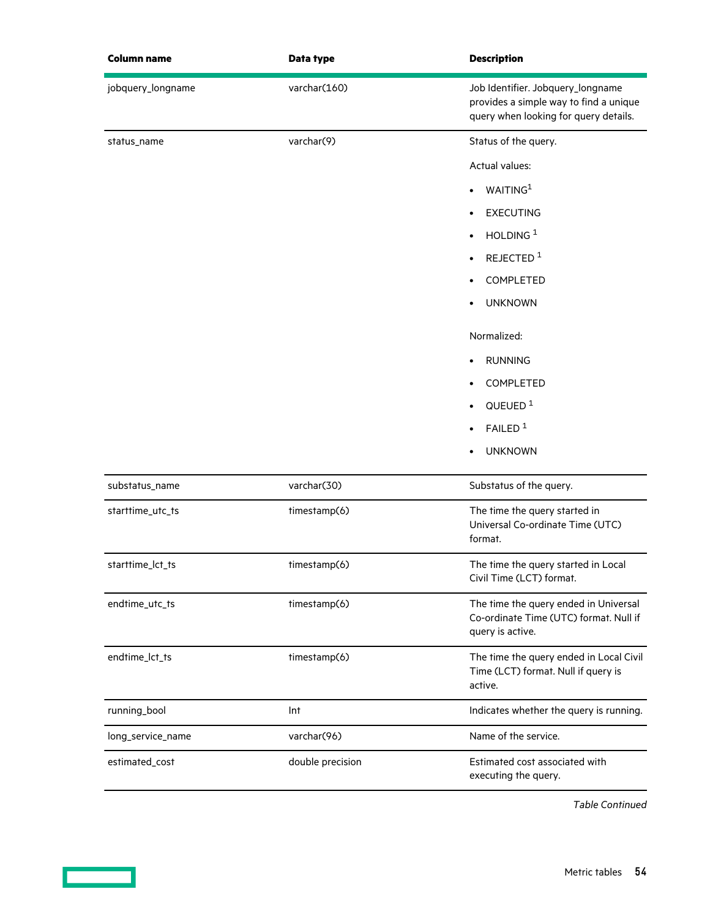<span id="page-53-0"></span>

| <b>Column name</b> | Data type        | <b>Description</b>                                                                                                   |
|--------------------|------------------|----------------------------------------------------------------------------------------------------------------------|
| jobquery_longname  | varchar(160)     | Job Identifier. Jobquery_longname<br>provides a simple way to find a unique<br>query when looking for query details. |
| status_name        | varchar(9)       | Status of the query.                                                                                                 |
|                    |                  | <b>Actual values:</b>                                                                                                |
|                    |                  | WAITING <sup>1</sup>                                                                                                 |
|                    |                  | <b>EXECUTING</b>                                                                                                     |
|                    |                  | HOLDING <sup>1</sup>                                                                                                 |
|                    |                  | REJECTED <sup>1</sup>                                                                                                |
|                    |                  | COMPLETED                                                                                                            |
|                    |                  | <b>UNKNOWN</b>                                                                                                       |
|                    |                  | Normalized:                                                                                                          |
|                    |                  | <b>RUNNING</b>                                                                                                       |
|                    |                  | COMPLETED                                                                                                            |
|                    |                  | QUEUED <sup>1</sup>                                                                                                  |
|                    |                  | FAILED <sup>1</sup>                                                                                                  |
|                    |                  | <b>UNKNOWN</b>                                                                                                       |
| substatus_name     | varchar(30)      | Substatus of the query.                                                                                              |
| starttime_utc_ts   | timestamp(6)     | The time the query started in<br>Universal Co-ordinate Time (UTC)<br>format.                                         |
| starttime_lct_ts   | timestamp(6)     | The time the query started in Local<br>Civil Time (LCT) format.                                                      |
| endtime_utc_ts     | timestamp(6)     | The time the query ended in Universal<br>Co-ordinate Time (UTC) format. Null if<br>query is active.                  |
| endtime_lct_ts     | timestamp(6)     | The time the query ended in Local Civil<br>Time (LCT) format. Null if query is<br>active.                            |
| running_bool       | Int              | Indicates whether the query is running.                                                                              |
| long_service_name  | varchar(96)      | Name of the service.                                                                                                 |
| estimated_cost     | double precision | Estimated cost associated with<br>executing the query.                                                               |

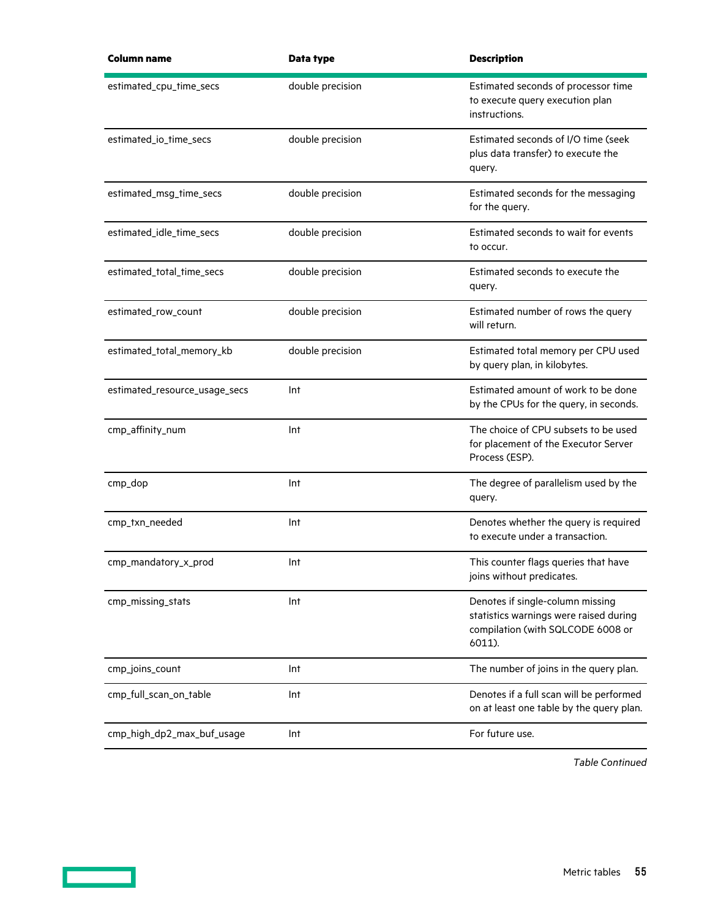| <b>Column name</b>            | Data type        | <b>Description</b>                                                                                                        |
|-------------------------------|------------------|---------------------------------------------------------------------------------------------------------------------------|
| estimated_cpu_time_secs       | double precision | Estimated seconds of processor time<br>to execute query execution plan<br>instructions.                                   |
| estimated_io_time_secs        | double precision | Estimated seconds of I/O time (seek<br>plus data transfer) to execute the<br>query.                                       |
| estimated_msg_time_secs       | double precision | Estimated seconds for the messaging<br>for the query.                                                                     |
| estimated_idle_time_secs      | double precision | Estimated seconds to wait for events<br>to occur.                                                                         |
| estimated_total_time_secs     | double precision | Estimated seconds to execute the<br>query.                                                                                |
| estimated_row_count           | double precision | Estimated number of rows the query<br>will return.                                                                        |
| estimated_total_memory_kb     | double precision | Estimated total memory per CPU used<br>by query plan, in kilobytes.                                                       |
| estimated_resource_usage_secs | Int              | Estimated amount of work to be done<br>by the CPUs for the query, in seconds.                                             |
| cmp_affinity_num              | Int              | The choice of CPU subsets to be used<br>for placement of the Executor Server<br>Process (ESP).                            |
| cmp_dop                       | Int              | The degree of parallelism used by the<br>query.                                                                           |
| cmp_txn_needed                | Int              | Denotes whether the query is required<br>to execute under a transaction.                                                  |
| cmp_mandatory_x_prod          | Int              | This counter flags queries that have<br>joins without predicates.                                                         |
| cmp_missing_stats             | Int              | Denotes if single-column missing<br>statistics warnings were raised during<br>compilation (with SQLCODE 6008 or<br>6011). |
| cmp_joins_count               | Int              | The number of joins in the query plan.                                                                                    |
| cmp_full_scan_on_table        | Int              | Denotes if a full scan will be performed<br>on at least one table by the query plan.                                      |
| cmp_high_dp2_max_buf_usage    | Int              | For future use.                                                                                                           |
|                               |                  |                                                                                                                           |

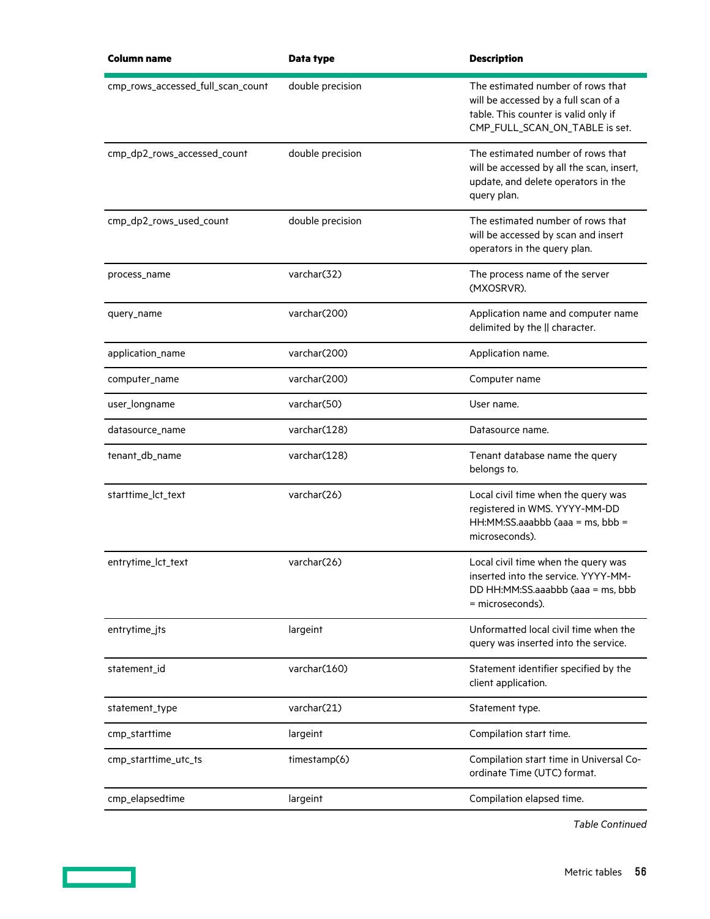| <b>Column name</b>                | Data type        | <b>Description</b>                                                                                                                                  |
|-----------------------------------|------------------|-----------------------------------------------------------------------------------------------------------------------------------------------------|
| cmp_rows_accessed_full_scan_count | double precision | The estimated number of rows that<br>will be accessed by a full scan of a<br>table. This counter is valid only if<br>CMP_FULL_SCAN_ON_TABLE is set. |
| cmp_dp2_rows_accessed_count       | double precision | The estimated number of rows that<br>will be accessed by all the scan, insert,<br>update, and delete operators in the<br>query plan.                |
| cmp_dp2_rows_used_count           | double precision | The estimated number of rows that<br>will be accessed by scan and insert<br>operators in the query plan.                                            |
| process_name                      | varchar(32)      | The process name of the server<br>(MXOSRVR).                                                                                                        |
| query_name                        | varchar(200)     | Application name and computer name<br>delimited by the    character.                                                                                |
| application_name                  | varchar(200)     | Application name.                                                                                                                                   |
| computer_name                     | varchar(200)     | Computer name                                                                                                                                       |
| user_longname                     | varchar(50)      | User name.                                                                                                                                          |
| datasource_name                   | varchar(128)     | Datasource name.                                                                                                                                    |
| tenant_db_name                    | varchar(128)     | Tenant database name the query<br>belongs to.                                                                                                       |
| starttime_lct_text                | varchar(26)      | Local civil time when the query was<br>registered in WMS. YYYY-MM-DD<br>HH:MM:SS.aaabbb (aaa = ms, bbb =<br>microseconds).                          |
| entrytime_lct_text                | varchar(26)      | Local civil time when the query was<br>inserted into the service. YYYY-MM-<br>DD HH:MM:SS.aaabbb (aaa = ms, bbb<br>= microseconds).                 |
| entrytime_jts                     | largeint         | Unformatted local civil time when the<br>query was inserted into the service.                                                                       |
| statement_id                      | varchar(160)     | Statement identifier specified by the<br>client application.                                                                                        |
| statement_type                    | varchar(21)      | Statement type.                                                                                                                                     |
| cmp_starttime                     | largeint         | Compilation start time.                                                                                                                             |
| cmp_starttime_utc_ts              | timestamp(6)     | Compilation start time in Universal Co-<br>ordinate Time (UTC) format.                                                                              |
| cmp_elapsedtime                   | largeint         | Compilation elapsed time.                                                                                                                           |
|                                   |                  |                                                                                                                                                     |

<u> Tanzania (</u>

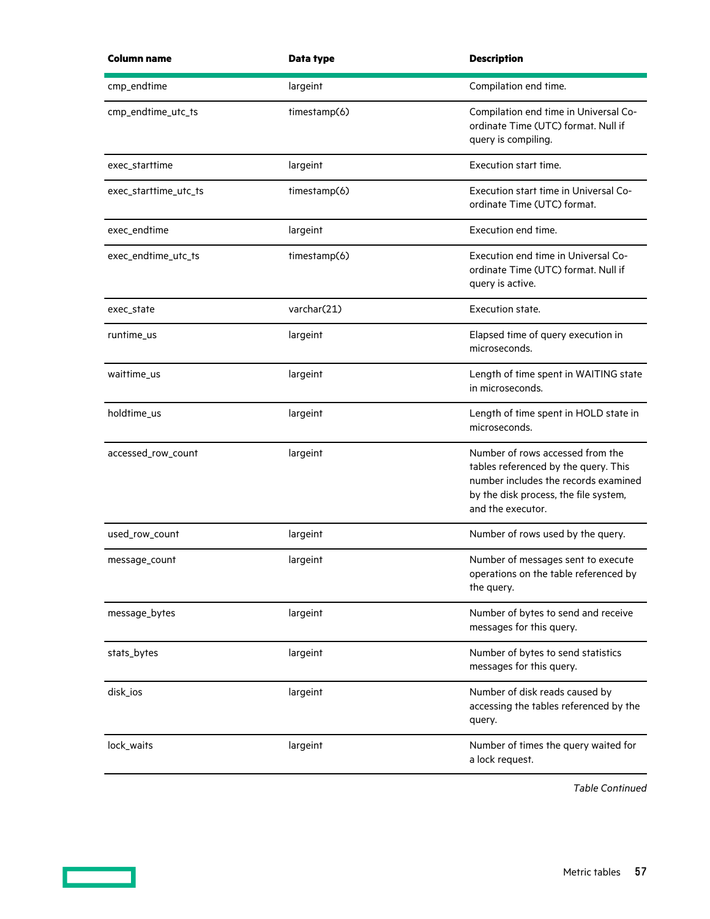| <b>Column name</b>    | Data type    | <b>Description</b>                                                                                                                                                             |
|-----------------------|--------------|--------------------------------------------------------------------------------------------------------------------------------------------------------------------------------|
| cmp_endtime           | largeint     | Compilation end time.                                                                                                                                                          |
| cmp_endtime_utc_ts    | timestamp(6) | Compilation end time in Universal Co-<br>ordinate Time (UTC) format. Null if<br>query is compiling.                                                                            |
| exec_starttime        | largeint     | Execution start time.                                                                                                                                                          |
| exec_starttime_utc_ts | timestamp(6) | Execution start time in Universal Co-<br>ordinate Time (UTC) format.                                                                                                           |
| exec_endtime          | largeint     | Execution end time.                                                                                                                                                            |
| exec_endtime_utc_ts   | timestamp(6) | Execution end time in Universal Co-<br>ordinate Time (UTC) format. Null if<br>query is active.                                                                                 |
| exec_state            | varchar(21)  | Execution state.                                                                                                                                                               |
| runtime us            | largeint     | Elapsed time of query execution in<br>microseconds.                                                                                                                            |
| waittime_us           | largeint     | Length of time spent in WAITING state<br>in microseconds.                                                                                                                      |
| holdtime_us           | largeint     | Length of time spent in HOLD state in<br>microseconds.                                                                                                                         |
| accessed_row_count    | largeint     | Number of rows accessed from the<br>tables referenced by the query. This<br>number includes the records examined<br>by the disk process, the file system,<br>and the executor. |
| used_row_count        | largeint     | Number of rows used by the query.                                                                                                                                              |
| message_count         | largeint     | Number of messages sent to execute<br>operations on the table referenced by<br>the query.                                                                                      |
| message_bytes         | largeint     | Number of bytes to send and receive<br>messages for this query.                                                                                                                |
| stats_bytes           | largeint     | Number of bytes to send statistics<br>messages for this query.                                                                                                                 |
| disk_ios              | largeint     | Number of disk reads caused by<br>accessing the tables referenced by the<br>query.                                                                                             |
| lock_waits            | largeint     | Number of times the query waited for<br>a lock request.                                                                                                                        |

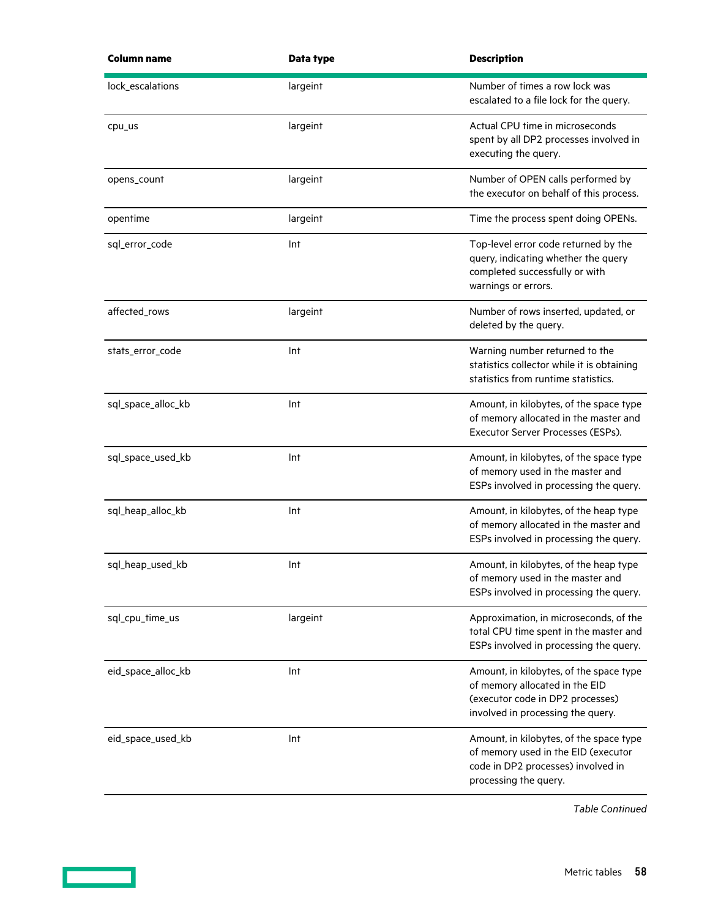| Column name        | Data type | <b>Description</b>                                                                                                                                 |
|--------------------|-----------|----------------------------------------------------------------------------------------------------------------------------------------------------|
| lock_escalations   | largeint  | Number of times a row lock was<br>escalated to a file lock for the query.                                                                          |
| cpu_us             | largeint  | Actual CPU time in microseconds<br>spent by all DP2 processes involved in<br>executing the query.                                                  |
| opens_count        | largeint  | Number of OPEN calls performed by<br>the executor on behalf of this process.                                                                       |
| opentime           | largeint  | Time the process spent doing OPENs.                                                                                                                |
| sql_error_code     | Int       | Top-level error code returned by the<br>query, indicating whether the query<br>completed successfully or with<br>warnings or errors.               |
| affected_rows      | largeint  | Number of rows inserted, updated, or<br>deleted by the query.                                                                                      |
| stats_error_code   | Int       | Warning number returned to the<br>statistics collector while it is obtaining<br>statistics from runtime statistics.                                |
| sql_space_alloc_kb | Int       | Amount, in kilobytes, of the space type<br>of memory allocated in the master and<br>Executor Server Processes (ESPs).                              |
| sql_space_used_kb  | Int       | Amount, in kilobytes, of the space type<br>of memory used in the master and<br>ESPs involved in processing the query.                              |
| sql_heap_alloc_kb  | Int       | Amount, in kilobytes, of the heap type<br>of memory allocated in the master and<br>ESPs involved in processing the query.                          |
| sql_heap_used_kb   | Int       | Amount, in kilobytes, of the heap type<br>of memory used in the master and<br>ESPs involved in processing the query.                               |
| sql_cpu_time_us    | largeint  | Approximation, in microseconds, of the<br>total CPU time spent in the master and<br>ESPs involved in processing the query.                         |
| eid_space_alloc_kb | Int       | Amount, in kilobytes, of the space type<br>of memory allocated in the EID<br>(executor code in DP2 processes)<br>involved in processing the query. |
| eid_space_used_kb  | Int       | Amount, in kilobytes, of the space type<br>of memory used in the EID (executor<br>code in DP2 processes) involved in<br>processing the query.      |

<u> Tanzania (</u>

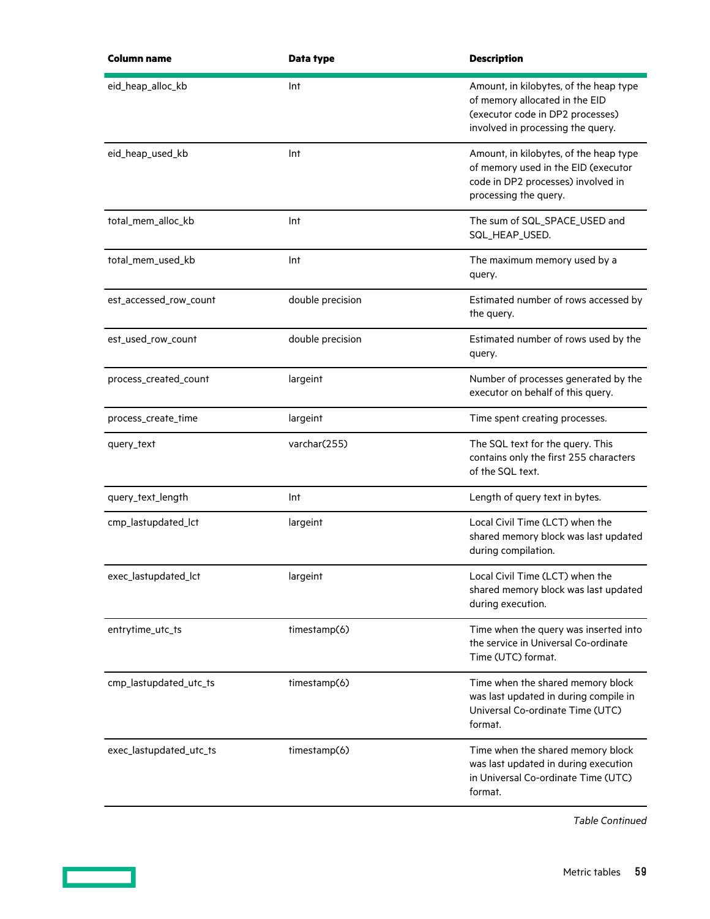| <b>Column name</b>      | Data type        | <b>Description</b>                                                                                                                                |
|-------------------------|------------------|---------------------------------------------------------------------------------------------------------------------------------------------------|
| eid_heap_alloc_kb       | Int              | Amount, in kilobytes, of the heap type<br>of memory allocated in the EID<br>(executor code in DP2 processes)<br>involved in processing the query. |
| eid_heap_used_kb        | Int              | Amount, in kilobytes, of the heap type<br>of memory used in the EID (executor<br>code in DP2 processes) involved in<br>processing the query.      |
| total_mem_alloc_kb      | Int              | The sum of SQL_SPACE_USED and<br>SQL_HEAP_USED.                                                                                                   |
| total_mem_used_kb       | Int              | The maximum memory used by a<br>query.                                                                                                            |
| est_accessed_row_count  | double precision | Estimated number of rows accessed by<br>the query.                                                                                                |
| est_used_row_count      | double precision | Estimated number of rows used by the<br>query.                                                                                                    |
| process_created_count   | largeint         | Number of processes generated by the<br>executor on behalf of this query.                                                                         |
| process_create_time     | largeint         | Time spent creating processes.                                                                                                                    |
| query_text              | varchar(255)     | The SQL text for the query. This<br>contains only the first 255 characters<br>of the SQL text.                                                    |
| query_text_length       | Int              | Length of query text in bytes.                                                                                                                    |
| cmp_lastupdated_lct     | largeint         | Local Civil Time (LCT) when the<br>shared memory block was last updated<br>during compilation.                                                    |
| exec_lastupdated_lct    | largeint         | Local Civil Time (LCT) when the<br>shared memory block was last updated<br>during execution.                                                      |
| entrytime_utc_ts        | timestamp(6)     | Time when the query was inserted into<br>the service in Universal Co-ordinate<br>Time (UTC) format.                                               |
| cmp_lastupdated_utc_ts  | timestamp(6)     | Time when the shared memory block<br>was last updated in during compile in<br>Universal Co-ordinate Time (UTC)<br>format.                         |
| exec_lastupdated_utc_ts | timestamp(6)     | Time when the shared memory block<br>was last updated in during execution<br>in Universal Co-ordinate Time (UTC)<br>format.                       |

<u> Tanzania (</u>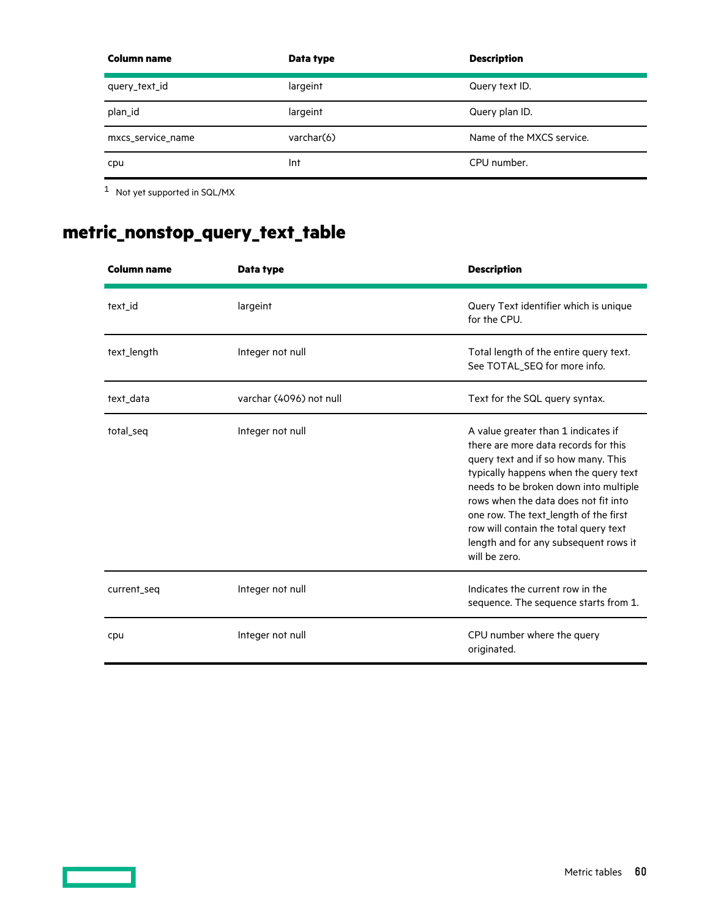<span id="page-59-0"></span>

| Column name       | Data type  | <b>Description</b>        |
|-------------------|------------|---------------------------|
| query_text_id     | largeint   | Query text ID.            |
| plan_id           | largeint   | Query plan ID.            |
| mxcs_service_name | varchar(6) | Name of the MXCS service. |
| cpu               | Int        | CPU number.               |

[1](#page-53-0) Not yet supported in SQL/MX

<u>a sa sainte ann an Saonachd ann an S</u>

# **metric\_nonstop\_query\_text\_table**

| Column name | Data type               | <b>Description</b>                                                                                                                                                                                                                                                                                                                                                                       |
|-------------|-------------------------|------------------------------------------------------------------------------------------------------------------------------------------------------------------------------------------------------------------------------------------------------------------------------------------------------------------------------------------------------------------------------------------|
| text_id     | largeint                | Query Text identifier which is unique<br>for the CPU.                                                                                                                                                                                                                                                                                                                                    |
| text_length | Integer not null        | Total length of the entire query text.<br>See TOTAL_SEQ for more info.                                                                                                                                                                                                                                                                                                                   |
| text_data   | varchar (4096) not null | Text for the SQL query syntax.                                                                                                                                                                                                                                                                                                                                                           |
| total_seq   | Integer not null        | A value greater than 1 indicates if<br>there are more data records for this<br>query text and if so how many. This<br>typically happens when the query text<br>needs to be broken down into multiple<br>rows when the data does not fit into<br>one row. The text_length of the first<br>row will contain the total query text<br>length and for any subsequent rows it<br>will be zero. |
| current_seq | Integer not null        | Indicates the current row in the<br>sequence. The sequence starts from 1.                                                                                                                                                                                                                                                                                                                |
| cpu         | Integer not null        | CPU number where the query<br>originated.                                                                                                                                                                                                                                                                                                                                                |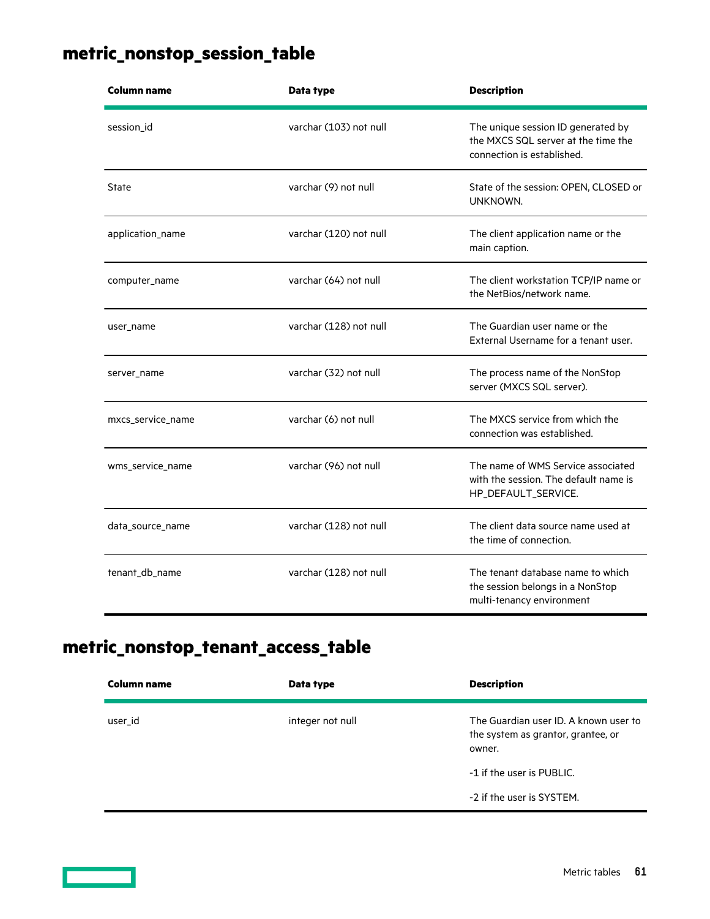## <span id="page-60-0"></span>**metric\_nonstop\_session\_table**

| Column name       | Data type              | <b>Description</b>                                                                                      |
|-------------------|------------------------|---------------------------------------------------------------------------------------------------------|
| session_id        | varchar (103) not null | The unique session ID generated by<br>the MXCS SQL server at the time the<br>connection is established. |
| State             | varchar (9) not null   | State of the session: OPEN, CLOSED or<br>UNKNOWN.                                                       |
| application_name  | varchar (120) not null | The client application name or the<br>main caption.                                                     |
| computer_name     | varchar (64) not null  | The client workstation TCP/IP name or<br>the NetBios/network name.                                      |
| user_name         | varchar (128) not null | The Guardian user name or the<br>External Username for a tenant user.                                   |
| server_name       | varchar (32) not null  | The process name of the NonStop<br>server (MXCS SQL server).                                            |
| mxcs_service_name | varchar (6) not null   | The MXCS service from which the<br>connection was established.                                          |
| wms_service_name  | varchar (96) not null  | The name of WMS Service associated<br>with the session. The default name is<br>HP_DEFAULT_SERVICE.      |
| data_source_name  | varchar (128) not null | The client data source name used at<br>the time of connection.                                          |
| tenant_db_name    | varchar (128) not null | The tenant database name to which<br>the session belongs in a NonStop<br>multi-tenancy environment      |

## **metric\_nonstop\_tenant\_access\_table**

| Column name | Data type        | <b>Description</b>                                                                    |
|-------------|------------------|---------------------------------------------------------------------------------------|
| user id     | integer not null | The Guardian user ID. A known user to<br>the system as grantor, grantee, or<br>owner. |
|             |                  | -1 if the user is PUBLIC.                                                             |
|             |                  | -2 if the user is SYSTEM.                                                             |

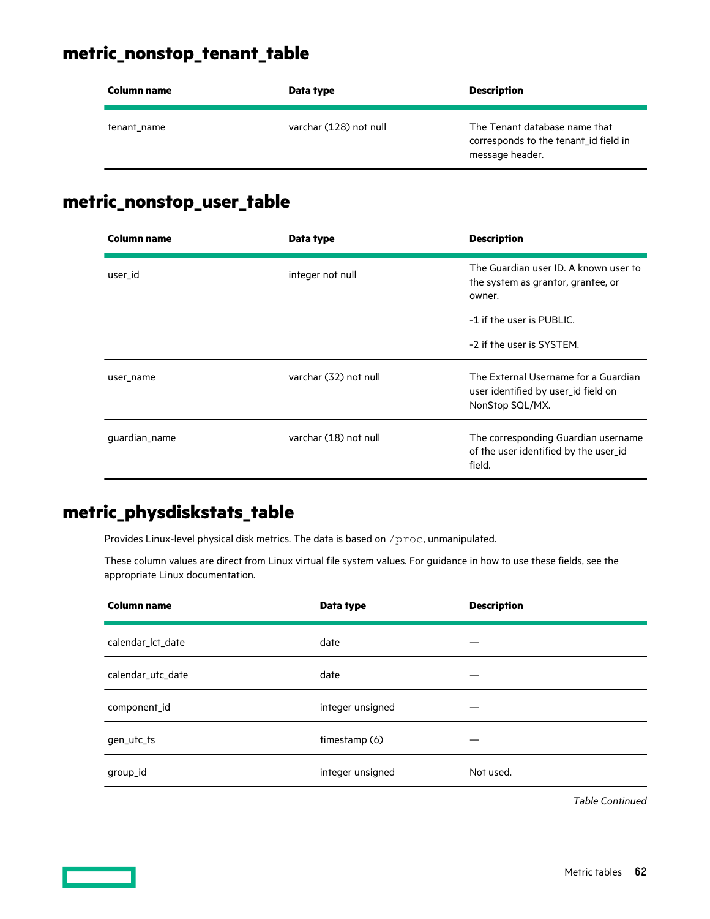### <span id="page-61-0"></span>**metric\_nonstop\_tenant\_table**

| Column name | Data type              | <b>Description</b>                                                                        |
|-------------|------------------------|-------------------------------------------------------------------------------------------|
| tenant name | varchar (128) not null | The Tenant database name that<br>corresponds to the tenant id field in<br>message header. |

### **metric\_nonstop\_user\_table**

| <b>Column name</b> | Data type             | <b>Description</b>                                                                             |
|--------------------|-----------------------|------------------------------------------------------------------------------------------------|
| user_id            | integer not null      | The Guardian user ID. A known user to<br>the system as grantor, grantee, or<br>owner.          |
|                    |                       | -1 if the user is PUBLIC.                                                                      |
|                    |                       | -2 if the user is SYSTEM.                                                                      |
| user_name          | varchar (32) not null | The External Username for a Guardian<br>user identified by user_id field on<br>NonStop SQL/MX. |
| guardian_name      | varchar (18) not null | The corresponding Guardian username<br>of the user identified by the user_id<br>field.         |

### **metric\_physdiskstats\_table**

Provides Linux-level physical disk metrics. The data is based on /proc, unmanipulated.

These column values are direct from Linux virtual file system values. For guidance in how to use these fields, see the appropriate Linux documentation.

| <b>Column name</b> | Data type        | <b>Description</b> |
|--------------------|------------------|--------------------|
| calendar_lct_date  | date             |                    |
| calendar_utc_date  | date             |                    |
| component_id       | integer unsigned |                    |
| gen_utc_ts         | timestamp (6)    |                    |
| group_id           | integer unsigned | Not used.          |

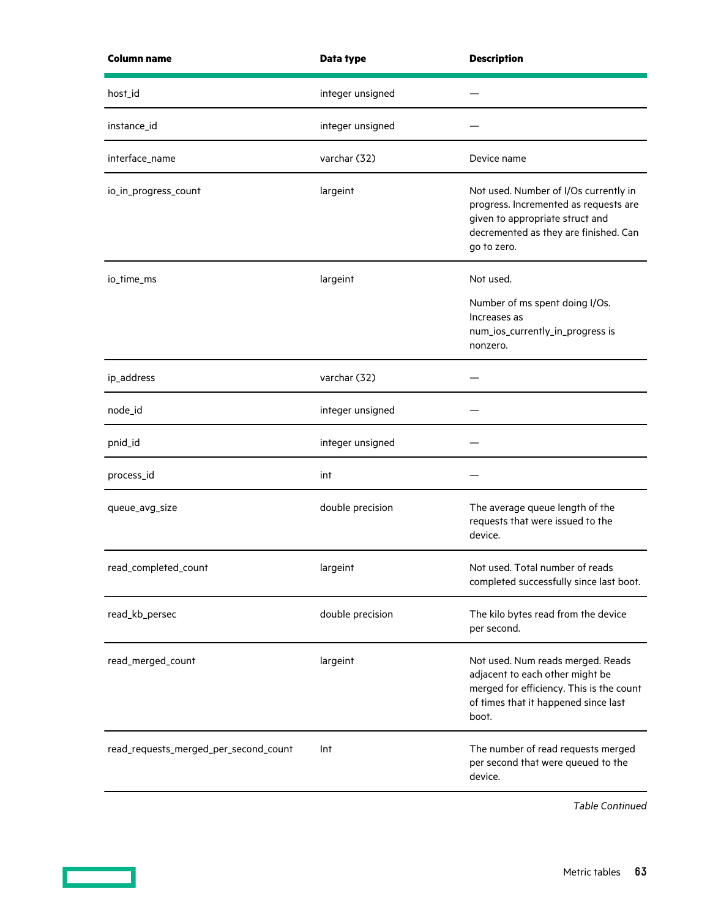| <b>Column name</b>                    | Data type        | <b>Description</b>                                                                                                                                                        |
|---------------------------------------|------------------|---------------------------------------------------------------------------------------------------------------------------------------------------------------------------|
| host_id                               | integer unsigned |                                                                                                                                                                           |
| instance_id                           | integer unsigned |                                                                                                                                                                           |
| interface_name                        | varchar (32)     | Device name                                                                                                                                                               |
| io_in_progress_count                  | largeint         | Not used. Number of I/Os currently in<br>progress. Incremented as requests are<br>given to appropriate struct and<br>decremented as they are finished. Can<br>go to zero. |
| io_time_ms                            | largeint         | Not used.                                                                                                                                                                 |
|                                       |                  | Number of ms spent doing I/Os.<br>Increases as<br>num_ios_currently_in_progress is<br>nonzero.                                                                            |
| ip_address                            | varchar (32)     |                                                                                                                                                                           |
| node_id                               | integer unsigned |                                                                                                                                                                           |
| pnid_id                               | integer unsigned |                                                                                                                                                                           |
| process_id                            | int              |                                                                                                                                                                           |
| queue_avg_size                        | double precision | The average queue length of the<br>requests that were issued to the<br>device.                                                                                            |
| read_completed_count                  | largeint         | Not used. Total number of reads<br>completed successfully since last boot.                                                                                                |
| read_kb_persec                        | double precision | The kilo bytes read from the device<br>per second.                                                                                                                        |
| read_merged_count                     | largeint         | Not used. Num reads merged. Reads<br>adjacent to each other might be<br>merged for efficiency. This is the count<br>of times that it happened since last<br>boot.         |
| read_requests_merged_per_second_count | Int              | The number of read requests merged<br>per second that were queued to the<br>device.                                                                                       |

 $\sim$   $\sim$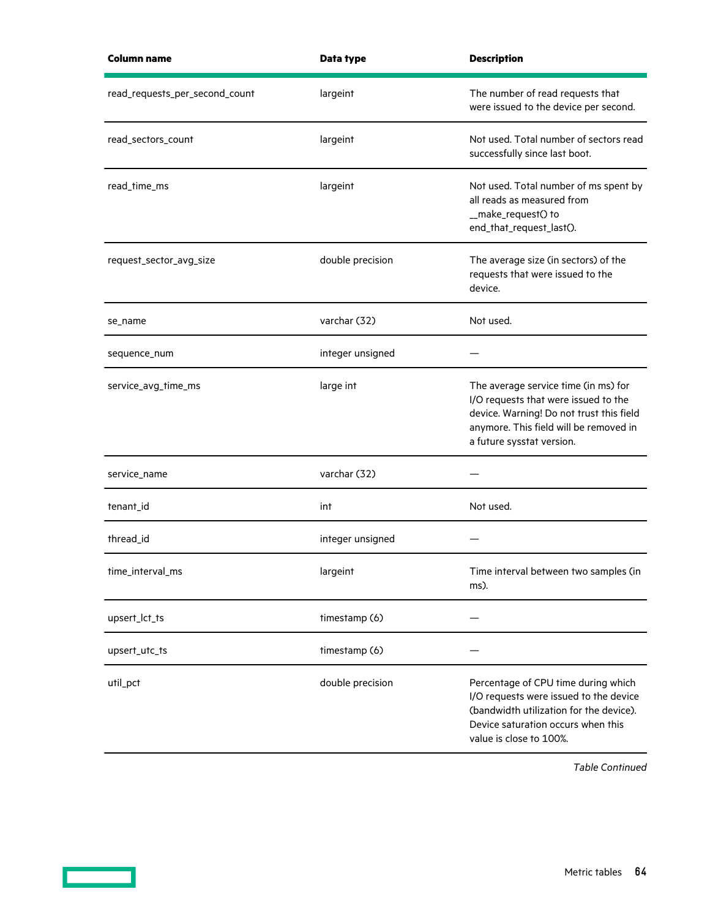| <b>Column name</b>             | Data type        | <b>Description</b>                                                                                                                                                                              |
|--------------------------------|------------------|-------------------------------------------------------------------------------------------------------------------------------------------------------------------------------------------------|
| read_requests_per_second_count | largeint         | The number of read requests that<br>were issued to the device per second.                                                                                                                       |
| read_sectors_count             | largeint         | Not used. Total number of sectors read<br>successfully since last boot.                                                                                                                         |
| read_time_ms                   | largeint         | Not used. Total number of ms spent by<br>all reads as measured from<br>__make_request() to<br>end_that_request_last().                                                                          |
| request_sector_avg_size        | double precision | The average size (in sectors) of the<br>requests that were issued to the<br>device.                                                                                                             |
| se_name                        | varchar (32)     | Not used.                                                                                                                                                                                       |
| sequence_num                   | integer unsigned |                                                                                                                                                                                                 |
| service_avg_time_ms            | large int        | The average service time (in ms) for<br>I/O requests that were issued to the<br>device. Warning! Do not trust this field<br>anymore. This field will be removed in<br>a future sysstat version. |
| service_name                   | varchar (32)     |                                                                                                                                                                                                 |
| tenant_id                      | int              | Not used.                                                                                                                                                                                       |
| thread_id                      | integer unsigned |                                                                                                                                                                                                 |
| time_interval_ms               | largeint         | Time interval between two samples (in<br>ms).                                                                                                                                                   |
| upsert_lct_ts                  | timestamp (6)    |                                                                                                                                                                                                 |
| upsert_utc_ts                  | timestamp (6)    |                                                                                                                                                                                                 |
| util_pct                       | double precision | Percentage of CPU time during which<br>I/O requests were issued to the device<br>(bandwidth utilization for the device).<br>Device saturation occurs when this<br>value is close to 100%.       |

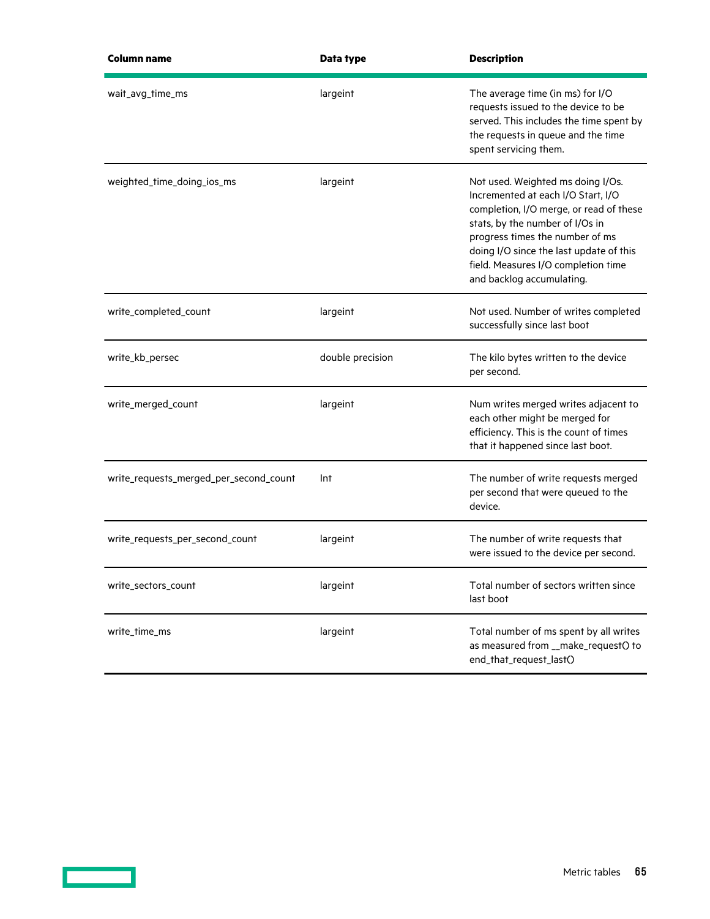| Column name                            | Data type        | <b>Description</b>                                                                                                                                                                                                                                                                                      |
|----------------------------------------|------------------|---------------------------------------------------------------------------------------------------------------------------------------------------------------------------------------------------------------------------------------------------------------------------------------------------------|
| wait_avg_time_ms                       | largeint         | The average time (in ms) for I/O<br>requests issued to the device to be<br>served. This includes the time spent by<br>the requests in queue and the time<br>spent servicing them.                                                                                                                       |
| weighted_time_doing_ios_ms             | largeint         | Not used. Weighted ms doing I/Os.<br>Incremented at each I/O Start, I/O<br>completion, I/O merge, or read of these<br>stats, by the number of I/Os in<br>progress times the number of ms<br>doing I/O since the last update of this<br>field. Measures I/O completion time<br>and backlog accumulating. |
| write_completed_count                  | largeint         | Not used. Number of writes completed<br>successfully since last boot                                                                                                                                                                                                                                    |
| write_kb_persec                        | double precision | The kilo bytes written to the device<br>per second.                                                                                                                                                                                                                                                     |
| write_merged_count                     | largeint         | Num writes merged writes adjacent to<br>each other might be merged for<br>efficiency. This is the count of times<br>that it happened since last boot.                                                                                                                                                   |
| write_requests_merged_per_second_count | Int              | The number of write requests merged<br>per second that were queued to the<br>device.                                                                                                                                                                                                                    |
| write_requests_per_second_count        | largeint         | The number of write requests that<br>were issued to the device per second.                                                                                                                                                                                                                              |
| write_sectors_count                    | largeint         | Total number of sectors written since<br>last boot                                                                                                                                                                                                                                                      |
| write_time_ms                          | largeint         | Total number of ms spent by all writes<br>as measured from __make_request() to<br>end_that_request_last()                                                                                                                                                                                               |

 $\overline{\phantom{a}}$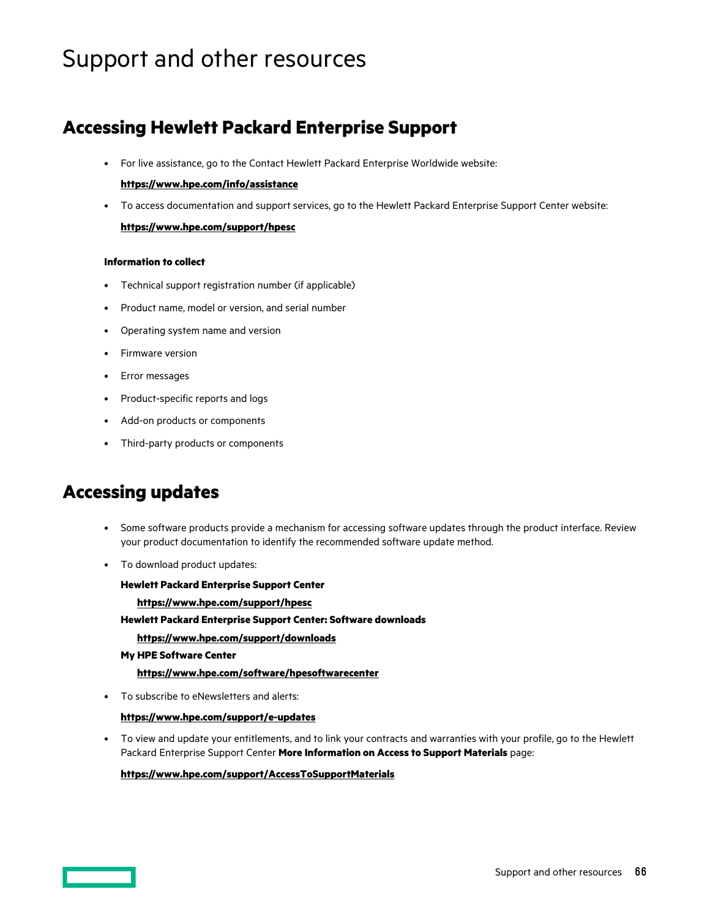# <span id="page-65-0"></span>Support and other resources

### **Accessing Hewlett Packard Enterprise Support**

• For live assistance, go to the Contact Hewlett Packard Enterprise Worldwide website:

#### **<https://www.hpe.com/info/assistance>**

• To access documentation and support services, go to the Hewlett Packard Enterprise Support Center website: **<https://www.hpe.com/support/hpesc>**

#### **Information to collect**

- Technical support registration number (if applicable)
- Product name, model or version, and serial number
- Operating system name and version
- Firmware version
- Error messages
- Product-specific reports and logs
- Add-on products or components
- Third-party products or components

### **Accessing updates**

- Some software products provide a mechanism for accessing software updates through the product interface. Review your product documentation to identify the recommended software update method.
- To download product updates:

**Hewlett Packard Enterprise Support Center <https://www.hpe.com/support/hpesc> Hewlett Packard Enterprise Support Center: Software downloads <https://www.hpe.com/support/downloads> My HPE Software Center**

• To subscribe to eNewsletters and alerts:

#### **<https://www.hpe.com/support/e-updates>**

• To view and update your entitlements, and to link your contracts and warranties with your profile, go to the Hewlett Packard Enterprise Support Center **More Information on Access to Support Materials** page:

#### **<https://www.hpe.com/support/AccessToSupportMaterials>**

**<https://www.hpe.com/software/hpesoftwarecenter>**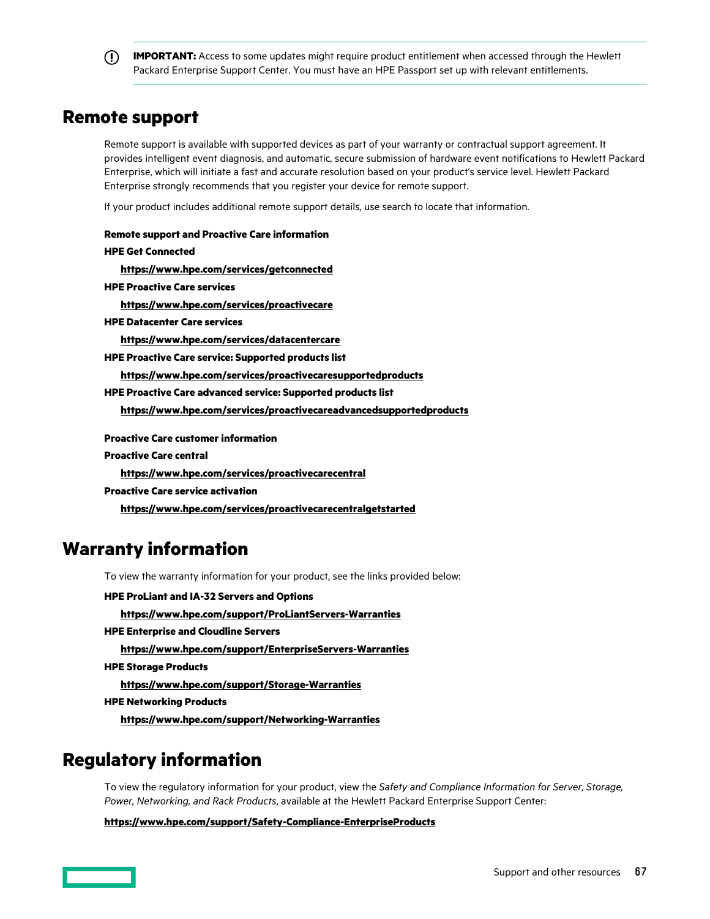<span id="page-66-0"></span>**IMPORTANT:** Access to some updates might require product entitlement when accessed through the Hewlett Packard Enterprise Support Center. You must have an HPE Passport set up with relevant entitlements.

### **Remote support**

Remote support is available with supported devices as part of your warranty or contractual support agreement. It provides intelligent event diagnosis, and automatic, secure submission of hardware event notifications to Hewlett Packard Enterprise, which will initiate a fast and accurate resolution based on your product's service level. Hewlett Packard Enterprise strongly recommends that you register your device for remote support.

If your product includes additional remote support details, use search to locate that information.

**Remote support and Proactive Care information HPE Get Connected <https://www.hpe.com/services/getconnected> HPE Proactive Care services <https://www.hpe.com/services/proactivecare> HPE Datacenter Care services <https://www.hpe.com/services/datacentercare> HPE Proactive Care service: Supported products list <https://www.hpe.com/services/proactivecaresupportedproducts> HPE Proactive Care advanced service: Supported products list <https://www.hpe.com/services/proactivecareadvancedsupportedproducts> Proactive Care customer information Proactive Care central <https://www.hpe.com/services/proactivecarecentral> Proactive Care service activation <https://www.hpe.com/services/proactivecarecentralgetstarted> Warranty information** To view the warranty information for your product, see the links provided below:

**HPE ProLiant and IA-32 Servers and Options <https://www.hpe.com/support/ProLiantServers-Warranties> HPE Enterprise and Cloudline Servers <https://www.hpe.com/support/EnterpriseServers-Warranties> HPE Storage Products <https://www.hpe.com/support/Storage-Warranties> HPE Networking Products**

**<https://www.hpe.com/support/Networking-Warranties>**

## **Regulatory information**

To view the regulatory information for your product, view the *Safety and Compliance Information for Server, Storage, Power, Networking, and Rack Products*, available at the Hewlett Packard Enterprise Support Center:

**<https://www.hpe.com/support/Safety-Compliance-EnterpriseProducts>**